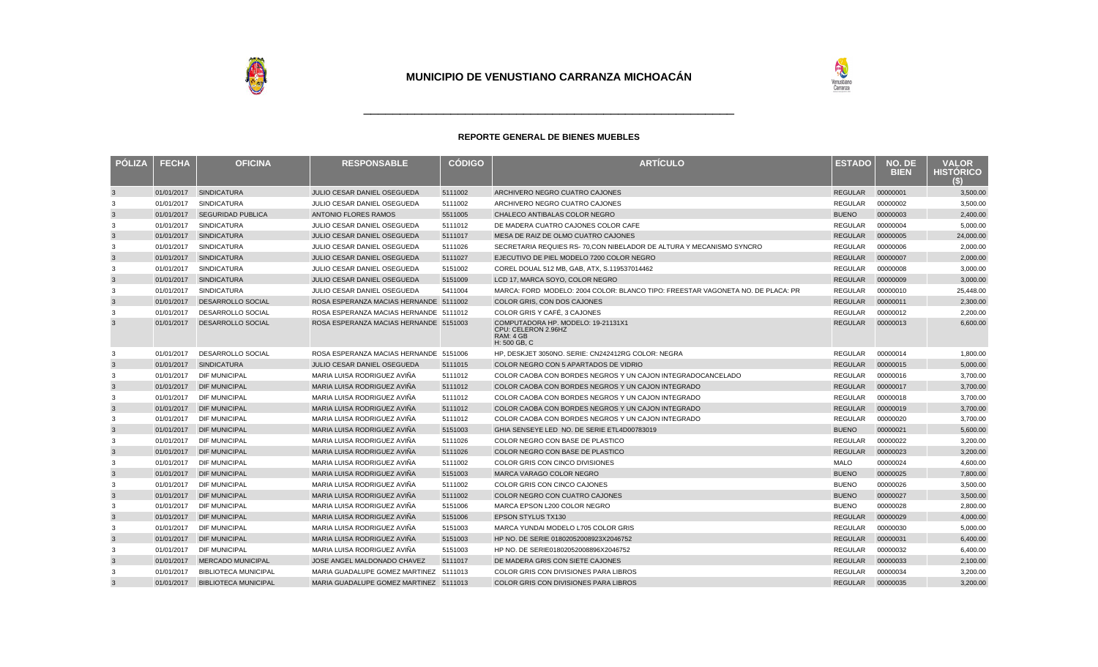

| <b>PÓLIZA</b> | <b>FECHA</b> | <b>OFICINA</b>              | <b>RESPONSABLE</b>                     | <b>CÓDIGO</b> | <b>ARTÍCULO</b>                                                                        | <b>ESTADO</b>  | NO. DE<br><b>BIEN</b> | <b>VALOR</b><br><b>HISTORICO</b><br>(S) |
|---------------|--------------|-----------------------------|----------------------------------------|---------------|----------------------------------------------------------------------------------------|----------------|-----------------------|-----------------------------------------|
| $\mathbf{3}$  | 01/01/2017   | <b>SINDICATURA</b>          | <b>JULIO CESAR DANIEL OSEGUEDA</b>     | 5111002       | ARCHIVERO NEGRO CUATRO CAJONES                                                         | <b>REGULAR</b> | 00000001              | 3,500.00                                |
| 3             | 01/01/2017   | <b>SINDICATURA</b>          | JULIO CESAR DANIEL OSEGUEDA            | 5111002       | ARCHIVERO NEGRO CUATRO CAJONES                                                         | <b>REGULAR</b> | 00000002              | 3,500.00                                |
| $\mathbf{3}$  | 01/01/2017   | <b>SEGURIDAD PUBLICA</b>    | <b>ANTONIO FLORES RAMOS</b>            | 5511005       | CHALECO ANTIBALAS COLOR NEGRO                                                          | <b>BUENO</b>   | 00000003              | 2,400.00                                |
| 3             | 01/01/2017   | <b>SINDICATURA</b>          | JULIO CESAR DANIEL OSEGUEDA            | 5111012       | DE MADERA CUATRO CAJONES COLOR CAFE                                                    | REGULAR        | 00000004              | 5,000.00                                |
| $\mathbf{3}$  | 01/01/2017   | <b>SINDICATURA</b>          | JULIO CESAR DANIEL OSEGUEDA            | 5111017       | MESA DE RAIZ DE OLMO CUATRO CAJONES                                                    | <b>REGULAR</b> | 00000005              | 24,000.00                               |
| 3             | 01/01/2017   | <b>SINDICATURA</b>          | JULIO CESAR DANIEL OSEGUEDA            | 5111026       | SECRETARIA REQUIES RS- 70, CON NIBELADOR DE ALTURA Y MECANISMO SYNCRO                  | REGULAR        | 00000006              | 2,000.00                                |
| $\mathbf{3}$  | 01/01/2017   | <b>SINDICATURA</b>          | JULIO CESAR DANIEL OSEGUEDA            | 5111027       | EJECUTIVO DE PIEL MODELO 7200 COLOR NEGRO                                              | <b>REGULAR</b> | 00000007              | 2,000.00                                |
| 3             | 01/01/2017   | <b>SINDICATURA</b>          | JULIO CESAR DANIEL OSEGUEDA            | 5151002       | COREL DOUAL 512 MB, GAB, ATX, S.119537014462                                           | <b>REGULAR</b> | 00000008              | 3,000.00                                |
| $\mathbf{3}$  | 01/01/2017   | <b>SINDICATURA</b>          | <b>JULIO CESAR DANIEL OSEGUEDA</b>     | 5151009       | LCD 17. MARCA SOYO, COLOR NEGRO                                                        | <b>REGULAR</b> | 00000009              | 3.000.00                                |
| 3             | 01/01/2017   | <b>SINDICATURA</b>          | JULIO CESAR DANIEL OSEGUEDA            | 5411004       | MARCA: FORD MODELO: 2004 COLOR: BLANCO TIPO: FREESTAR VAGONETA NO. DE PLACA: PR        | <b>REGULAR</b> | 00000010              | 25,448.00                               |
| $\mathbf{3}$  | 01/01/2017   | DESARROLLO SOCIAL           | ROSA ESPERANZA MACIAS HERNANDE 5111002 |               | COLOR GRIS, CON DOS CAJONES                                                            | <b>REGULAR</b> | 00000011              | 2,300.00                                |
| 3             | 01/01/2017   | DESARROLLO SOCIAL           | ROSA ESPERANZA MACIAS HERNANDE 5111012 |               | COLOR GRIS Y CAFÉ, 3 CAJONES                                                           | <b>REGULAR</b> | 00000012              | 2,200.00                                |
| $\mathbf{3}$  | 01/01/2017   | DESARROLLO SOCIAL           | ROSA ESPERANZA MACIAS HERNANDE 5151003 |               | COMPUTADORA HP. MODELO: 19-21131X1<br>CPU: CELERON 2.96HZ<br>RAM: 4 GB<br>H: 500 GB. C | REGULAR        | 00000013              | 6,600.00                                |
| 3             | 01/01/2017   | DESARROLLO SOCIAL           | ROSA ESPERANZA MACIAS HERNANDE 5151006 |               | HP, DESKJET 3050NO. SERIE: CN242412RG COLOR: NEGRA                                     | <b>REGULAR</b> | 00000014              | 1,800.00                                |
| $\mathbf{3}$  | 01/01/2017   | <b>SINDICATURA</b>          | JULIO CESAR DANIEL OSEGUEDA            | 5111015       | COLOR NEGRO CON 5 APARTADOS DE VIDRIO                                                  | <b>REGULAR</b> | 00000015              | 5,000.00                                |
| 3             | 01/01/2017   | <b>DIF MUNICIPAL</b>        | MARIA LUISA RODRIGUEZ AVIÑA            | 5111012       | COLOR CAOBA CON BORDES NEGROS Y UN CAJON INTEGRADOCANCELADO                            | <b>REGULAR</b> | 00000016              | 3,700.00                                |
| $\mathbf{3}$  | 01/01/2017   | <b>DIF MUNICIPAL</b>        | MARIA LUISA RODRIGUEZ AVIÑA            | 5111012       | COLOR CAOBA CON BORDES NEGROS Y UN CAJON INTEGRADO                                     | <b>REGULAR</b> | 00000017              | 3,700.00                                |
| 3             | 01/01/2017   | <b>DIF MUNICIPAL</b>        | MARIA LUISA RODRIGUEZ AVIÑA            | 5111012       | COLOR CAOBA CON BORDES NEGROS Y UN CAJON INTEGRADO                                     | <b>REGULAR</b> | 00000018              | 3.700.00                                |
| $\mathbf{3}$  | 01/01/2017   | <b>DIF MUNICIPAL</b>        | MARIA LUISA RODRIGUEZ AVIÑA            | 5111012       | COLOR CAOBA CON BORDES NEGROS Y UN CAJON INTEGRADO                                     | <b>REGULAR</b> | 00000019              | 3,700.00                                |
| 3             | 01/01/2017   | <b>DIF MUNICIPAL</b>        | MARIA LUISA RODRIGUEZ AVIÑA            | 5111012       | COLOR CAOBA CON BORDES NEGROS Y UN CAJON INTEGRADO                                     | <b>REGULAR</b> | 00000020              | 3,700.00                                |
| 3             | 01/01/2017   | <b>DIF MUNICIPAL</b>        | MARIA LUISA RODRIGUEZ AVIÑA            | 5151003       | GHIA SENSEYE LED NO. DE SERIE ETL4D00783019                                            | <b>BUENO</b>   | 00000021              | 5,600.00                                |
| 3             | 01/01/2017   | <b>DIF MUNICIPAL</b>        | MARIA LUISA RODRIGUEZ AVIÑA            | 5111026       | COLOR NEGRO CON BASE DE PLASTICO                                                       | <b>REGULAR</b> | 00000022              | 3,200.00                                |
| $\mathbf{3}$  | 01/01/2017   | <b>DIF MUNICIPAL</b>        | MARIA LUISA RODRIGUEZ AVIÑA            | 5111026       | COLOR NEGRO CON BASE DE PLASTICO                                                       | <b>REGULAR</b> | 00000023              | 3,200.00                                |
| 3             | 01/01/2017   | <b>DIF MUNICIPAL</b>        | MARIA LUISA RODRIGUEZ AVIÑA            | 5111002       | COLOR GRIS CON CINCO DIVISIONES                                                        | <b>MALO</b>    | 00000024              | 4,600.00                                |
| $\mathbf{3}$  | 01/01/2017   | <b>DIF MUNICIPAL</b>        | MARIA LUISA RODRIGUEZ AVIÑA            | 5151003       | MARCA VARAGO COLOR NEGRO                                                               | <b>BUENO</b>   | 00000025              | 7,800.00                                |
| 3             | 01/01/2017   | <b>DIF MUNICIPAL</b>        | MARIA LUISA RODRIGUEZ AVIÑA            | 5111002       | COLOR GRIS CON CINCO CAJONES                                                           | <b>BUENO</b>   | 00000026              | 3,500.00                                |
| $\mathbf{3}$  | 01/01/2017   | <b>DIF MUNICIPAL</b>        | MARIA LUISA RODRIGUEZ AVIÑA            | 5111002       | COLOR NEGRO CON CUATRO CAJONES                                                         | <b>BUENO</b>   | 00000027              | 3,500.00                                |
| 3             | 01/01/2017   | <b>DIF MUNICIPAL</b>        | MARIA LUISA RODRIGUEZ AVIÑA            | 5151006       | MARCA EPSON L200 COLOR NEGRO                                                           | <b>BUENO</b>   | 00000028              | 2,800.00                                |
| 3             | 01/01/2017   | <b>DIF MUNICIPAL</b>        | MARIA LUISA RODRIGUEZ AVIÑA            | 5151006       | <b>EPSON STYLUS TX130</b>                                                              | <b>REGULAR</b> | 00000029              | 4,000.00                                |
| 3             | 01/01/2017   | <b>DIF MUNICIPAL</b>        | MARIA LUISA RODRIGUEZ AVIÑA            | 5151003       | MARCA YUNDAI MODELO L705 COLOR GRIS                                                    | <b>REGULAR</b> | 00000030              | 5,000.00                                |
| $\mathbf{3}$  | 01/01/2017   | <b>DIF MUNICIPAL</b>        | MARIA LUISA RODRIGUEZ AVIÑA            | 5151003       | HP NO. DE SERIE 01802052008923X2046752                                                 | <b>REGULAR</b> | 00000031              | 6,400.00                                |
| 3             | 01/01/2017   | <b>DIF MUNICIPAL</b>        | MARIA LUISA RODRIGUEZ AVIÑA            | 5151003       | HP NO. DE SERIE01802052008896X2046752                                                  | <b>REGULAR</b> | 00000032              | 6,400.00                                |
| $\mathbf{3}$  | 01/01/2017   | <b>MERCADO MUNICIPAL</b>    | JOSE ANGEL MALDONADO CHAVEZ            | 5111017       | DE MADERA GRIS CON SIETE CAJONES                                                       | <b>REGULAR</b> | 00000033              | 2,100.00                                |
| 3             | 01/01/2017   | <b>BIBLIOTECA MUNICIPAL</b> | MARIA GUADALUPE GOMEZ MARTINEZ         | 5111013       | COLOR GRIS CON DIVISIONES PARA LIBROS                                                  | <b>REGULAR</b> | 00000034              | 3,200.00                                |
| 3             | 01/01/2017   | <b>BIBLIOTECA MUNICIPAL</b> | MARIA GUADALUPE GOMEZ MARTINEZ 5111013 |               | <b>COLOR GRIS CON DIVISIONES PARA LIBROS</b>                                           | REGULAR        | 00000035              | 3,200.00                                |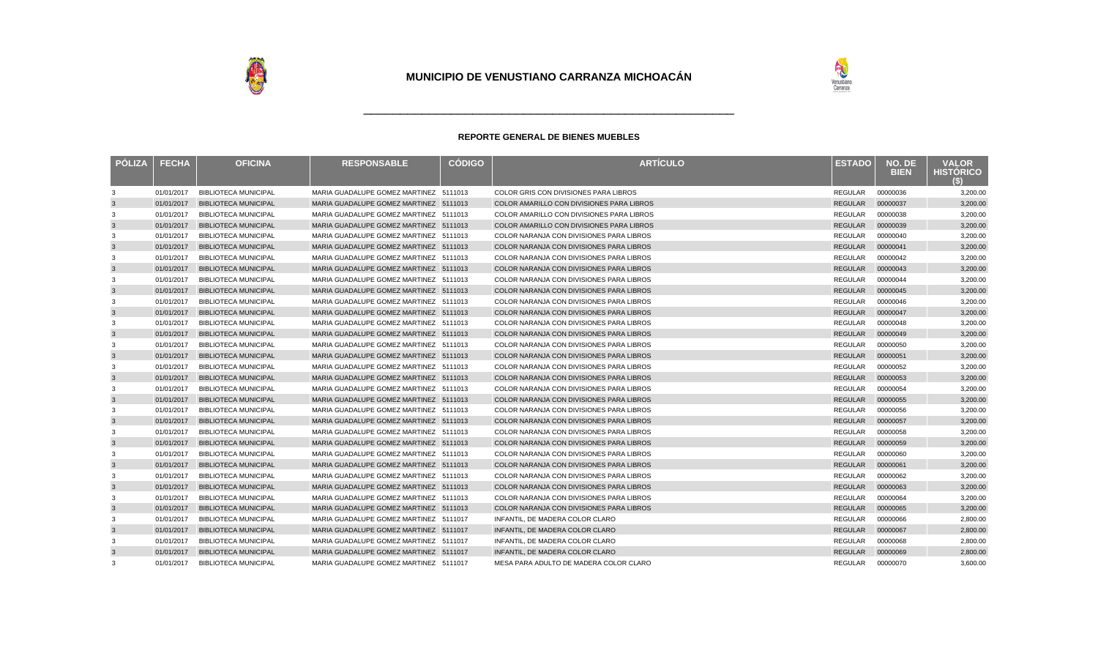

| <b>PÓLIZA</b> | <b>FECHA</b> | <b>OFICINA</b>              | <b>RESPONSABLE</b>                     | <b>CÓDIGO</b> | <b>ARTÍCULO</b>                                 | <b>ESTADO</b>  | NO. DE<br><b>BIEN</b> | <b>VALOR</b><br><b>HISTORICO</b><br>SI |
|---------------|--------------|-----------------------------|----------------------------------------|---------------|-------------------------------------------------|----------------|-----------------------|----------------------------------------|
| 3             | 01/01/2017   | <b>BIBLIOTECA MUNICIPAL</b> | MARIA GUADALUPE GOMEZ MARTINEZ 5111013 |               | COLOR GRIS CON DIVISIONES PARA LIBROS           | REGULAR        | 00000036              | 3,200.00                               |
| $\mathbf{3}$  | 01/01/2017   | <b>BIBLIOTECA MUNICIPAL</b> | MARIA GUADALUPE GOMEZ MARTINEZ 5111013 |               | COLOR AMARILLO CON DIVISIONES PARA LIBROS       | <b>REGULAR</b> | 00000037              | 3,200.00                               |
| 3             | 01/01/2017   | <b>BIBLIOTECA MUNICIPAL</b> | MARIA GUADALUPE GOMEZ MARTINEZ 5111013 |               | COLOR AMARILLO CON DIVISIONES PARA LIBROS       | REGULAR        | 00000038              | 3,200.00                               |
| $\mathbf{3}$  | 01/01/2017   | <b>BIBLIOTECA MUNICIPAL</b> | MARIA GUADALUPE GOMEZ MARTINEZ 5111013 |               | COLOR AMARILLO CON DIVISIONES PARA LIBROS       | <b>REGULAR</b> | 00000039              | 3,200.00                               |
| 3             | 01/01/2017   | <b>BIBLIOTECA MUNICIPAL</b> | MARIA GUADALUPE GOMEZ MARTINEZ 5111013 |               | COLOR NARANJA CON DIVISIONES PARA LIBROS        | REGULAR        | 00000040              | 3,200.00                               |
| $\mathbf{3}$  | 01/01/2017   | <b>BIBLIOTECA MUNICIPAL</b> | MARIA GUADALUPE GOMEZ MARTINEZ 5111013 |               | COLOR NARANJA CON DIVISIONES PARA LIBROS        | <b>REGULAR</b> | 00000041              | 3,200.00                               |
| 3             | 01/01/2017   | <b>BIBLIOTECA MUNICIPAL</b> | MARIA GUADALUPE GOMEZ MARTINEZ 5111013 |               | COLOR NARANJA CON DIVISIONES PARA LIBROS        | REGULAR        | 00000042              | 3,200.00                               |
| $\mathbf{3}$  | 01/01/2017   | <b>BIBLIOTECA MUNICIPAL</b> | MARIA GUADALUPE GOMEZ MARTINEZ 5111013 |               | COLOR NARANJA CON DIVISIONES PARA LIBROS        | <b>REGULAR</b> | 00000043              | 3,200.00                               |
| 3             | 01/01/2017   | <b>BIBLIOTECA MUNICIPAL</b> | MARIA GUADALUPE GOMEZ MARTINEZ 5111013 |               | <b>COLOR NARANJA CON DIVISIONES PARA LIBROS</b> | <b>REGULAR</b> | 00000044              | 3,200.00                               |
| $\mathbf{3}$  | 01/01/2017   | <b>BIBLIOTECA MUNICIPAL</b> | MARIA GUADALUPE GOMEZ MARTINEZ 5111013 |               | COLOR NARANJA CON DIVISIONES PARA LIBROS        | <b>REGULAR</b> | 00000045              | 3,200.00                               |
| 3             | 01/01/2017   | <b>BIBLIOTECA MUNICIPAL</b> | MARIA GUADALUPE GOMEZ MARTINEZ 5111013 |               | <b>COLOR NARANJA CON DIVISIONES PARA LIBROS</b> | <b>REGULAR</b> | 00000046              | 3,200.00                               |
| 3             | 01/01/2017   | <b>BIBLIOTECA MUNICIPAL</b> | MARIA GUADALUPE GOMEZ MARTINEZ 5111013 |               | <b>COLOR NARANJA CON DIVISIONES PARA LIBROS</b> | <b>REGULAR</b> | 00000047              | 3,200.00                               |
| 3             | 01/01/2017   | <b>BIBLIOTECA MUNICIPAL</b> | MARIA GUADALUPE GOMEZ MARTINEZ 5111013 |               | COLOR NARANJA CON DIVISIONES PARA LIBROS        | <b>REGULAR</b> | 00000048              | 3,200.00                               |
| 3             | 01/01/2017   | <b>BIBLIOTECA MUNICIPAL</b> | MARIA GUADALUPE GOMEZ MARTINEZ 5111013 |               | <b>COLOR NARANJA CON DIVISIONES PARA LIBROS</b> | <b>REGULAR</b> | 00000049              | 3,200.00                               |
| 3             | 01/01/2017   | <b>BIBLIOTECA MUNICIPAL</b> | MARIA GUADALUPE GOMEZ MARTINEZ 5111013 |               | COLOR NARANJA CON DIVISIONES PARA LIBROS        | <b>REGULAR</b> | 00000050              | 3,200.00                               |
| 3             | 01/01/2017   | <b>BIBLIOTECA MUNICIPAL</b> | MARIA GUADALUPE GOMEZ MARTINEZ 5111013 |               | COLOR NARANJA CON DIVISIONES PARA LIBROS        | <b>REGULAR</b> | 00000051              | 3,200.00                               |
| 3             | 01/01/2017   | <b>BIBLIOTECA MUNICIPAL</b> | MARIA GUADALUPE GOMEZ MARTINEZ 5111013 |               | COLOR NARANJA CON DIVISIONES PARA LIBROS        | <b>REGULAR</b> | 00000052              | 3,200.00                               |
| $\mathbf{3}$  | 01/01/2017   | <b>BIBLIOTECA MUNICIPAL</b> | MARIA GUADALUPE GOMEZ MARTINEZ 5111013 |               | COLOR NARANJA CON DIVISIONES PARA LIBROS        | <b>REGULAR</b> | 00000053              | 3,200.00                               |
| 3             | 01/01/2017   | <b>BIBLIOTECA MUNICIPAL</b> | MARIA GUADALUPE GOMEZ MARTINEZ 5111013 |               | COLOR NARANJA CON DIVISIONES PARA LIBROS        | REGULAR        | 00000054              | 3,200.00                               |
| $\mathbf{3}$  | 01/01/2017   | <b>BIBLIOTECA MUNICIPAL</b> | MARIA GUADALUPE GOMEZ MARTINEZ 5111013 |               | COLOR NARANJA CON DIVISIONES PARA LIBROS        | REGULAR        | 00000055              | 3,200.00                               |
| 3             | 01/01/2017   | <b>BIBLIOTECA MUNICIPAL</b> | MARIA GUADALUPE GOMEZ MARTINEZ 5111013 |               | COLOR NARANJA CON DIVISIONES PARA LIBROS        | REGULAR        | 00000056              | 3,200.00                               |
| $\mathbf{3}$  | 01/01/2017   | <b>BIBLIOTECA MUNICIPAL</b> | MARIA GUADALUPE GOMEZ MARTINEZ 5111013 |               | COLOR NARANJA CON DIVISIONES PARA LIBROS        | <b>REGULAR</b> | 00000057              | 3,200.00                               |
| 3             | 01/01/2017   | <b>BIBLIOTECA MUNICIPAL</b> | MARIA GUADALUPE GOMEZ MARTINEZ 5111013 |               | COLOR NARANJA CON DIVISIONES PARA LIBROS        | <b>REGULAR</b> | 00000058              | 3,200.00                               |
| $\mathbf{3}$  | 01/01/2017   | <b>BIBLIOTECA MUNICIPAL</b> | MARIA GUADALUPE GOMEZ MARTINEZ 5111013 |               | COLOR NARANJA CON DIVISIONES PARA LIBROS        | <b>REGULAR</b> | 00000059              | 3,200.00                               |
| 3             | 01/01/2017   | <b>BIBLIOTECA MUNICIPAL</b> | MARIA GUADALUPE GOMEZ MARTINEZ 5111013 |               | COLOR NARANJA CON DIVISIONES PARA LIBROS        | REGULAR        | 00000060              | 3,200.00                               |
| $\mathbf{3}$  | 01/01/2017   | <b>BIBLIOTECA MUNICIPAL</b> | MARIA GUADALUPE GOMEZ MARTINEZ 5111013 |               | COLOR NARANJA CON DIVISIONES PARA LIBROS        | <b>REGULAR</b> | 00000061              | 3,200.00                               |
| 3             | 01/01/2017   | <b>BIBLIOTECA MUNICIPAL</b> | MARIA GUADALUPE GOMEZ MARTINEZ 5111013 |               | COLOR NARANJA CON DIVISIONES PARA LIBROS        | REGULAR        | 00000062              | 3,200.00                               |
| $\mathbf{3}$  | 01/01/2017   | <b>BIBLIOTECA MUNICIPAL</b> | MARIA GUADALUPE GOMEZ MARTINEZ 5111013 |               | COLOR NARANJA CON DIVISIONES PARA LIBROS        | <b>REGULAR</b> | 00000063              | 3,200.00                               |
| 3             | 01/01/2017   | <b>BIBLIOTECA MUNICIPAL</b> | MARIA GUADALUPE GOMEZ MARTINEZ 5111013 |               | COLOR NARANJA CON DIVISIONES PARA LIBROS        | <b>REGULAR</b> | 00000064              | 3,200.00                               |
| $\mathbf{3}$  | 01/01/2017   | <b>BIBLIOTECA MUNICIPAL</b> | MARIA GUADALUPE GOMEZ MARTINEZ 5111013 |               | COLOR NARANJA CON DIVISIONES PARA LIBROS        | <b>REGULAR</b> | 00000065              | 3,200.00                               |
| 3             | 01/01/2017   | <b>BIBLIOTECA MUNICIPAL</b> | MARIA GUADALUPE GOMEZ MARTINEZ 5111017 |               | INFANTIL. DE MADERA COLOR CLARO                 | <b>REGULAR</b> | 00000066              | 2,800.00                               |
| $\mathbf{3}$  | 01/01/2017   | <b>BIBLIOTECA MUNICIPAL</b> | MARIA GUADALUPE GOMEZ MARTINEZ 5111017 |               | INFANTIL. DE MADERA COLOR CLARO                 | <b>REGULAR</b> | 00000067              | 2,800.00                               |
| 3             | 01/01/2017   | <b>BIBLIOTECA MUNICIPAL</b> | MARIA GUADALUPE GOMEZ MARTINEZ 5111017 |               | INFANTIL, DE MADERA COLOR CLARO                 | <b>REGULAR</b> | 00000068              | 2,800.00                               |
| 3             | 01/01/2017   | <b>BIBLIOTECA MUNICIPAL</b> | MARIA GUADALUPE GOMEZ MARTINEZ 5111017 |               | INFANTIL. DE MADERA COLOR CLARO                 | <b>REGULAR</b> | 00000069              | 2,800.00                               |
| 3             | 01/01/2017   | <b>BIBLIOTECA MUNICIPAL</b> | MARIA GUADALUPE GOMEZ MARTINEZ 5111017 |               | MESA PARA ADULTO DE MADERA COLOR CLARO          | <b>REGULAR</b> | 00000070              | 3.600.00                               |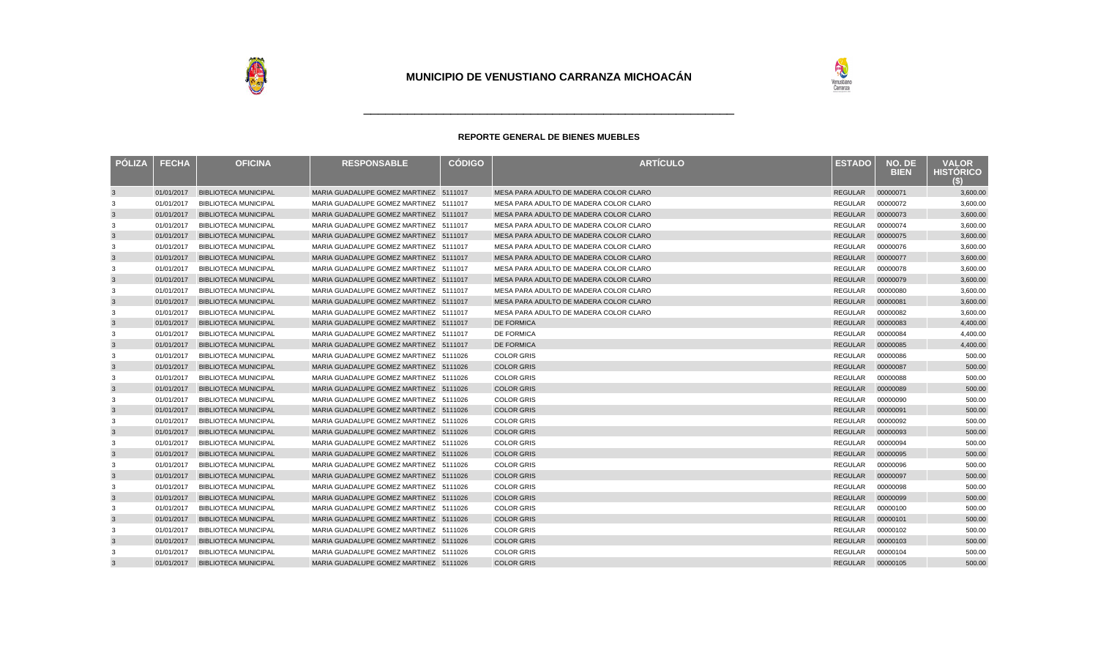

| PÓLIZA       | <b>FECHA</b> | <b>OFICINA</b>              | <b>RESPONSABLE</b>                     | <b>CÓDIGO</b> | <b>ARTÍCULO</b>                        | <b>ESTADO</b>    | NO. DE<br><b>BIEN</b> | <b>VALOR</b><br><b>HISTORICO</b><br>(S) |
|--------------|--------------|-----------------------------|----------------------------------------|---------------|----------------------------------------|------------------|-----------------------|-----------------------------------------|
| $\mathbf{3}$ | 01/01/2017   | <b>BIBLIOTECA MUNICIPAL</b> | MARIA GUADALUPE GOMEZ MARTINEZ 5111017 |               | MESA PARA ADULTO DE MADERA COLOR CLARO | REGULAR          | 00000071              | 3,600.00                                |
| 3            | 01/01/2017   | <b>BIBLIOTECA MUNICIPAL</b> | MARIA GUADALUPE GOMEZ MARTINEZ 5111017 |               | MESA PARA ADULTO DE MADERA COLOR CLARO | REGULAR          | 00000072              | 3,600.00                                |
| $\mathbf{3}$ | 01/01/2017   | <b>BIBLIOTECA MUNICIPAL</b> | MARIA GUADALUPE GOMEZ MARTINEZ 5111017 |               | MESA PARA ADULTO DE MADERA COLOR CLARO | REGULAR          | 00000073              | 3,600.00                                |
| 3            | 01/01/2017   | <b>BIBLIOTECA MUNICIPAL</b> | MARIA GUADALUPE GOMEZ MARTINEZ 5111017 |               | MESA PARA ADULTO DE MADERA COLOR CLARO | REGULAR          | 00000074              | 3,600.00                                |
| $\mathbf{3}$ | 01/01/2017   | <b>BIBLIOTECA MUNICIPAL</b> | MARIA GUADALUPE GOMEZ MARTINEZ 5111017 |               | MESA PARA ADULTO DE MADERA COLOR CLARO | REGULAR          | 00000075              | 3,600.00                                |
| 3            | 01/01/2017   | <b>BIBLIOTECA MUNICIPAL</b> | MARIA GUADALUPE GOMEZ MARTINEZ 5111017 |               | MESA PARA ADULTO DE MADERA COLOR CLARO | REGULAR          | 00000076              | 3,600.00                                |
| $\mathbf{3}$ | 01/01/2017   | <b>BIBLIOTECA MUNICIPAL</b> | MARIA GUADALUPE GOMEZ MARTINEZ 5111017 |               | MESA PARA ADULTO DE MADERA COLOR CLARO | <b>REGULAR</b>   | 00000077              | 3,600.00                                |
| 3            | 01/01/2017   | <b>BIBLIOTECA MUNICIPAL</b> | MARIA GUADALUPE GOMEZ MARTINEZ 5111017 |               | MESA PARA ADULTO DE MADERA COLOR CLARO | <b>REGULAR</b>   | 00000078              | 3,600.00                                |
| $\mathbf{3}$ | 01/01/2017   | <b>BIBLIOTECA MUNICIPAL</b> | MARIA GUADALUPE GOMEZ MARTINEZ 5111017 |               | MESA PARA ADULTO DE MADERA COLOR CLARO | <b>REGULAR</b>   | 00000079              | 3,600.00                                |
| 3            | 01/01/2017   | <b>BIBLIOTECA MUNICIPAL</b> | MARIA GUADALUPE GOMEZ MARTINEZ 5111017 |               | MESA PARA ADULTO DE MADERA COLOR CLARO | <b>REGULAR</b>   | 00000080              | 3,600.00                                |
| $\mathbf{3}$ | 01/01/2017   | <b>BIBLIOTECA MUNICIPAL</b> | MARIA GUADALUPE GOMEZ MARTINEZ 5111017 |               | MESA PARA ADULTO DE MADERA COLOR CLARO | <b>REGULAR</b>   | 00000081              | 3,600.00                                |
| 3            | 01/01/2017   | <b>BIBLIOTECA MUNICIPAL</b> | MARIA GUADALUPE GOMEZ MARTINEZ 5111017 |               | MESA PARA ADULTO DE MADERA COLOR CLARO | <b>REGULAR</b>   | 00000082              | 3,600.00                                |
| 3            | 01/01/2017   | <b>BIBLIOTECA MUNICIPAL</b> | MARIA GUADALUPE GOMEZ MARTINEZ 5111017 |               | <b>DE FORMICA</b>                      | <b>REGULAR</b>   | 00000083              | 4,400.00                                |
| 3            | 01/01/2017   | <b>BIBLIOTECA MUNICIPAL</b> | MARIA GUADALUPE GOMEZ MARTINEZ 5111017 |               | <b>DE FORMICA</b>                      | <b>REGULAR</b>   | 00000084              | 4,400.00                                |
| 3            | 01/01/2017   | <b>BIBLIOTECA MUNICIPAL</b> | MARIA GUADALUPE GOMEZ MARTINEZ 5111017 |               | <b>DE FORMICA</b>                      | <b>REGULAR</b>   | 00000085              | 4,400.00                                |
| 3            | 01/01/2017   | <b>BIBLIOTECA MUNICIPAL</b> | MARIA GUADALUPE GOMEZ MARTINEZ 5111026 |               | <b>COLOR GRIS</b>                      | REGULAR          | 00000086              | 500.00                                  |
| $\mathbf{3}$ | 01/01/2017   | <b>BIBLIOTECA MUNICIPAL</b> | MARIA GUADALUPE GOMEZ MARTINEZ 5111026 |               | <b>COLOR GRIS</b>                      | REGULAR          | 00000087              | 500.00                                  |
| 3            | 01/01/2017   | <b>BIBLIOTECA MUNICIPAL</b> | MARIA GUADALUPE GOMEZ MARTINEZ 5111026 |               | <b>COLOR GRIS</b>                      | REGULAR          | 00000088              | 500.00                                  |
| $\mathbf{3}$ | 01/01/2017   | <b>BIBLIOTECA MUNICIPAL</b> | MARIA GUADALUPE GOMEZ MARTINEZ 5111026 |               | <b>COLOR GRIS</b>                      | REGULAR          | 00000089              | 500.00                                  |
| 3            | 01/01/2017   | <b>BIBLIOTECA MUNICIPAL</b> | MARIA GUADALUPE GOMEZ MARTINEZ 5111026 |               | <b>COLOR GRIS</b>                      | REGULAR          | 00000090              | 500.00                                  |
| $\mathbf{3}$ | 01/01/2017   | <b>BIBLIOTECA MUNICIPAL</b> | MARIA GUADALUPE GOMEZ MARTINEZ 5111026 |               | <b>COLOR GRIS</b>                      | REGULAR          | 00000091              | 500.00                                  |
| 3            | 01/01/2017   | <b>BIBLIOTECA MUNICIPAL</b> | MARIA GUADALUPE GOMEZ MARTINEZ 5111026 |               | <b>COLOR GRIS</b>                      | REGULAR          | 00000092              | 500.00                                  |
| $\mathbf{3}$ | 01/01/2017   | <b>BIBLIOTECA MUNICIPAL</b> | MARIA GUADALUPE GOMEZ MARTINEZ 5111026 |               | <b>COLOR GRIS</b>                      | REGULAR          | 00000093              | 500.00                                  |
| 3            | 01/01/2017   | <b>BIBLIOTECA MUNICIPAL</b> | MARIA GUADALUPE GOMEZ MARTINEZ 5111026 |               | <b>COLOR GRIS</b>                      | <b>REGULAR</b>   | 00000094              | 500.00                                  |
| $\mathbf{3}$ | 01/01/2017   | <b>BIBLIOTECA MUNICIPAL</b> | MARIA GUADALUPE GOMEZ MARTINEZ 5111026 |               | <b>COLOR GRIS</b>                      | <b>REGULAR</b>   | 00000095              | 500.00                                  |
| 3            | 01/01/2017   | <b>BIBLIOTECA MUNICIPAL</b> | MARIA GUADALUPE GOMEZ MARTINEZ 5111026 |               | <b>COLOR GRIS</b>                      | REGULAR          | 00000096              | 500.00                                  |
| $\mathbf{3}$ | 01/01/2017   | <b>BIBLIOTECA MUNICIPAL</b> | MARIA GUADALUPE GOMEZ MARTINEZ 5111026 |               | <b>COLOR GRIS</b>                      | <b>REGULAR</b>   | 00000097              | 500.00                                  |
| 3            | 01/01/2017   | <b>BIBLIOTECA MUNICIPAL</b> | MARIA GUADALUPE GOMEZ MARTINEZ 5111026 |               | <b>COLOR GRIS</b>                      | REGULAR          | 00000098              | 500.00                                  |
| $\mathbf{3}$ | 01/01/2017   | <b>BIBLIOTECA MUNICIPAL</b> | MARIA GUADALUPE GOMEZ MARTINEZ 5111026 |               | <b>COLOR GRIS</b>                      | <b>REGULAR</b>   | 00000099              | 500.00                                  |
| 3            | 01/01/2017   | <b>BIBLIOTECA MUNICIPAL</b> | MARIA GUADALUPE GOMEZ MARTINEZ 5111026 |               | <b>COLOR GRIS</b>                      | <b>REGULAR</b>   | 00000100              | 500.00                                  |
| $\mathbf{3}$ | 01/01/2017   | <b>BIBLIOTECA MUNICIPAL</b> | MARIA GUADALUPE GOMEZ MARTINEZ 5111026 |               | <b>COLOR GRIS</b>                      | REGULAR          | 00000101              | 500.00                                  |
| 3            | 01/01/2017   | <b>BIBLIOTECA MUNICIPAL</b> | MARIA GUADALUPE GOMEZ MARTINEZ 5111026 |               | <b>COLOR GRIS</b>                      | REGULAR          | 00000102              | 500.00                                  |
| $\mathbf{3}$ | 01/01/2017   | <b>BIBLIOTECA MUNICIPAL</b> | MARIA GUADALUPE GOMEZ MARTINEZ 5111026 |               | <b>COLOR GRIS</b>                      | REGULAR          | 00000103              | 500.00                                  |
| 3            | 01/01/2017   | <b>BIBLIOTECA MUNICIPAL</b> | MARIA GUADALUPE GOMEZ MARTINEZ 5111026 |               | <b>COLOR GRIS</b>                      | <b>REGULAR</b>   | 00000104              | 500.00                                  |
| $\mathbf{3}$ | 01/01/2017   | <b>BIBLIOTECA MUNICIPAL</b> | MARIA GUADALUPE GOMEZ MARTINEZ 5111026 |               | <b>COLOR GRIS</b>                      | REGULAR 00000105 |                       | 500.00                                  |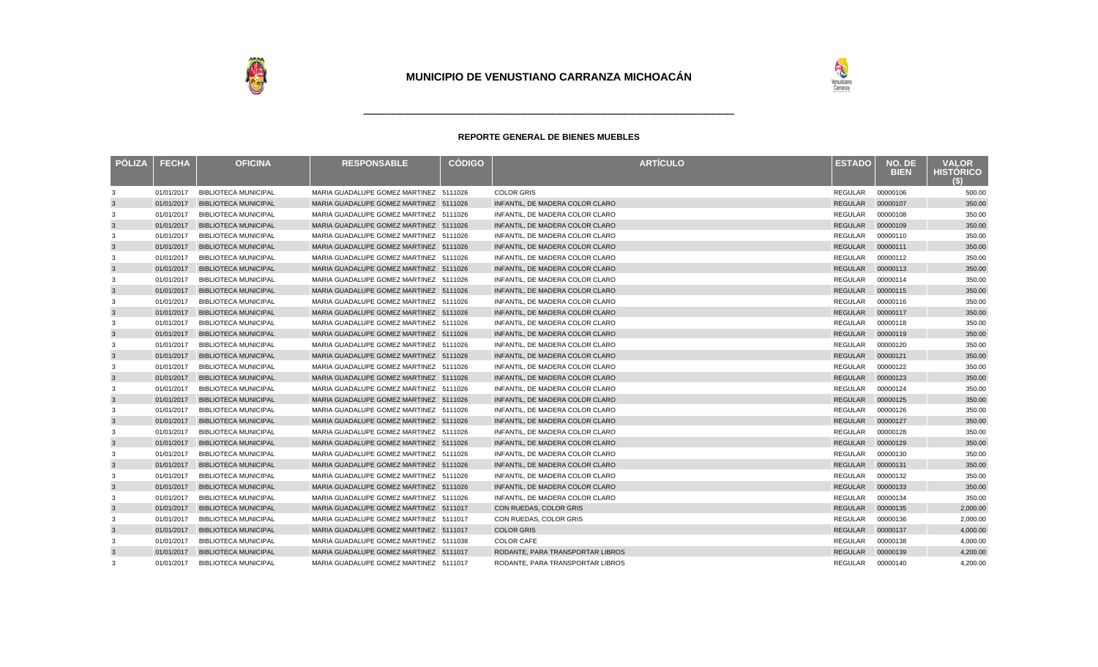

| <b>PÓLIZA</b> | <b>FECHA</b> | <b>OFICINA</b>              | <b>RESPONSABLE</b>                     | <b>CÓDIGO</b> | <b>ARTÍCULO</b>                  | <b>ESTADO</b>  | NO. DE<br><b>BIEN</b> | <b>VALOR</b><br><b>HISTORICO</b> |
|---------------|--------------|-----------------------------|----------------------------------------|---------------|----------------------------------|----------------|-----------------------|----------------------------------|
| 3             | 01/01/2017   | <b>BIBLIOTECA MUNICIPAL</b> | MARIA GUADALUPE GOMEZ MARTINEZ 5111026 |               | <b>COLOR GRIS</b>                | <b>REGULAR</b> | 00000106              | 500.00                           |
| $\mathbf{3}$  | 01/01/2017   | <b>BIBLIOTECA MUNICIPAL</b> | MARIA GUADALUPE GOMEZ MARTINEZ 5111026 |               | INFANTIL, DE MADERA COLOR CLARO  | <b>REGULAR</b> | 00000107              | 350.00                           |
| 3             | 01/01/2017   | <b>BIBLIOTECA MUNICIPAL</b> | MARIA GUADALUPE GOMEZ MARTINEZ 5111026 |               | INFANTIL. DE MADERA COLOR CLARO  | REGULAR        | 00000108              | 350.00                           |
| $\mathbf{3}$  | 01/01/2017   | <b>BIBLIOTECA MUNICIPAL</b> | MARIA GUADALUPE GOMEZ MARTINEZ 5111026 |               | INFANTIL. DE MADERA COLOR CLARO  | <b>REGULAR</b> | 00000109              | 350.00                           |
| 3             | 01/01/2017   | <b>BIBLIOTECA MUNICIPAL</b> | MARIA GUADALUPE GOMEZ MARTINEZ 5111026 |               | INFANTIL. DE MADERA COLOR CLARO  | REGULAR        | 00000110              | 350.00                           |
| $\mathbf{3}$  | 01/01/2017   | <b>BIBLIOTECA MUNICIPAL</b> | MARIA GUADALUPE GOMEZ MARTINEZ 5111026 |               | INFANTIL. DE MADERA COLOR CLARO  | <b>REGULAR</b> | 00000111              | 350.00                           |
| 3             | 01/01/2017   | <b>BIBLIOTECA MUNICIPAL</b> | MARIA GUADALUPE GOMEZ MARTINEZ 5111026 |               | INFANTIL, DE MADERA COLOR CLARO  | REGULAR        | 00000112              | 350.00                           |
| $\mathbf{3}$  | 01/01/2017   | <b>BIBLIOTECA MUNICIPAL</b> | MARIA GUADALUPE GOMEZ MARTINEZ 5111026 |               | INFANTIL. DE MADERA COLOR CLARO  | <b>REGULAR</b> | 00000113              | 350.00                           |
| 3             | 01/01/2017   | <b>BIBLIOTECA MUNICIPAL</b> | MARIA GUADALUPE GOMEZ MARTINEZ 5111026 |               | INFANTIL. DE MADERA COLOR CLARO  | <b>REGULAR</b> | 00000114              | 350.00                           |
| $\mathbf{3}$  | 01/01/2017   | <b>BIBLIOTECA MUNICIPAL</b> | MARIA GUADALUPE GOMEZ MARTINEZ 5111026 |               | INFANTIL, DE MADERA COLOR CLARO  | <b>REGULAR</b> | 00000115              | 350.00                           |
| 3             | 01/01/2017   | <b>BIBLIOTECA MUNICIPAL</b> | MARIA GUADALUPE GOMEZ MARTINEZ 5111026 |               | INFANTIL. DE MADERA COLOR CLARO  | <b>REGULAR</b> | 00000116              | 350.00                           |
| 3             | 01/01/2017   | <b>BIBLIOTECA MUNICIPAL</b> | MARIA GUADALUPE GOMEZ MARTINEZ 5111026 |               | INFANTIL. DE MADERA COLOR CLARO  | <b>REGULAR</b> | 00000117              | 350.00                           |
| 3             | 01/01/2017   | <b>BIBLIOTECA MUNICIPAL</b> | MARIA GUADALUPE GOMEZ MARTINEZ 5111026 |               | INFANTIL. DE MADERA COLOR CLARO  | <b>REGULAR</b> | 00000118              | 350.00                           |
| 3             | 01/01/2017   | <b>BIBLIOTECA MUNICIPAL</b> | MARIA GUADALUPE GOMEZ MARTINEZ 5111026 |               | INFANTIL. DE MADERA COLOR CLARO  | <b>REGULAR</b> | 00000119              | 350.00                           |
| 3             | 01/01/2017   | <b>BIBLIOTECA MUNICIPAL</b> | MARIA GUADALUPE GOMEZ MARTINEZ 5111026 |               | INFANTIL. DE MADERA COLOR CLARO  | <b>REGULAR</b> | 00000120              | 350.00                           |
| 3             | 01/01/2017   | <b>BIBLIOTECA MUNICIPAL</b> | MARIA GUADALUPE GOMEZ MARTINEZ 5111026 |               | INFANTIL. DE MADERA COLOR CLARO  | <b>REGULAR</b> | 00000121              | 350.00                           |
| 3             | 01/01/2017   | <b>BIBLIOTECA MUNICIPAL</b> | MARIA GUADALUPE GOMEZ MARTINEZ 5111026 |               | INFANTIL. DE MADERA COLOR CLARO  | <b>REGULAR</b> | 00000122              | 350.00                           |
| 3             | 01/01/2017   | <b>BIBLIOTECA MUNICIPAL</b> | MARIA GUADALUPE GOMEZ MARTINEZ 5111026 |               | INFANTIL. DE MADERA COLOR CLARO  | <b>REGULAR</b> | 00000123              | 350.00                           |
| 3             | 01/01/2017   | <b>BIBLIOTECA MUNICIPAL</b> | MARIA GUADALUPE GOMEZ MARTINEZ 5111026 |               | INFANTIL, DE MADERA COLOR CLARO  | REGULAR        | 00000124              | 350.00                           |
| $\mathbf{3}$  | 01/01/2017   | <b>BIBLIOTECA MUNICIPAL</b> | MARIA GUADALUPE GOMEZ MARTINEZ 5111026 |               | INFANTIL. DE MADERA COLOR CLARO  | <b>REGULAR</b> | 00000125              | 350.00                           |
| 3             | 01/01/2017   | <b>BIBLIOTECA MUNICIPAL</b> | MARIA GUADALUPE GOMEZ MARTINEZ 5111026 |               | INFANTIL. DE MADERA COLOR CLARO  | <b>REGULAR</b> | 00000126              | 350.00                           |
| $\mathbf{3}$  | 01/01/2017   | <b>BIBLIOTECA MUNICIPAL</b> | MARIA GUADALUPE GOMEZ MARTINEZ 5111026 |               | INFANTIL, DE MADERA COLOR CLARO  | <b>REGULAR</b> | 00000127              | 350.00                           |
| 3             | 01/01/2017   | <b>BIBLIOTECA MUNICIPAL</b> | MARIA GUADALUPE GOMEZ MARTINEZ 5111026 |               | INFANTIL. DE MADERA COLOR CLARO  | <b>REGULAR</b> | 00000128              | 350.00                           |
| $\mathbf{3}$  | 01/01/2017   | <b>BIBLIOTECA MUNICIPAL</b> | MARIA GUADALUPE GOMEZ MARTINEZ 5111026 |               | INFANTIL. DE MADERA COLOR CLARO  | <b>REGULAR</b> | 00000129              | 350.00                           |
| 3             | 01/01/2017   | <b>BIBLIOTECA MUNICIPAL</b> | MARIA GUADALUPE GOMEZ MARTINEZ 5111026 |               | INFANTIL, DE MADERA COLOR CLARO  | <b>REGULAR</b> | 00000130              | 350.00                           |
| $\mathbf{3}$  | 01/01/2017   | <b>BIBLIOTECA MUNICIPAL</b> | MARIA GUADALUPE GOMEZ MARTINEZ 5111026 |               | INFANTIL. DE MADERA COLOR CLARO  | <b>REGULAR</b> | 00000131              | 350.00                           |
| 3             | 01/01/2017   | <b>BIBLIOTECA MUNICIPAL</b> | MARIA GUADALUPE GOMEZ MARTINEZ 5111026 |               | INFANTIL, DE MADERA COLOR CLARO  | REGULAR        | 00000132              | 350.00                           |
| $\mathbf{3}$  | 01/01/2017   | <b>BIBLIOTECA MUNICIPAL</b> | MARIA GUADALUPE GOMEZ MARTINEZ 5111026 |               | INFANTIL. DE MADERA COLOR CLARO  | <b>REGULAR</b> | 00000133              | 350.00                           |
| 3             | 01/01/2017   | <b>BIBLIOTECA MUNICIPAL</b> | MARIA GUADALUPE GOMEZ MARTINEZ 5111026 |               | INFANTIL, DE MADERA COLOR CLARO  | <b>REGULAR</b> | 00000134              | 350.00                           |
| $\mathbf{3}$  | 01/01/2017   | <b>BIBLIOTECA MUNICIPAL</b> | MARIA GUADALUPE GOMEZ MARTINEZ 5111017 |               | CON RUEDAS, COLOR GRIS           | <b>REGULAR</b> | 00000135              | 2,000.00                         |
| 3             | 01/01/2017   | <b>BIBLIOTECA MUNICIPAL</b> | MARIA GUADALUPE GOMEZ MARTINEZ 5111017 |               | CON RUEDAS, COLOR GRIS           | <b>REGULAR</b> | 00000136              | 2,000.00                         |
| $\mathbf{3}$  | 01/01/2017   | <b>BIBLIOTECA MUNICIPAL</b> | MARIA GUADALUPE GOMEZ MARTINEZ 5111017 |               | <b>COLOR GRIS</b>                | <b>REGULAR</b> | 00000137              | 4,000.00                         |
| 3             | 01/01/2017   | <b>BIBLIOTECA MUNICIPAL</b> | MARIA GUADALUPE GOMEZ MARTINEZ 5111038 |               | <b>COLOR CAFE</b>                | REGULAR        | 00000138              | 4,000.00                         |
| $\mathbf{3}$  | 01/01/2017   | <b>BIBLIOTECA MUNICIPAL</b> | MARIA GUADALUPE GOMEZ MARTINEZ 5111017 |               | RODANTE, PARA TRANSPORTAR LIBROS | <b>REGULAR</b> | 00000139              | 4,200.00                         |
| 3             | 01/01/2017   | <b>BIBLIOTECA MUNICIPAL</b> | MARIA GUADALUPE GOMEZ MARTINEZ 5111017 |               | RODANTE, PARA TRANSPORTAR LIBROS | REGULAR        | 00000140              | 4.200.00                         |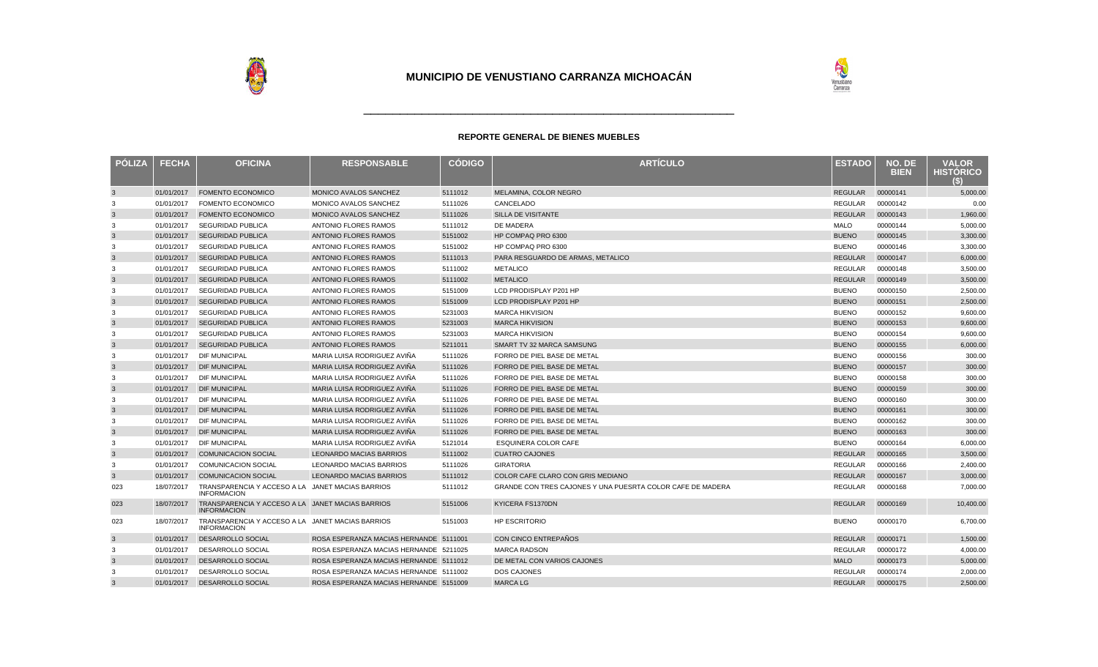

| <b>PÓLIZA</b> | <b>FECHA</b> | <b>OFICINA</b>                                                         | <b>RESPONSABLE</b>                     | <b>CODIGO</b> | <b>ARTÍCULO</b>                                            | <b>ESTADO</b>  | NO. DE<br><b>BIEN</b> | <b>VALOR</b><br><b>HISTORICO</b><br>63) |
|---------------|--------------|------------------------------------------------------------------------|----------------------------------------|---------------|------------------------------------------------------------|----------------|-----------------------|-----------------------------------------|
| $\mathbf{3}$  | 01/01/2017   | <b>FOMENTO ECONOMICO</b>                                               | MONICO AVALOS SANCHEZ                  | 5111012       | MELAMINA, COLOR NEGRO                                      | <b>REGULAR</b> | 00000141              | 5,000.00                                |
| 3             | 01/01/2017   | FOMENTO ECONOMICO                                                      | MONICO AVALOS SANCHEZ                  | 5111026       | CANCELADO                                                  | <b>REGULAR</b> | 00000142              | 0.00                                    |
| 3             | 01/01/2017   | <b>FOMENTO ECONOMICO</b>                                               | <b>MONICO AVALOS SANCHEZ</b>           | 5111026       | <b>SILLA DE VISITANTE</b>                                  | <b>REGULAR</b> | 00000143              | 1,960.00                                |
| 3             | 01/01/2017   | <b>SEGURIDAD PUBLICA</b>                                               | <b>ANTONIO FLORES RAMOS</b>            | 5111012       | DE MADERA                                                  | <b>MALO</b>    | 00000144              | 5,000.00                                |
| $\mathbf{3}$  | 01/01/2017   | <b>SEGURIDAD PUBLICA</b>                                               | <b>ANTONIO FLORES RAMOS</b>            | 5151002       | HP COMPAQ PRO 6300                                         | <b>BUENO</b>   | 00000145              | 3,300.00                                |
| 3             | 01/01/2017   | <b>SEGURIDAD PUBLICA</b>                                               | <b>ANTONIO FLORES RAMOS</b>            | 5151002       | HP COMPAQ PRO 6300                                         | <b>BUENO</b>   | 00000146              | 3,300.00                                |
| 3             | 01/01/2017   | <b>SEGURIDAD PUBLICA</b>                                               | <b>ANTONIO FLORES RAMOS</b>            | 5111013       | PARA RESGUARDO DE ARMAS, METALICO                          | <b>REGULAR</b> | 00000147              | 6,000.00                                |
| 3             | 01/01/2017   | <b>SEGURIDAD PUBLICA</b>                                               | ANTONIO FLORES RAMOS                   | 5111002       | <b>METALICO</b>                                            | <b>REGULAR</b> | 00000148              | 3,500.00                                |
| $\mathbf{3}$  | 01/01/2017   | <b>SEGURIDAD PUBLICA</b>                                               | <b>ANTONIO FLORES RAMOS</b>            | 5111002       | <b>METALICO</b>                                            | <b>REGULAR</b> | 00000149              | 3,500.00                                |
| 3             | 01/01/2017   | <b>SEGURIDAD PUBLICA</b>                                               | <b>ANTONIO FLORES RAMOS</b>            | 5151009       | LCD PRODISPLAY P201 HP                                     | <b>BUENO</b>   | 00000150              | 2,500.00                                |
| 3             | 01/01/2017   | <b>SEGURIDAD PUBLICA</b>                                               | <b>ANTONIO FLORES RAMOS</b>            | 5151009       | <b>LCD PRODISPLAY P201 HP</b>                              | <b>BUENO</b>   | 00000151              | 2,500.00                                |
| 3             | 01/01/2017   | <b>SEGURIDAD PUBLICA</b>                                               | ANTONIO FLORES RAMOS                   | 5231003       | <b>MARCA HIKVISION</b>                                     | <b>BUENO</b>   | 00000152              | 9,600.00                                |
| $\mathbf{3}$  | 01/01/2017   | <b>SEGURIDAD PUBLICA</b>                                               | <b>ANTONIO FLORES RAMOS</b>            | 5231003       | <b>MARCA HIKVISION</b>                                     | <b>BUENO</b>   | 00000153              | 9,600.00                                |
| 3             | 01/01/2017   | <b>SEGURIDAD PUBLICA</b>                                               | ANTONIO FLORES RAMOS                   | 5231003       | <b>MARCA HIKVISION</b>                                     | <b>BUENO</b>   | 00000154              | 9,600.00                                |
| 3             | 01/01/2017   | <b>SEGURIDAD PUBLICA</b>                                               | ANTONIO FLORES RAMOS                   | 5211011       | SMART TV 32 MARCA SAMSUNG                                  | <b>BUENO</b>   | 00000155              | 6,000.00                                |
| 3             | 01/01/2017   | <b>DIF MUNICIPAL</b>                                                   | MARIA LUISA RODRIGUEZ AVIÑA            | 5111026       | FORRO DE PIEL BASE DE METAL                                | <b>BUENO</b>   | 00000156              | 300.00                                  |
| $\mathbf{3}$  | 01/01/2017   | <b>DIF MUNICIPAL</b>                                                   | MARIA LUISA RODRIGUEZ AVIÑA            | 5111026       | FORRO DE PIEL BASE DE METAL                                | <b>BUENO</b>   | 00000157              | 300.00                                  |
| 3             | 01/01/2017   | <b>DIF MUNICIPAL</b>                                                   | MARIA LUISA RODRIGUEZ AVIÑA            | 5111026       | FORRO DE PIEL BASE DE METAL                                | <b>BUENO</b>   | 00000158              | 300.00                                  |
| $\mathbf{3}$  | 01/01/2017   | <b>DIF MUNICIPAL</b>                                                   | MARIA LUISA RODRIGUEZ AVIÑA            | 5111026       | FORRO DE PIEL BASE DE METAL                                | <b>BUENO</b>   | 00000159              | 300.00                                  |
| 3             | 01/01/2017   | <b>DIF MUNICIPAL</b>                                                   | MARIA LUISA RODRIGUEZ AVIÑA            | 5111026       | FORRO DE PIEL BASE DE METAL                                | <b>BUENO</b>   | 00000160              | 300.00                                  |
| $\mathbf{3}$  | 01/01/2017   | <b>DIF MUNICIPAL</b>                                                   | MARIA LUISA RODRIGUEZ AVIÑA            | 5111026       | FORRO DE PIEL BASE DE METAL                                | <b>BUENO</b>   | 00000161              | 300.00                                  |
| 3             | 01/01/2017   | <b>DIF MUNICIPAL</b>                                                   | MARIA LUISA RODRIGUEZ AVIÑA            | 5111026       | FORRO DE PIEL BASE DE METAL                                | <b>BUENO</b>   | 00000162              | 300.00                                  |
| 3             | 01/01/2017   | <b>DIF MUNICIPAL</b>                                                   | MARIA LUISA RODRIGUEZ AVIÑA            | 5111026       | FORRO DE PIEL BASE DE METAL                                | <b>BUENO</b>   | 00000163              | 300.00                                  |
| 3             | 01/01/2017   | <b>DIF MUNICIPAL</b>                                                   | MARIA LUISA RODRIGUEZ AVIÑA            | 5121014       | <b>ESQUINERA COLOR CAFE</b>                                | <b>BUENO</b>   | 00000164              | 6,000.00                                |
| $\mathbf{3}$  | 01/01/2017   | <b>COMUNICACION SOCIAL</b>                                             | <b>LEONARDO MACIAS BARRIOS</b>         | 5111002       | <b>CUATRO CAJONES</b>                                      | <b>REGULAR</b> | 00000165              | 3.500.00                                |
| 3             | 01/01/2017   | <b>COMUNICACION SOCIAL</b>                                             | <b>LEONARDO MACIAS BARRIOS</b>         | 5111026       | <b>GIRATORIA</b>                                           | <b>REGULAR</b> | 00000166              | 2,400.00                                |
| $\mathbf{3}$  | 01/01/2017   | <b>COMUNICACION SOCIAL</b>                                             | <b>LEONARDO MACIAS BARRIOS</b>         | 5111012       | COLOR CAFE CLARO CON GRIS MEDIANO                          | <b>REGULAR</b> | 00000167              | 3,000.00                                |
| 023           | 18/07/2017   | TRANSPARENCIA Y ACCESO A LA JANET MACIAS BARRIOS<br><b>INFORMACION</b> |                                        | 5111012       | GRANDE CON TRES CAJONES Y UNA PUESRTA COLOR CAFE DE MADERA | <b>REGULAR</b> | 00000168              | 7,000.00                                |
| 023           | 18/07/2017   | TRANSPARENCIA Y ACCESO A LA JANET MACIAS BARRIOS<br><b>INFORMACION</b> |                                        | 5151006       | KYICERA FS1370DN                                           | <b>REGULAR</b> | 00000169              | 10,400.00                               |
| 023           | 18/07/2017   | TRANSPARENCIA Y ACCESO A LA JANET MACIAS BARRIOS<br><b>INFORMACION</b> |                                        | 5151003       | <b>HP ESCRITORIO</b>                                       | <b>BUENO</b>   | 00000170              | 6,700.00                                |
| 3             | 01/01/2017   | DESARROLLO SOCIAL                                                      | ROSA ESPERANZA MACIAS HERNANDE 5111001 |               | CON CINCO ENTREPAÑOS                                       | <b>REGULAR</b> | 00000171              | 1,500.00                                |
| 3             | 01/01/2017   | DESARROLLO SOCIAL                                                      | ROSA ESPERANZA MACIAS HERNANDE 5211025 |               | <b>MARCA RADSON</b>                                        | REGULAR        | 00000172              | 4,000.00                                |
| 3             | 01/01/2017   | <b>DESARROLLO SOCIAL</b>                                               | ROSA ESPERANZA MACIAS HERNANDE 5111012 |               | DE METAL CON VARIOS CAJONES                                | <b>MALO</b>    | 00000173              | 5,000.00                                |
| 3             | 01/01/2017   | DESARROLLO SOCIAL                                                      | ROSA ESPERANZA MACIAS HERNANDE 5111002 |               | DOS CAJONES                                                | REGULAR        | 00000174              | 2,000.00                                |
| $\mathbf{3}$  | 01/01/2017   | <b>DESARROLLO SOCIAL</b>                                               | ROSA ESPERANZA MACIAS HERNANDE 5151009 |               | <b>MARCALG</b>                                             | REGULAR        | 00000175              | 2,500.00                                |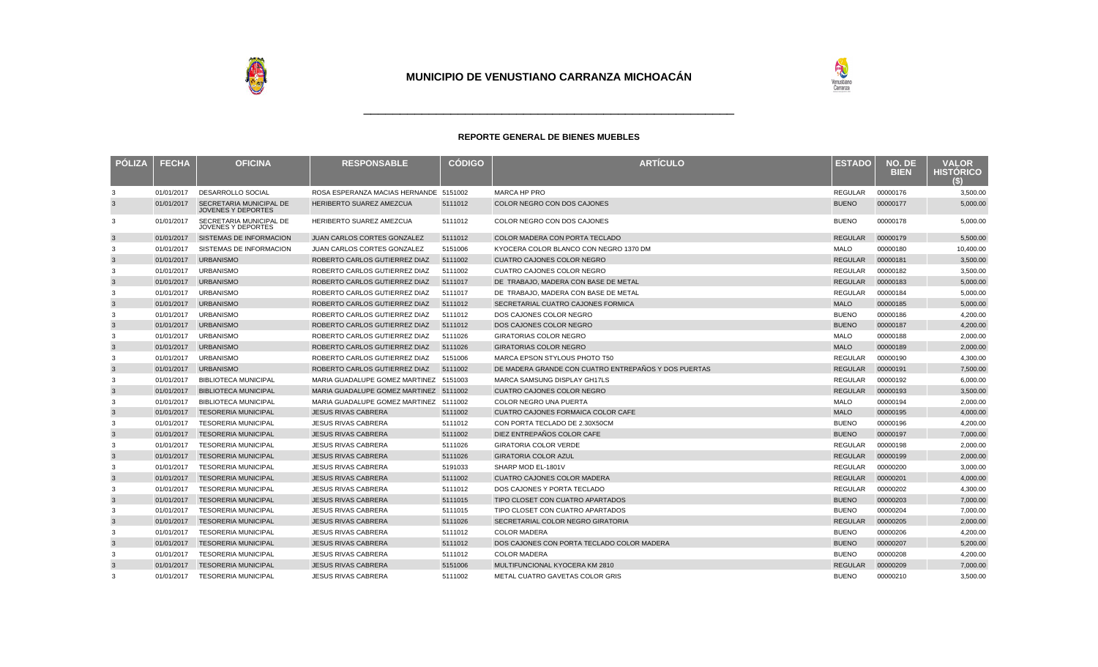

| <b>PÓLIZA</b> | <b>FECHA</b> | <b>OFICINA</b>                                              | <b>RESPONSABLE</b>                     | <b>CODIGO</b> | <b>ARTÍCULO</b>                                      | <b>ESTADO</b>  | NO. DE<br><b>BIEN</b> | <b>VALOR</b><br><b>HISTORICO</b><br>63) |
|---------------|--------------|-------------------------------------------------------------|----------------------------------------|---------------|------------------------------------------------------|----------------|-----------------------|-----------------------------------------|
| 3             | 01/01/2017   | <b>DESARROLLO SOCIAL</b>                                    | ROSA ESPERANZA MACIAS HERNANDE 5151002 |               | MARCA HP PRO                                         | <b>REGULAR</b> | 00000176              | 3,500.00                                |
| 3             | 01/01/2017   | <b>SECRETARIA MUNICIPAL DE</b><br><b>JOVENES Y DEPORTES</b> | <b>HERIBERTO SUAREZ AMEZCUA</b>        | 5111012       | COLOR NEGRO CON DOS CAJONES                          | <b>BUENO</b>   | 00000177              | 5,000.00                                |
| 3             | 01/01/2017   | SECRETARIA MUNICIPAL DE<br>JOVENES Y DEPORTES               | HERIBERTO SUAREZ AMEZCUA               | 5111012       | COLOR NEGRO CON DOS CAJONES                          | <b>BUENO</b>   | 00000178              | 5,000.00                                |
| $\mathbf{3}$  | 01/01/2017   | SISTEMAS DE INFORMACION                                     | <b>JUAN CARLOS CORTES GONZALEZ</b>     | 5111012       | COLOR MADERA CON PORTA TECLADO                       | <b>REGULAR</b> | 00000179              | 5,500.00                                |
| 3             | 01/01/2017   | SISTEMAS DE INFORMACION                                     | JUAN CARLOS CORTES GONZALEZ            | 5151006       | KYOCERA COLOR BLANCO CON NEGRO 1370 DM               | <b>MALO</b>    | 00000180              | 10.400.00                               |
| $\mathbf{3}$  | 01/01/2017   | <b>URBANISMO</b>                                            | ROBERTO CARLOS GUTIERREZ DIAZ          | 5111002       | <b>CUATRO CAJONES COLOR NEGRO</b>                    | <b>REGULAR</b> | 00000181              | 3,500.00                                |
| 3             | 01/01/2017   | <b>URBANISMO</b>                                            | ROBERTO CARLOS GUTIERREZ DIAZ          | 5111002       | <b>CUATRO CAJONES COLOR NEGRO</b>                    | <b>REGULAR</b> | 00000182              | 3,500.00                                |
| $\mathbf{3}$  | 01/01/2017   | <b>URBANISMO</b>                                            | ROBERTO CARLOS GUTIERREZ DIAZ          | 5111017       | DE TRABAJO, MADERA CON BASE DE METAL                 | <b>REGULAR</b> | 00000183              | 5,000.00                                |
| 3             | 01/01/2017   | <b>URBANISMO</b>                                            | ROBERTO CARLOS GUTIERREZ DIAZ          | 5111017       | DE TRABAJO, MADERA CON BASE DE METAL                 | <b>REGULAR</b> | 00000184              | 5,000.00                                |
| $\mathbf{3}$  | 01/01/2017   | <b>URBANISMO</b>                                            | ROBERTO CARLOS GUTIERREZ DIAZ          | 5111012       | SECRETARIAL CUATRO CAJONES FORMICA                   | <b>MALO</b>    | 00000185              | 5,000.00                                |
| 3             | 01/01/2017   | <b>URBANISMO</b>                                            | ROBERTO CARLOS GUTIERREZ DIAZ          | 5111012       | DOS CAJONES COLOR NEGRO                              | <b>BUENO</b>   | 00000186              | 4,200.00                                |
| $\mathbf{3}$  | 01/01/2017   | <b>URBANISMO</b>                                            | ROBERTO CARLOS GUTIERREZ DIAZ          | 5111012       | DOS CAJONES COLOR NEGRO                              | <b>BUENO</b>   | 00000187              | 4,200.00                                |
| 3             | 01/01/2017   | <b>URBANISMO</b>                                            | ROBERTO CARLOS GUTIERREZ DIAZ          | 5111026       | <b>GIRATORIAS COLOR NEGRO</b>                        | <b>MALO</b>    | 00000188              | 2,000.00                                |
| $\mathbf{3}$  | 01/01/2017   | <b>URBANISMO</b>                                            | ROBERTO CARLOS GUTIERREZ DIAZ          | 5111026       | <b>GIRATORIAS COLOR NEGRO</b>                        | <b>MALO</b>    | 00000189              | 2,000.00                                |
| 3             | 01/01/2017   | <b>URBANISMO</b>                                            | ROBERTO CARLOS GUTIERREZ DIAZ          | 5151006       | MARCA EPSON STYLOUS PHOTO T50                        | <b>REGULAR</b> | 00000190              | 4,300.00                                |
| 3             | 01/01/2017   | <b>URBANISMO</b>                                            | ROBERTO CARLOS GUTIERREZ DIAZ          | 5111002       | DE MADERA GRANDE CON CUATRO ENTREPAÑOS Y DOS PUERTAS | <b>REGULAR</b> | 00000191              | 7,500.00                                |
| 3             | 01/01/2017   | <b>BIBLIOTECA MUNICIPAL</b>                                 | MARIA GUADALUPE GOMEZ MARTINEZ 5151003 |               | MARCA SAMSUNG DISPLAY GH17LS                         | <b>REGULAR</b> | 00000192              | 6,000.00                                |
| $\mathbf{3}$  | 01/01/2017   | <b>BIBLIOTECA MUNICIPAL</b>                                 | MARIA GUADALUPE GOMEZ MARTINEZ 5111002 |               | <b>CUATRO CAJONES COLOR NEGRO</b>                    | <b>REGULAR</b> | 00000193              | 3,500.00                                |
| 3             | 01/01/2017   | <b>BIBLIOTECA MUNICIPAL</b>                                 | MARIA GUADALUPE GOMEZ MARTINEZ 5111002 |               | COLOR NEGRO UNA PUERTA                               | <b>MALO</b>    | 00000194              | 2,000.00                                |
| $\mathbf{3}$  | 01/01/2017   | <b>TESORERIA MUNICIPAL</b>                                  | <b>JESUS RIVAS CABRERA</b>             | 5111002       | CUATRO CAJONES FORMAICA COLOR CAFE                   | <b>MALO</b>    | 00000195              | 4,000.00                                |
| 3             | 01/01/2017   | <b>TESORERIA MUNICIPAL</b>                                  | <b>JESUS RIVAS CABRERA</b>             | 5111012       | CON PORTA TECLADO DE 2.30X50CM                       | <b>BUENO</b>   | 00000196              | 4,200.00                                |
| $\mathbf{3}$  | 01/01/2017   | <b>TESORERIA MUNICIPAL</b>                                  | <b>JESUS RIVAS CABRERA</b>             | 5111002       | DIEZ ENTREPAÑOS COLOR CAFE                           | <b>BUENO</b>   | 00000197              | 7,000.00                                |
| 3             | 01/01/2017   | <b>TESORERIA MUNICIPAL</b>                                  | <b>JESUS RIVAS CABRERA</b>             | 5111026       | <b>GIRATORIA COLOR VERDE</b>                         | <b>REGULAR</b> | 00000198              | 2,000.00                                |
| $\mathbf{3}$  | 01/01/2017   | <b>TESORERIA MUNICIPAL</b>                                  | <b>JESUS RIVAS CABRERA</b>             | 5111026       | <b>GIRATORIA COLOR AZUL</b>                          | <b>REGULAR</b> | 00000199              | 2,000.00                                |
| 3             | 01/01/2017   | <b>TESORERIA MUNICIPAL</b>                                  | <b>JESUS RIVAS CABRERA</b>             | 5191033       | SHARP MOD EL-1801V                                   | <b>REGULAR</b> | 00000200              | 3,000.00                                |
| $\mathbf{3}$  | 01/01/2017   | <b>TESORERIA MUNICIPAL</b>                                  | <b>JESUS RIVAS CABRERA</b>             | 5111002       | <b>CUATRO CAJONES COLOR MADERA</b>                   | <b>REGULAR</b> | 00000201              | 4,000.00                                |
| 3             | 01/01/2017   | <b>TESORERIA MUNICIPAL</b>                                  | <b>JESUS RIVAS CABRERA</b>             | 5111012       | DOS CAJONES Y PORTA TECLADO                          | <b>REGULAR</b> | 00000202              | 4,300.00                                |
| $\mathbf{3}$  | 01/01/2017   | <b>TESORERIA MUNICIPAL</b>                                  | <b>JESUS RIVAS CABRERA</b>             | 5111015       | TIPO CLOSET CON CUATRO APARTADOS                     | <b>BUENO</b>   | 00000203              | 7,000.00                                |
| 3             | 01/01/2017   | <b>TESORERIA MUNICIPAL</b>                                  | <b>JESUS RIVAS CABRERA</b>             | 5111015       | TIPO CLOSET CON CUATRO APARTADOS                     | <b>BUENO</b>   | 00000204              | 7,000.00                                |
| $\mathbf{3}$  | 01/01/2017   | <b>TESORERIA MUNICIPAL</b>                                  | <b>JESUS RIVAS CABRERA</b>             | 5111026       | SECRETARIAL COLOR NEGRO GIRATORIA                    | <b>REGULAR</b> | 00000205              | 2,000.00                                |
| 3             | 01/01/2017   | <b>TESORERIA MUNICIPAL</b>                                  | <b>JESUS RIVAS CABRERA</b>             | 5111012       | <b>COLOR MADERA</b>                                  | <b>BUENO</b>   | 00000206              | 4,200.00                                |
| $\mathbf{3}$  | 01/01/2017   | <b>TESORERIA MUNICIPAL</b>                                  | <b>JESUS RIVAS CABRERA</b>             | 5111012       | DOS CAJONES CON PORTA TECLADO COLOR MADERA           | <b>BUENO</b>   | 00000207              | 5,200.00                                |
| 3             | 01/01/2017   | <b>TESORERIA MUNICIPAL</b>                                  | <b>JESUS RIVAS CABRERA</b>             | 5111012       | <b>COLOR MADERA</b>                                  | <b>BUENO</b>   | 00000208              | 4,200.00                                |
| $\mathbf{3}$  | 01/01/2017   | <b>TESORERIA MUNICIPAL</b>                                  | <b>JESUS RIVAS CABRERA</b>             | 5151006       | MULTIFUNCIONAL KYOCERA KM 2810                       | <b>REGULAR</b> | 00000209              | 7,000.00                                |
| 3             | 01/01/2017   | <b>TESORERIA MUNICIPAL</b>                                  | <b>JESUS RIVAS CABRERA</b>             | 5111002       | METAL CUATRO GAVETAS COLOR GRIS                      | <b>BUENO</b>   | 00000210              | 3,500.00                                |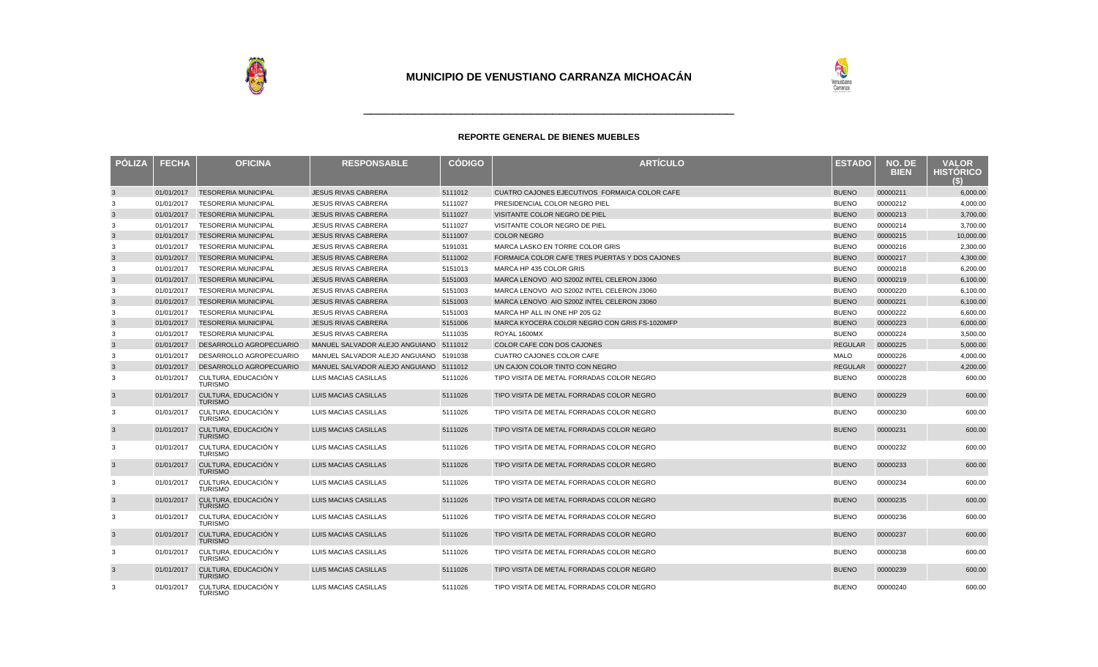

| PÓLIZA       | <b>FECHA</b> | <b>OFICINA</b>                         | <b>RESPONSABLE</b>                     | <b>CÓDIGO</b> | <b>ARTÍCULO</b>                                | <b>ESTADO</b>  | NO. DE<br><b>BIEN</b> | <b>VALOR</b><br><b>HISTORICO</b><br>S) |
|--------------|--------------|----------------------------------------|----------------------------------------|---------------|------------------------------------------------|----------------|-----------------------|----------------------------------------|
| $\mathbf{3}$ | 01/01/2017   | <b>TESORERIA MUNICIPAL</b>             | <b>JESUS RIVAS CABRERA</b>             | 5111012       | CUATRO CAJONES EJECUTIVOS FORMAICA COLOR CAFE  | <b>BUENO</b>   | 00000211              | 6,000.00                               |
| 3            | 01/01/2017   | <b>TESORERIA MUNICIPAL</b>             | <b>JESUS RIVAS CABRERA</b>             | 5111027       | PRESIDENCIAL COLOR NEGRO PIEL                  | <b>BUENO</b>   | 00000212              | 4,000.00                               |
| $\mathbf{3}$ | 01/01/2017   | <b>TESORERIA MUNICIPAL</b>             | <b>JESUS RIVAS CABRERA</b>             | 5111027       | VISITANTE COLOR NEGRO DE PIEL                  | <b>BUENO</b>   | 00000213              | 3,700.00                               |
| 3            | 01/01/2017   | <b>TESORERIA MUNICIPAL</b>             | <b>JESUS RIVAS CABRERA</b>             | 5111027       | VISITANTE COLOR NEGRO DE PIEL                  | <b>BUENO</b>   | 00000214              | 3,700.00                               |
| $\mathbf{3}$ | 01/01/2017   | <b>TESORERIA MUNICIPAL</b>             | <b>JESUS RIVAS CABRERA</b>             | 5111007       | <b>COLOR NEGRO</b>                             | <b>BUENO</b>   | 00000215              | 10,000.00                              |
| 3            | 01/01/2017   | <b>TESORERIA MUNICIPAL</b>             | <b>JESUS RIVAS CABRERA</b>             | 5191031       | MARCA LASKO EN TORRE COLOR GRIS                | <b>BUENO</b>   | 00000216              | 2,300.00                               |
| $\mathbf{3}$ | 01/01/2017   | <b>TESORERIA MUNICIPAL</b>             | <b>JESUS RIVAS CABRERA</b>             | 5111002       | FORMAICA COLOR CAFE TRES PUERTAS Y DOS CAJONES | <b>BUENO</b>   | 00000217              | 4,300.00                               |
| 3            | 01/01/2017   | <b>TESORERIA MUNICIPAL</b>             | <b>JESUS RIVAS CABRERA</b>             | 5151013       | MARCA HP 435 COLOR GRIS                        | <b>BUENO</b>   | 00000218              | 6,200.00                               |
| $\mathbf{3}$ | 01/01/2017   | <b>TESORERIA MUNICIPAL</b>             | <b>JESUS RIVAS CABRERA</b>             | 5151003       | MARCA LENOVO AIO S200Z INTEL CELERON J3060     | <b>BUENO</b>   | 00000219              | 6,100.00                               |
| 3            | 01/01/2017   | <b>TESORERIA MUNICIPAL</b>             | <b>JESUS RIVAS CABRERA</b>             | 5151003       | MARCA LENOVO AIO S200Z INTEL CELERON J3060     | <b>BUENO</b>   | 00000220              | 6,100.00                               |
| $\mathbf{3}$ | 01/01/2017   | <b>TESORERIA MUNICIPAL</b>             | <b>JESUS RIVAS CABRERA</b>             | 5151003       | MARCA LENOVO AIO S200Z INTEL CELERON J3060     | <b>BUENO</b>   | 00000221              | 6,100.00                               |
| 3            | 01/01/2017   | <b>TESORERIA MUNICIPAL</b>             | <b>JESUS RIVAS CABRERA</b>             | 5151003       | MARCA HP ALL IN ONE HP 205 G2                  | <b>BUENO</b>   | 00000222              | 6,600.00                               |
| $\mathbf{3}$ | 01/01/2017   | <b>TESORERIA MUNICIPAL</b>             | <b>JESUS RIVAS CABRERA</b>             | 5151006       | MARCA KYOCERA COLOR NEGRO CON GRIS FS-1020MFP  | <b>BUENO</b>   | 00000223              | 6,000.00                               |
| 3            | 01/01/2017   | <b>TESORERIA MUNICIPAL</b>             | <b>JESUS RIVAS CABRERA</b>             | 5111035       | ROYAL 1600MX                                   | <b>BUENO</b>   | 00000224              | 3,500.00                               |
| $\mathbf{3}$ | 01/01/2017   | DESARROLLO AGROPECUARIO                | MANUEL SALVADOR ALEJO ANGUIANO 5111012 |               | COLOR CAFE CON DOS CAJONES                     | <b>REGULAR</b> | 00000225              | 5,000.00                               |
| 3            | 01/01/2017   | DESARROLLO AGROPECUARIO                | MANUEL SALVADOR ALEJO ANGUIANO 5191038 |               | CUATRO CAJONES COLOR CAFE                      | <b>MALO</b>    | 00000226              | 4,000.00                               |
| $\mathbf{3}$ | 01/01/2017   | DESARROLLO AGROPECUARIO                | MANUEL SALVADOR ALEJO ANGUIANO 5111012 |               | UN CAJON COLOR TINTO CON NEGRO                 | <b>REGULAR</b> | 00000227              | 4,200.00                               |
| 3            | 01/01/2017   | CULTURA, EDUCACIÓN Y<br><b>TURISMO</b> | LUIS MACIAS CASILLAS                   | 5111026       | TIPO VISITA DE METAL FORRADAS COLOR NEGRO      | <b>BUENO</b>   | 00000228              | 600.00                                 |
| 3            | 01/01/2017   | CULTURA, EDUCACIÓN Y<br>TURISMO        | <b>LUIS MACIAS CASILLAS</b>            | 5111026       | TIPO VISITA DE METAL FORRADAS COLOR NEGRO      | <b>BUENO</b>   | 00000229              | 600.00                                 |
| 3            | 01/01/2017   | CULTURA, EDUCACIÓN Y<br><b>TURISMO</b> | LUIS MACIAS CASILLAS                   | 5111026       | TIPO VISITA DE METAL FORRADAS COLOR NEGRO      | <b>BUENO</b>   | 00000230              | 600.00                                 |
| $\mathbf{3}$ | 01/01/2017   | CULTURA, EDUCACIÓN Y<br><b>TURISMO</b> | <b>LUIS MACIAS CASILLAS</b>            | 5111026       | TIPO VISITA DE METAL FORRADAS COLOR NEGRO      | <b>BUENO</b>   | 00000231              | 600.00                                 |
| 3            | 01/01/2017   | CULTURA, EDUCACIÓN Y<br><b>TURISMO</b> | LUIS MACIAS CASILLAS                   | 5111026       | TIPO VISITA DE METAL FORRADAS COLOR NEGRO      | <b>BUENO</b>   | 00000232              | 600.00                                 |
| $\mathbf{3}$ | 01/01/2017   | CULTURA, EDUCACIÓN Y<br><b>TURISMO</b> | LUIS MACIAS CASILLAS                   | 5111026       | TIPO VISITA DE METAL FORRADAS COLOR NEGRO      | <b>BUENO</b>   | 00000233              | 600.00                                 |
| 3            | 01/01/2017   | CULTURA, EDUCACIÓN Y<br><b>TURISMO</b> | LUIS MACIAS CASILLAS                   | 5111026       | TIPO VISITA DE METAL FORRADAS COLOR NEGRO      | <b>BUENO</b>   | 00000234              | 600.00                                 |
| 3            | 01/01/2017   | CULTURA. EDUCACIÓN Y<br><b>TURISMO</b> | LUIS MACIAS CASILLAS                   | 5111026       | TIPO VISITA DE METAL FORRADAS COLOR NEGRO      | <b>BUENO</b>   | 00000235              | 600.00                                 |
| 3            | 01/01/2017   | CULTURA, EDUCACIÓN Y<br><b>TURISMO</b> | LUIS MACIAS CASILLAS                   | 5111026       | TIPO VISITA DE METAL FORRADAS COLOR NEGRO      | <b>BUENO</b>   | 00000236              | 600.00                                 |
| $\mathbf{3}$ | 01/01/2017   | CULTURA, EDUCACIÓN Y<br><b>TURISMO</b> | <b>LUIS MACIAS CASILLAS</b>            | 5111026       | TIPO VISITA DE METAL FORRADAS COLOR NEGRO      | <b>BUENO</b>   | 00000237              | 600.00                                 |
| 3            | 01/01/2017   | CULTURA, EDUCACIÓN Y<br><b>TURISMO</b> | LUIS MACIAS CASILLAS                   | 5111026       | TIPO VISITA DE METAL FORRADAS COLOR NEGRO      | <b>BUENO</b>   | 00000238              | 600.00                                 |
| $\mathbf{3}$ | 01/01/2017   | CULTURA, EDUCACIÓN Y<br><b>TURISMO</b> | <b>LUIS MACIAS CASILLAS</b>            | 5111026       | TIPO VISITA DE METAL FORRADAS COLOR NEGRO      | <b>BUENO</b>   | 00000239              | 600.00                                 |
| 3            | 01/01/2017   | CULTURA, EDUCACIÓN Y<br><b>TURISMO</b> | <b>LUIS MACIAS CASILLAS</b>            | 5111026       | TIPO VISITA DE METAL FORRADAS COLOR NEGRO      | <b>BUENO</b>   | 00000240              | 600.00                                 |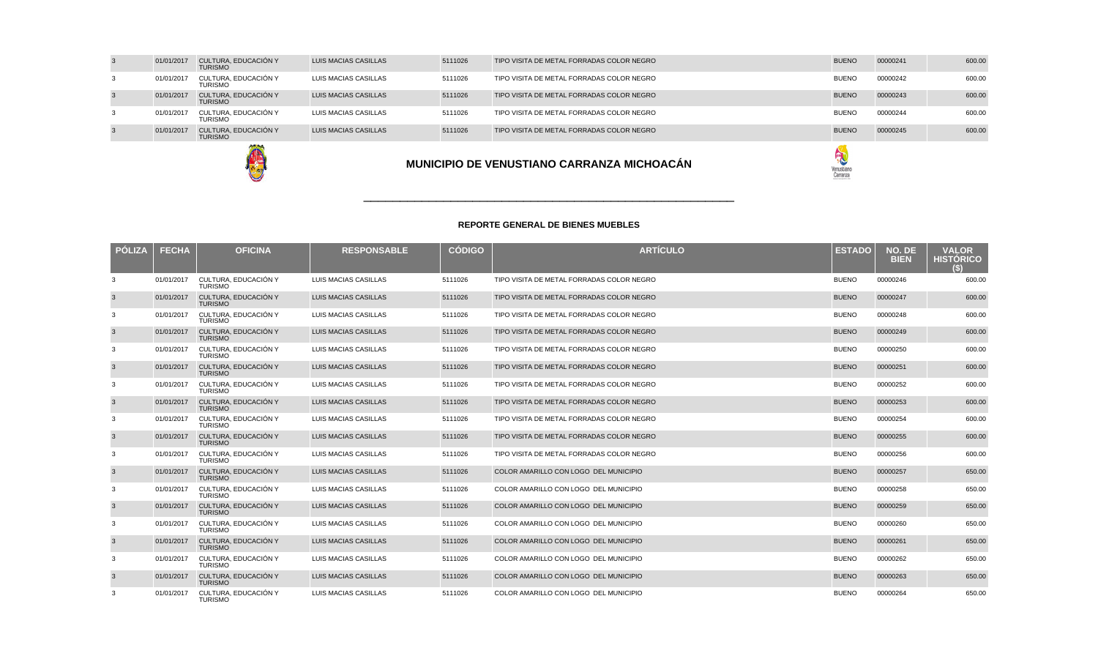|   |            | <b>AND SHA</b>                         |                      |         | MUNICIPIO DE VENUSTIANO CARRANZA MICHOACÁN | Venustiano<br>Carranza |          |        |
|---|------------|----------------------------------------|----------------------|---------|--------------------------------------------|------------------------|----------|--------|
|   | 01/01/2017 | CULTURA. EDUCACIÓN Y<br><b>TURISMO</b> | LUIS MACIAS CASILLAS | 5111026 | TIPO VISITA DE METAL FORRADAS COLOR NEGRO  | <b>BUENO</b>           | 00000245 | 600.00 |
| 3 | 01/01/2017 | CULTURA. EDUCACIÓN Y<br><b>TURISMO</b> | LUIS MACIAS CASILLAS | 5111026 | TIPO VISITA DE METAL FORRADAS COLOR NEGRO  | <b>BUENO</b>           | 00000244 | 600.00 |
|   | 01/01/2017 | CULTURA, EDUCACIÓN Y<br><b>TURISMO</b> | LUIS MACIAS CASILLAS | 5111026 | TIPO VISITA DE METAL FORRADAS COLOR NEGRO  | <b>BUENO</b>           | 00000243 | 600.00 |
| 3 | 01/01/2017 | CULTURA. EDUCACIÓN Y<br><b>TURISMO</b> | LUIS MACIAS CASILLAS | 5111026 | TIPO VISITA DE METAL FORRADAS COLOR NEGRO  | <b>BUENO</b>           | 00000242 | 600.00 |
|   | 01/01/2017 | CULTURA, EDUCACIÓN Y<br><b>TURISMO</b> | LUIS MACIAS CASILLAS | 5111026 | TIPO VISITA DE METAL FORRADAS COLOR NEGRO  | <b>BUENO</b>           | 00000241 | 600.00 |
|   |            |                                        |                      |         |                                            |                        |          |        |



| <b>POLIZA</b> | <b>FECHA</b> | <b>OFICINA</b>                         | <b>RESPONSABLE</b>          | <b>CÓDIGO</b> | <b>ARTÍCULO</b>                           | <b>ESTADO</b> | NO. DE<br><b>BIEN</b> | <b>VALOR</b><br><b>HISTÓRICO</b><br>$\left( 5\right)$ |
|---------------|--------------|----------------------------------------|-----------------------------|---------------|-------------------------------------------|---------------|-----------------------|-------------------------------------------------------|
| 3             | 01/01/2017   | CULTURA. EDUCACIÓN Y<br><b>TURISMO</b> | LUIS MACIAS CASILLAS        | 5111026       | TIPO VISITA DE METAL FORRADAS COLOR NEGRO | <b>BUENO</b>  | 00000246              | 600.00                                                |
|               | 01/01/2017   | CULTURA, EDUCACIÓN Y<br><b>TURISMO</b> | LUIS MACIAS CASILLAS        | 5111026       | TIPO VISITA DE METAL FORRADAS COLOR NEGRO | <b>BUENO</b>  | 00000247              | 600.00                                                |
| 3             | 01/01/2017   | CULTURA. EDUCACIÓN Y<br><b>TURISMO</b> | LUIS MACIAS CASILLAS        | 5111026       | TIPO VISITA DE METAL FORRADAS COLOR NEGRO | <b>BUENO</b>  | 00000248              | 600.00                                                |
|               | 01/01/2017   | CULTURA, EDUCACIÓN Y<br><b>TURISMO</b> | LUIS MACIAS CASILLAS        | 5111026       | TIPO VISITA DE METAL FORRADAS COLOR NEGRO | <b>BUENO</b>  | 00000249              | 600.00                                                |
| 3             | 01/01/2017   | CULTURA, EDUCACIÓN Y<br><b>TURISMO</b> | LUIS MACIAS CASILLAS        | 5111026       | TIPO VISITA DE METAL FORRADAS COLOR NEGRO | <b>BUENO</b>  | 00000250              | 600.00                                                |
|               | 01/01/2017   | CULTURA, EDUCACIÓN Y<br><b>TURISMO</b> | LUIS MACIAS CASILLAS        | 5111026       | TIPO VISITA DE METAL FORRADAS COLOR NEGRO | <b>BUENO</b>  | 00000251              | 600.00                                                |
| 3             | 01/01/2017   | CULTURA, EDUCACIÓN Y<br><b>TURISMO</b> | LUIS MACIAS CASILLAS        | 5111026       | TIPO VISITA DE METAL FORRADAS COLOR NEGRO | <b>BUENO</b>  | 00000252              | 600.00                                                |
| 3             | 01/01/2017   | CULTURA, EDUCACIÓN Y<br><b>TURISMO</b> | LUIS MACIAS CASILLAS        | 5111026       | TIPO VISITA DE METAL FORRADAS COLOR NEGRO | <b>BUENO</b>  | 00000253              | 600.00                                                |
| 3             | 01/01/2017   | CULTURA, EDUCACIÓN Y<br><b>TURISMO</b> | LUIS MACIAS CASILLAS        | 5111026       | TIPO VISITA DE METAL FORRADAS COLOR NEGRO | <b>BUENO</b>  | 00000254              | 600.00                                                |
|               | 01/01/2017   | CULTURA. EDUCACIÓN Y<br><b>TURISMO</b> | <b>LUIS MACIAS CASILLAS</b> | 5111026       | TIPO VISITA DE METAL FORRADAS COLOR NEGRO | <b>BUENO</b>  | 00000255              | 600.00                                                |
| 3             | 01/01/2017   | CULTURA. EDUCACIÓN Y<br><b>TURISMO</b> | LUIS MACIAS CASILLAS        | 5111026       | TIPO VISITA DE METAL FORRADAS COLOR NEGRO | <b>BUENO</b>  | 00000256              | 600.00                                                |
| 3             | 01/01/2017   | CULTURA, EDUCACIÓN Y<br><b>TURISMO</b> | LUIS MACIAS CASILLAS        | 5111026       | COLOR AMARILLO CON LOGO DEL MUNICIPIO     | <b>BUENO</b>  | 00000257              | 650.00                                                |
| 3             | 01/01/2017   | CULTURA, EDUCACIÓN Y<br><b>TURISMO</b> | LUIS MACIAS CASILLAS        | 5111026       | COLOR AMARILLO CON LOGO DEL MUNICIPIO     | <b>BUENO</b>  | 00000258              | 650.00                                                |
|               | 01/01/2017   | CULTURA, EDUCACIÓN Y<br><b>TURISMO</b> | LUIS MACIAS CASILLAS        | 5111026       | COLOR AMARILLO CON LOGO DEL MUNICIPIO     | <b>BUENO</b>  | 00000259              | 650.00                                                |
| 3             | 01/01/2017   | CULTURA, EDUCACIÓN Y<br><b>TURISMO</b> | LUIS MACIAS CASILLAS        | 5111026       | COLOR AMARILLO CON LOGO DEL MUNICIPIO     | <b>BUENO</b>  | 00000260              | 650.00                                                |
| 3             | 01/01/2017   | CULTURA, EDUCACIÓN Y<br><b>TURISMO</b> | LUIS MACIAS CASILLAS        | 5111026       | COLOR AMARILLO CON LOGO DEL MUNICIPIO     | <b>BUENO</b>  | 00000261              | 650.00                                                |
| 3             | 01/01/2017   | CULTURA. EDUCACIÓN Y<br><b>TURISMO</b> | LUIS MACIAS CASILLAS        | 5111026       | COLOR AMARILLO CON LOGO DEL MUNICIPIO     | <b>BUENO</b>  | 00000262              | 650.00                                                |
|               | 01/01/2017   | CULTURA, EDUCACIÓN Y<br><b>TURISMO</b> | LUIS MACIAS CASILLAS        | 5111026       | COLOR AMARILLO CON LOGO DEL MUNICIPIO     | <b>BUENO</b>  | 00000263              | 650.00                                                |
|               | 01/01/2017   | CULTURA, EDUCACIÓN Y<br><b>TURISMO</b> | LUIS MACIAS CASILLAS        | 5111026       | COLOR AMARILLO CON LOGO DEL MUNICIPIO     | <b>BUENO</b>  | 00000264              | 650.00                                                |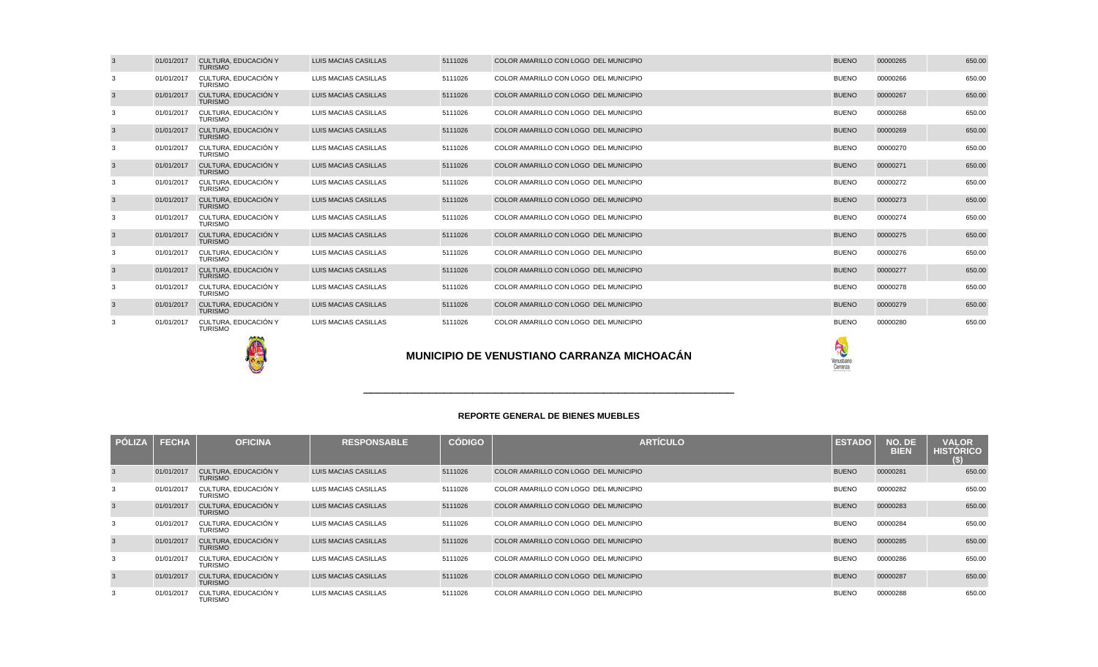| <b>PÓLIZA</b>  | <b>FECHA</b> | <b>OFICINA</b>                         | <b>RESPONSABLE</b>          | <b>CÓDIGO</b> | <b>ARTICULO</b>                       | <b>ESTADO</b> | NO. DE<br><b>BIEN</b> | <b>VALOR</b><br><b>HISTORICO</b><br>(S) |
|----------------|--------------|----------------------------------------|-----------------------------|---------------|---------------------------------------|---------------|-----------------------|-----------------------------------------|
| 3              | 01/01/2017   | CULTURA. EDUCACIÓN Y<br><b>TURISMO</b> | LUIS MACIAS CASILLAS        | 5111026       | COLOR AMARILLO CON LOGO DEL MUNICIPIO | <b>BUENO</b>  | 00000281              | 650.00                                  |
| 3              | 01/01/2017   | CULTURA, EDUCACIÓN Y<br><b>TURISMO</b> | LUIS MACIAS CASILLAS        | 5111026       | COLOR AMARILLO CON LOGO DEL MUNICIPIO | <b>BUENO</b>  | 00000282              | 650.00                                  |
| $\mathbf{3}$   | 01/01/2017   | CULTURA. EDUCACIÓN Y<br><b>TURISMO</b> | <b>LUIS MACIAS CASILLAS</b> | 5111026       | COLOR AMARILLO CON LOGO DEL MUNICIPIO | <b>BUENO</b>  | 00000283              | 650.00                                  |
| 3              | 01/01/2017   | CULTURA. EDUCACIÓN Y<br><b>TURISMO</b> | LUIS MACIAS CASILLAS        | 5111026       | COLOR AMARILLO CON LOGO DEL MUNICIPIO | <b>BUENO</b>  | 00000284              | 650.00                                  |
| $\mathbf{3}$   | 01/01/2017   | CULTURA. EDUCACIÓN Y<br><b>TURISMO</b> | <b>LUIS MACIAS CASILLAS</b> | 5111026       | COLOR AMARILLO CON LOGO DEL MUNICIPIO | <b>BUENO</b>  | 00000285              | 650.00                                  |
| 3              | 01/01/2017   | CULTURA. EDUCACIÓN Y<br><b>TURISMO</b> | LUIS MACIAS CASILLAS        | 5111026       | COLOR AMARILLO CON LOGO DEL MUNICIPIO | <b>BUENO</b>  | 00000286              | 650.00                                  |
| $\overline{3}$ | 01/01/2017   | CULTURA. EDUCACIÓN Y<br><b>TURISMO</b> | <b>LUIS MACIAS CASILLAS</b> | 5111026       | COLOR AMARILLO CON LOGO DEL MUNICIPIO | <b>BUENO</b>  | 00000287              | 650.00                                  |
| 3              | 01/01/2017   | CULTURA, EDUCACIÓN Y<br><b>TURISMO</b> | LUIS MACIAS CASILLAS        | 5111026       | COLOR AMARILLO CON LOGO DEL MUNICIPIO | <b>BUENO</b>  | 00000288              | 650.00                                  |

**VALOR VALOR VALOR** 

\_\_\_\_\_\_\_\_\_\_\_\_\_\_\_\_\_\_\_\_\_\_\_\_\_\_\_\_\_\_\_\_\_\_\_\_\_\_\_\_\_\_\_\_\_\_\_\_\_\_\_

| ı |  |  |  |
|---|--|--|--|
|   |  |  |  |
|   |  |  |  |

|   |            |                                        |                             |         | <b>MUNICIPIO DE VENUSTIANO CARRANZA MICHOACÁN</b> | R<br>Venustiano<br>Carranza |          |        |
|---|------------|----------------------------------------|-----------------------------|---------|---------------------------------------------------|-----------------------------|----------|--------|
| 3 | 01/01/2017 | CULTURA, EDUCACIÓN Y<br><b>TURISMO</b> | LUIS MACIAS CASILLAS        | 5111026 | COLOR AMARILLO CON LOGO DEL MUNICIPIO             | <b>BUENO</b>                | 00000280 | 650.00 |
| 3 | 01/01/2017 | CULTURA, EDUCACIÓN Y<br><b>TURISMO</b> | <b>LUIS MACIAS CASILLAS</b> | 5111026 | COLOR AMARILLO CON LOGO DEL MUNICIPIO             | <b>BUENO</b>                | 00000279 | 650.00 |
| 3 | 01/01/2017 | CULTURA. EDUCACIÓN Y<br><b>TURISMO</b> | LUIS MACIAS CASILLAS        | 5111026 | COLOR AMARILLO CON LOGO DEL MUNICIPIO             | <b>BUENO</b>                | 00000278 | 650.00 |
| 3 | 01/01/2017 | CULTURA, EDUCACIÓN Y<br><b>TURISMO</b> | <b>LUIS MACIAS CASILLAS</b> | 5111026 | COLOR AMARILLO CON LOGO DEL MUNICIPIO             | <b>BUENO</b>                | 00000277 | 650.00 |
| 3 | 01/01/2017 | CULTURA, EDUCACIÓN Y<br><b>TURISMO</b> | LUIS MACIAS CASILLAS        | 5111026 | COLOR AMARILLO CON LOGO DEL MUNICIPIO             | <b>BUENO</b>                | 00000276 | 650.00 |
| 3 | 01/01/2017 | CULTURA, EDUCACIÓN Y<br><b>TURISMO</b> | <b>LUIS MACIAS CASILLAS</b> | 5111026 | COLOR AMARILLO CON LOGO DEL MUNICIPIO             | <b>BUENO</b>                | 00000275 | 650.00 |
| 3 | 01/01/2017 | CULTURA. EDUCACIÓN Y<br><b>TURISMO</b> | LUIS MACIAS CASILLAS        | 5111026 | COLOR AMARILLO CON LOGO DEL MUNICIPIO             | <b>BUENO</b>                | 00000274 | 650.00 |
| 3 | 01/01/2017 | CULTURA, EDUCACIÓN Y<br><b>TURISMO</b> | LUIS MACIAS CASILLAS        | 5111026 | COLOR AMARILLO CON LOGO DEL MUNICIPIO             | <b>BUENO</b>                | 00000273 | 650.00 |
| 3 | 01/01/2017 | CULTURA, EDUCACIÓN Y<br><b>TURISMO</b> | LUIS MACIAS CASILLAS        | 5111026 | COLOR AMARILLO CON LOGO DEL MUNICIPIO             | <b>BUENO</b>                | 00000272 | 650.00 |
| 3 | 01/01/2017 | CULTURA, EDUCACIÓN Y<br><b>TURISMO</b> | LUIS MACIAS CASILLAS        | 5111026 | COLOR AMARILLO CON LOGO DEL MUNICIPIO             | <b>BUENO</b>                | 00000271 | 650.00 |
| 3 | 01/01/2017 | CULTURA, EDUCACIÓN Y<br><b>TURISMO</b> | LUIS MACIAS CASILLAS        | 5111026 | COLOR AMARILLO CON LOGO DEL MUNICIPIO             | <b>BUENO</b>                | 00000270 | 650.00 |
| 3 | 01/01/2017 | CULTURA, EDUCACIÓN Y<br><b>TURISMO</b> | LUIS MACIAS CASILLAS        | 5111026 | COLOR AMARILLO CON LOGO DEL MUNICIPIO             | <b>BUENO</b>                | 00000269 | 650.00 |
| 3 | 01/01/2017 | CULTURA. EDUCACIÓN Y<br><b>TURISMO</b> | LUIS MACIAS CASILLAS        | 5111026 | COLOR AMARILLO CON LOGO DEL MUNICIPIO             | <b>BUENO</b>                | 00000268 | 650.00 |
| 3 | 01/01/2017 | CULTURA. EDUCACIÓN Y<br><b>TURISMO</b> | <b>LUIS MACIAS CASILLAS</b> | 5111026 | COLOR AMARILLO CON LOGO DEL MUNICIPIO             | <b>BUENO</b>                | 00000267 | 650.00 |
| 3 | 01/01/2017 | CULTURA. EDUCACIÓN Y<br><b>TURISMO</b> | LUIS MACIAS CASILLAS        | 5111026 | COLOR AMARILLO CON LOGO DEL MUNICIPIO             | <b>BUENO</b>                | 00000266 | 650.00 |
| 3 | 01/01/2017 | CULTURA, EDUCACIÓN Y<br><b>TURISMO</b> | <b>LUIS MACIAS CASILLAS</b> | 5111026 | COLOR AMARILLO CON LOGO DEL MUNICIPIO             | <b>BUENO</b>                | 00000265 | 650.00 |
|   |            |                                        |                             |         |                                                   |                             |          |        |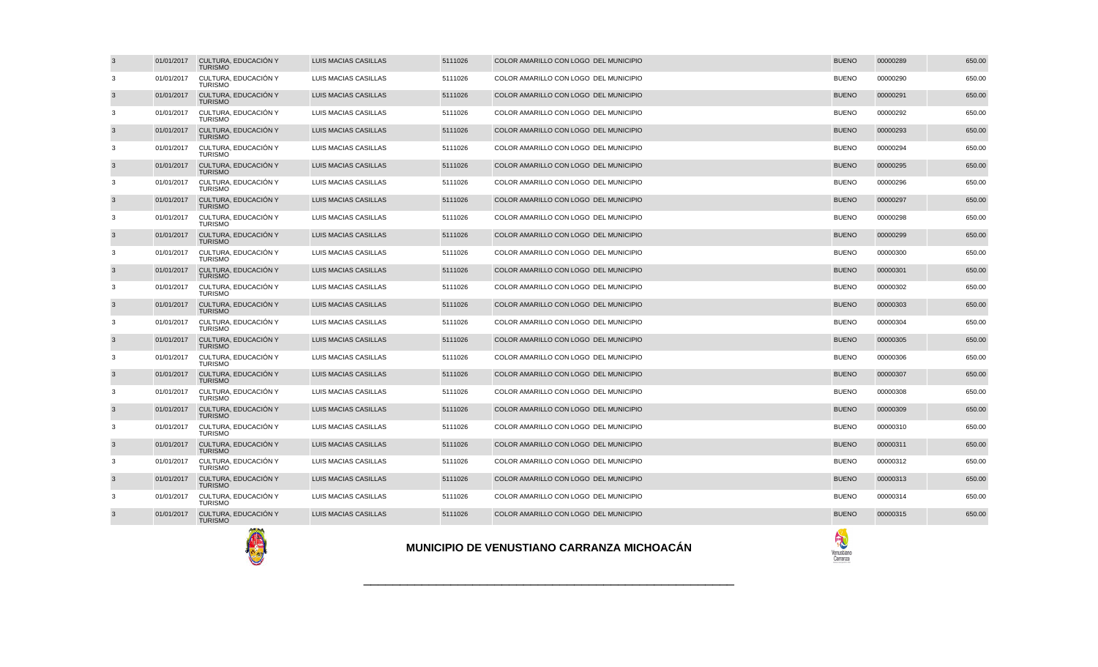|                |            |                                                          |                             |         | <b>MUNICIPIO DE VENUSTIANO CARRANZA MICHOACÁN</b> | 究<br>Venusbiano<br>Carranza |          |        |
|----------------|------------|----------------------------------------------------------|-----------------------------|---------|---------------------------------------------------|-----------------------------|----------|--------|
| $\overline{3}$ | 01/01/2017 | CULTURA, EDUCACIÓN Y<br><b>TURISMO</b>                   | <b>LUIS MACIAS CASILLAS</b> | 5111026 | COLOR AMARILLO CON LOGO DEL MUNICIPIO             | <b>BUENO</b>                | 00000315 | 650.00 |
| 3              | 01/01/2017 | CULTURA, EDUCACIÓN Y<br><b>TURISMO</b>                   | LUIS MACIAS CASILLAS        | 5111026 | COLOR AMARILLO CON LOGO DEL MUNICIPIO             | <b>BUENO</b>                | 00000314 | 650.00 |
| $\overline{3}$ | 01/01/2017 | CULTURA, EDUCACIÓN Y<br><b>TURISMO</b>                   | LUIS MACIAS CASILLAS        | 5111026 | COLOR AMARILLO CON LOGO DEL MUNICIPIO             | <b>BUENO</b>                | 00000313 | 650.00 |
| 3              | 01/01/2017 | CULTURA, EDUCACIÓN Y<br><b>TURISMO</b>                   | LUIS MACIAS CASILLAS        | 5111026 | COLOR AMARILLO CON LOGO DEL MUNICIPIO             | <b>BUENO</b>                | 00000312 | 650.00 |
| $\overline{3}$ | 01/01/2017 | CULTURA, EDUCACIÓN Y<br><b>TURISMO</b>                   | <b>LUIS MACIAS CASILLAS</b> | 5111026 | COLOR AMARILLO CON LOGO DEL MUNICIPIO             | <b>BUENO</b>                | 00000311 | 650.00 |
| 3              | 01/01/2017 | CULTURA, EDUCACIÓN Y<br><b>TURISMO</b>                   | LUIS MACIAS CASILLAS        | 5111026 | COLOR AMARILLO CON LOGO DEL MUNICIPIO             | <b>BUENO</b>                | 00000310 | 650.00 |
| $\overline{3}$ | 01/01/2017 | CULTURA, EDUCACIÓN Y<br><b>TURISMO</b>                   | LUIS MACIAS CASILLAS        | 5111026 | COLOR AMARILLO CON LOGO DEL MUNICIPIO             | <b>BUENO</b>                | 00000309 | 650.00 |
| 3              | 01/01/2017 | CULTURA, EDUCACION Y<br><b>TURISMO</b>                   | LUIS MACIAS CASILLAS        | 5111026 | COLOR AMARILLO CON LOGO DEL MUNICIPIO             | <b>BUENO</b>                | 00000308 | 650.00 |
| $\overline{3}$ | 01/01/2017 | CULTURA. EDUCACIÓN Y<br><b>TURISMO</b>                   | <b>LUIS MACIAS CASILLAS</b> | 5111026 | COLOR AMARILLO CON LOGO DEL MUNICIPIO             | <b>BUENO</b>                | 00000307 | 650.00 |
| 3              | 01/01/2017 | CULTURA, EDUCACIÓN Y<br><b>TURISMO</b>                   | LUIS MACIAS CASILLAS        | 5111026 | COLOR AMARILLO CON LOGO DEL MUNICIPIO             | <b>BUENO</b>                | 00000306 | 650.00 |
| $\mathbf{3}$   | 01/01/2017 | CULTURA, EDUCACIÓN Y<br><b>TURISMO</b>                   | <b>LUIS MACIAS CASILLAS</b> | 5111026 | COLOR AMARILLO CON LOGO DEL MUNICIPIO             | <b>BUENO</b>                | 00000305 | 650.00 |
| 3              | 01/01/2017 | CULTURA, EDUCACIÓN Y<br><b>TURISMO</b>                   | LUIS MACIAS CASILLAS        | 5111026 | COLOR AMARILLO CON LOGO DEL MUNICIPIO             | <b>BUENO</b>                | 00000304 | 650.00 |
| $\overline{3}$ | 01/01/2017 | CULTURA, EDUCACIÓN Y<br><b>TURISMO</b>                   | <b>LUIS MACIAS CASILLAS</b> | 5111026 | COLOR AMARILLO CON LOGO DEL MUNICIPIO             | <b>BUENO</b>                | 00000303 | 650.00 |
| 3              | 01/01/2017 | CULTURA, EDUCACIÓN Y<br><b>TURISMO</b>                   | LUIS MACIAS CASILLAS        | 5111026 | COLOR AMARILLO CON LOGO DEL MUNICIPIO             | <b>BUENO</b>                | 00000302 | 650.00 |
| $\overline{3}$ | 01/01/2017 | CULTURA, EDUCACIÓN Y<br><b>TURISMO</b>                   | <b>LUIS MACIAS CASILLAS</b> | 5111026 | COLOR AMARILLO CON LOGO DEL MUNICIPIO             | <b>BUENO</b>                | 00000301 | 650.00 |
| 3              | 01/01/2017 | CULTURA. EDUCACIÓN Y<br><b>TURISMO</b>                   | LUIS MACIAS CASILLAS        | 5111026 | COLOR AMARILLO CON LOGO DEL MUNICIPIO             | <b>BUENO</b>                | 00000300 | 650.00 |
| $\overline{3}$ | 01/01/2017 | CULTURA, EDUCACIÓN Y<br><b>TURISMO</b>                   | LUIS MACIAS CASILLAS        | 5111026 | COLOR AMARILLO CON LOGO DEL MUNICIPIO             | <b>BUENO</b>                | 00000299 | 650.00 |
| 3              | 01/01/2017 | CULTURA, EDUCACIÓN Y<br><b>TURISMO</b>                   | LUIS MACIAS CASILLAS        | 5111026 | COLOR AMARILLO CON LOGO DEL MUNICIPIO             | <b>BUENO</b>                | 00000298 | 650.00 |
| $\mathbf{3}$   | 01/01/2017 | CULTURA, EDUCACIÓN Y<br><b>TURISMO</b>                   | <b>LUIS MACIAS CASILLAS</b> | 5111026 | COLOR AMARILLO CON LOGO DEL MUNICIPIO             | <b>BUENO</b>                | 00000297 | 650.00 |
| 3              | 01/01/2017 | CULTURA, EDUCACIÓN Y<br><b>TURISMO</b>                   | LUIS MACIAS CASILLAS        | 5111026 | COLOR AMARILLO CON LOGO DEL MUNICIPIO             | <b>BUENO</b>                | 00000296 | 650.00 |
| $\overline{3}$ | 01/01/2017 | <b>TURISMO</b><br>CULTURA, EDUCACIÓN Y<br><b>TURISMO</b> | <b>LUIS MACIAS CASILLAS</b> | 5111026 | COLOR AMARILLO CON LOGO DEL MUNICIPIO             | <b>BUENO</b>                | 00000295 | 650.00 |
| 3              | 01/01/2017 | CULTURA, EDUCACIÓN Y                                     | LUIS MACIAS CASILLAS        | 5111026 | COLOR AMARILLO CON LOGO DEL MUNICIPIO             | <b>BUENO</b>                | 00000294 | 650.00 |
| $\overline{3}$ | 01/01/2017 | CULTURA, EDUCACIÓN Y<br><b>TURISMO</b>                   | <b>LUIS MACIAS CASILLAS</b> | 5111026 | COLOR AMARILLO CON LOGO DEL MUNICIPIO             | <b>BUENO</b>                | 00000293 | 650.00 |
| 3              | 01/01/2017 | CULTURA, EDUCACIÓN Y<br><b>TURISMO</b>                   | LUIS MACIAS CASILLAS        | 5111026 | COLOR AMARILLO CON LOGO DEL MUNICIPIO             | <b>BUENO</b>                | 00000292 | 650.00 |
| $\overline{3}$ | 01/01/2017 | <b>TURISMO</b><br>CULTURA, EDUCACIÓN Y<br><b>TURISMO</b> | LUIS MACIAS CASILLAS        | 5111026 | COLOR AMARILLO CON LOGO DEL MUNICIPIO             | <b>BUENO</b>                | 00000291 | 650.00 |
| 3              | 01/01/2017 | <b>TURISMO</b><br>CULTURA, EDUCACIÓN Y                   | LUIS MACIAS CASILLAS        | 5111026 | COLOR AMARILLO CON LOGO DEL MUNICIPIO             | <b>BUENO</b>                | 00000290 | 650.00 |
| $\overline{3}$ | 01/01/2017 | CULTURA, EDUCACIÓN Y                                     | <b>LUIS MACIAS CASILLAS</b> | 5111026 | COLOR AMARILLO CON LOGO DEL MUNICIPIO             | <b>BUENO</b>                | 00000289 | 650.00 |
|                |            |                                                          |                             |         |                                                   |                             |          |        |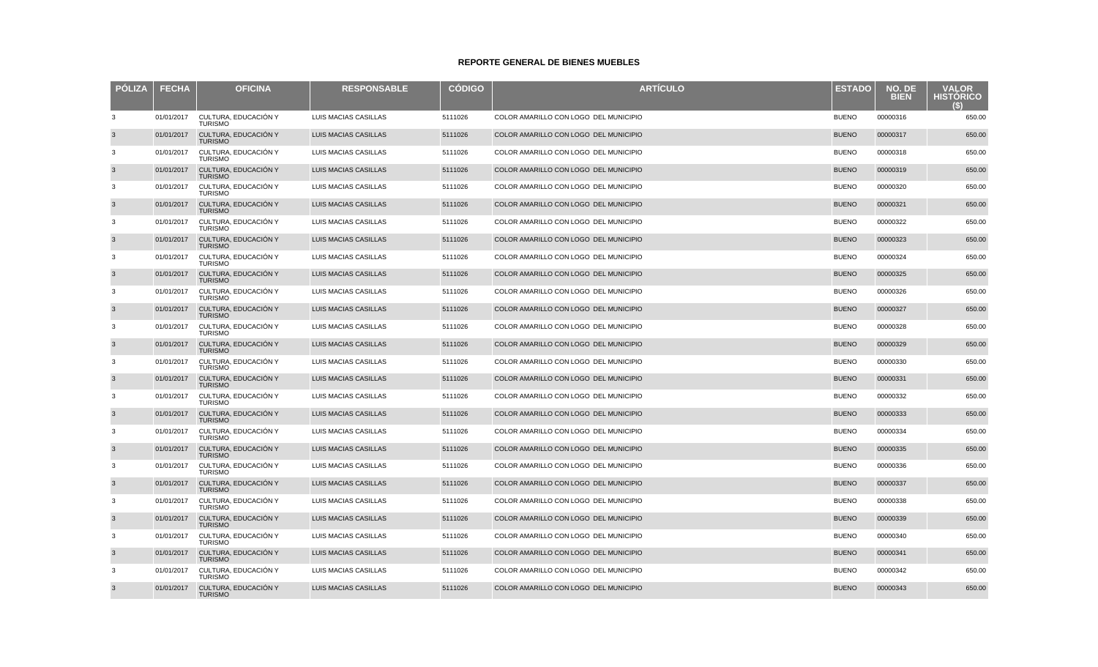| <b>PÓLIZA</b> | <b>FECHA</b> | <b>OFICINA</b>                         | <b>RESPONSABLE</b>          | <b>CÓDIGO</b> | <b>ARTÍCULO</b>                       | <b>ESTADO</b> | NO. DE<br><b>BIEN</b> | <b>VALOR</b><br><b>HISTORICO</b><br>(S) |
|---------------|--------------|----------------------------------------|-----------------------------|---------------|---------------------------------------|---------------|-----------------------|-----------------------------------------|
| 3             | 01/01/2017   | CULTURA, EDUCACIÓN Y<br><b>TURISMO</b> | LUIS MACIAS CASILLAS        | 5111026       | COLOR AMARILLO CON LOGO DEL MUNICIPIO | <b>BUENO</b>  | 00000316              | 650.00                                  |
| $\mathbf{3}$  | 01/01/2017   | CULTURA, EDUCACIÓN Y<br><b>TURISMO</b> | LUIS MACIAS CASILLAS        | 5111026       | COLOR AMARILLO CON LOGO DEL MUNICIPIO | <b>BUENO</b>  | 00000317              | 650.00                                  |
| 3             | 01/01/2017   | CULTURA, EDUCACIÓN Y<br><b>TURISMO</b> | LUIS MACIAS CASILLAS        | 5111026       | COLOR AMARILLO CON LOGO DEL MUNICIPIO | <b>BUENO</b>  | 00000318              | 650.00                                  |
| $\mathbf{3}$  | 01/01/2017   | CULTURA, EDUCACIÓN Y<br><b>TURISMO</b> | LUIS MACIAS CASILLAS        | 5111026       | COLOR AMARILLO CON LOGO DEL MUNICIPIO | <b>BUENO</b>  | 00000319              | 650.00                                  |
| 3             | 01/01/2017   | CULTURA, EDUCACIÓN Y<br><b>TURISMO</b> | LUIS MACIAS CASILLAS        | 5111026       | COLOR AMARILLO CON LOGO DEL MUNICIPIO | <b>BUENO</b>  | 00000320              | 650.00                                  |
| $\mathbf{3}$  | 01/01/2017   | CULTURA, EDUCACIÓN Y<br><b>TURISMO</b> | LUIS MACIAS CASILLAS        | 5111026       | COLOR AMARILLO CON LOGO DEL MUNICIPIO | <b>BUENO</b>  | 00000321              | 650.00                                  |
| 3             | 01/01/2017   | CULTURA, EDUCACIÓN Y<br><b>TURISMO</b> | LUIS MACIAS CASILLAS        | 5111026       | COLOR AMARILLO CON LOGO DEL MUNICIPIO | <b>BUENO</b>  | 00000322              | 650.00                                  |
| $\mathbf{3}$  | 01/01/2017   | CULTURA, EDUCACIÓN Y<br><b>TURISMO</b> | LUIS MACIAS CASILLAS        | 5111026       | COLOR AMARILLO CON LOGO DEL MUNICIPIO | <b>BUENO</b>  | 00000323              | 650.00                                  |
| 3             | 01/01/2017   | CULTURA. EDUCACIÓN Y<br><b>TURISMO</b> | LUIS MACIAS CASILLAS        | 5111026       | COLOR AMARILLO CON LOGO DEL MUNICIPIO | <b>BUENO</b>  | 00000324              | 650.00                                  |
| $\mathbf{3}$  | 01/01/2017   | CULTURA, EDUCACIÓN Y<br><b>TURISMO</b> | LUIS MACIAS CASILLAS        | 5111026       | COLOR AMARILLO CON LOGO DEL MUNICIPIO | <b>BUENO</b>  | 00000325              | 650.00                                  |
| 3             | 01/01/2017   | CULTURA, EDUCACIÓN Y<br><b>TURISMO</b> | LUIS MACIAS CASILLAS        | 5111026       | COLOR AMARILLO CON LOGO DEL MUNICIPIO | <b>BUENO</b>  | 00000326              | 650.00                                  |
| $\mathbf{3}$  | 01/01/2017   | CULTURA, EDUCACIÓN Y<br><b>TURISMO</b> | <b>LUIS MACIAS CASILLAS</b> | 5111026       | COLOR AMARILLO CON LOGO DEL MUNICIPIO | <b>BUENO</b>  | 00000327              | 650.00                                  |
| 3             | 01/01/2017   | CULTURA, EDUCACIÓN Y<br><b>TURISMO</b> | LUIS MACIAS CASILLAS        | 5111026       | COLOR AMARILLO CON LOGO DEL MUNICIPIO | <b>BUENO</b>  | 00000328              | 650.00                                  |
| $\mathbf{3}$  | 01/01/2017   | CULTURA, EDUCACIÓN Y<br><b>TURISMO</b> | LUIS MACIAS CASILLAS        | 5111026       | COLOR AMARILLO CON LOGO DEL MUNICIPIO | <b>BUENO</b>  | 00000329              | 650.00                                  |
| 3             | 01/01/2017   | CULTURA, EDUCACIÓN Y<br><b>TURISMO</b> | LUIS MACIAS CASILLAS        | 5111026       | COLOR AMARILLO CON LOGO DEL MUNICIPIO | <b>BUENO</b>  | 00000330              | 650.00                                  |
| $\mathbf{3}$  | 01/01/2017   | CULTURA, EDUCACIÓN Y<br><b>TURISMO</b> | LUIS MACIAS CASILLAS        | 5111026       | COLOR AMARILLO CON LOGO DEL MUNICIPIO | <b>BUENO</b>  | 00000331              | 650.00                                  |
| 3             | 01/01/2017   | CULTURA, EDUCACIÓN Y<br><b>TURISMO</b> | LUIS MACIAS CASILLAS        | 5111026       | COLOR AMARILLO CON LOGO DEL MUNICIPIO | <b>BUENO</b>  | 00000332              | 650.00                                  |
| $\mathbf{3}$  | 01/01/2017   | CULTURA, EDUCACIÓN Y<br><b>TURISMO</b> | LUIS MACIAS CASILLAS        | 5111026       | COLOR AMARILLO CON LOGO DEL MUNICIPIO | <b>BUENO</b>  | 00000333              | 650.00                                  |
| 3             | 01/01/2017   | CULTURA, EDUCACIÓN Y<br><b>TURISMO</b> | LUIS MACIAS CASILLAS        | 5111026       | COLOR AMARILLO CON LOGO DEL MUNICIPIO | <b>BUENO</b>  | 00000334              | 650.00                                  |
| 3             | 01/01/2017   | CULTURA, EDUCACIÓN Y<br><b>TURISMO</b> | LUIS MACIAS CASILLAS        | 5111026       | COLOR AMARILLO CON LOGO DEL MUNICIPIO | <b>BUENO</b>  | 00000335              | 650.00                                  |
| 3             | 01/01/2017   | CULTURA, EDUCACIÓN Y<br><b>TURISMO</b> | LUIS MACIAS CASILLAS        | 5111026       | COLOR AMARILLO CON LOGO DEL MUNICIPIO | <b>BUENO</b>  | 00000336              | 650.00                                  |
| $\mathbf{3}$  | 01/01/2017   | CULTURA, EDUCACIÓN Y<br><b>TURISMO</b> | LUIS MACIAS CASILLAS        | 5111026       | COLOR AMARILLO CON LOGO DEL MUNICIPIO | <b>BUENO</b>  | 00000337              | 650.00                                  |
| 3             | 01/01/2017   | CULTURA, EDUCACIÓN Y<br><b>TURISMO</b> | LUIS MACIAS CASILLAS        | 5111026       | COLOR AMARILLO CON LOGO DEL MUNICIPIO | <b>BUENO</b>  | 00000338              | 650.00                                  |
| $\mathbf{3}$  | 01/01/2017   | CULTURA, EDUCACIÓN Y<br><b>TURISMO</b> | <b>LUIS MACIAS CASILLAS</b> | 5111026       | COLOR AMARILLO CON LOGO DEL MUNICIPIO | <b>BUENO</b>  | 00000339              | 650.00                                  |
| 3             | 01/01/2017   | CULTURA, EDUCACIÓN Y<br><b>TURISMO</b> | LUIS MACIAS CASILLAS        | 5111026       | COLOR AMARILLO CON LOGO DEL MUNICIPIO | <b>BUENO</b>  | 00000340              | 650.00                                  |
| $\mathbf{3}$  | 01/01/2017   | CULTURA, EDUCACIÓN Y<br><b>TURISMO</b> | LUIS MACIAS CASILLAS        | 5111026       | COLOR AMARILLO CON LOGO DEL MUNICIPIO | <b>BUENO</b>  | 00000341              | 650.00                                  |
| 3             | 01/01/2017   | CULTURA, EDUCACIÓN Y<br><b>TURISMO</b> | LUIS MACIAS CASILLAS        | 5111026       | COLOR AMARILLO CON LOGO DEL MUNICIPIO | <b>BUENO</b>  | 00000342              | 650.00                                  |
| 3             | 01/01/2017   | CULTURA. EDUCACIÓN Y<br><b>TURISMO</b> | <b>LUIS MACIAS CASILLAS</b> | 5111026       | COLOR AMARILLO CON LOGO DEL MUNICIPIO | <b>BUENO</b>  | 00000343              | 650.00                                  |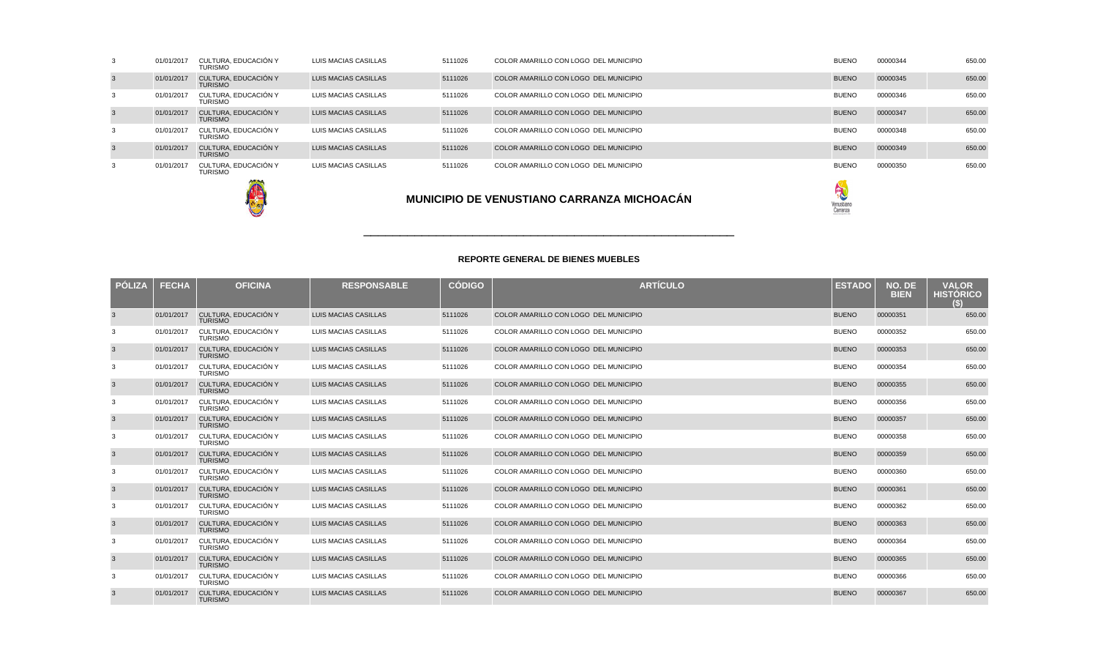|                |            |                                        | R<br>Venustiano<br>Carranza |         |                                       |              |          |        |
|----------------|------------|----------------------------------------|-----------------------------|---------|---------------------------------------|--------------|----------|--------|
| 3              | 01/01/2017 | CULTURA, EDUCACIÓN Y<br><b>TURISMO</b> | LUIS MACIAS CASILLAS        | 5111026 | COLOR AMARILLO CON LOGO DEL MUNICIPIO | <b>BUENO</b> | 00000350 | 650.00 |
| $\mathbf{3}$   | 01/01/2017 | CULTURA, EDUCACIÓN Y<br><b>TURISMO</b> | LUIS MACIAS CASILLAS        | 5111026 | COLOR AMARILLO CON LOGO DEL MUNICIPIO | <b>BUENO</b> | 00000349 | 650.00 |
| 3              | 01/01/2017 | CULTURA, EDUCACIÓN Y<br><b>TURISMO</b> | LUIS MACIAS CASILLAS        | 5111026 | COLOR AMARILLO CON LOGO DEL MUNICIPIO | <b>BUENO</b> | 00000348 | 650.00 |
| $\mathbf{3}$   | 01/01/2017 | CULTURA, EDUCACIÓN Y<br><b>TURISMO</b> | LUIS MACIAS CASILLAS        | 5111026 | COLOR AMARILLO CON LOGO DEL MUNICIPIO | <b>BUENO</b> | 00000347 | 650.00 |
| 3              | 01/01/2017 | CULTURA, EDUCACIÓN Y<br><b>TURISMO</b> | LUIS MACIAS CASILLAS        | 5111026 | COLOR AMARILLO CON LOGO DEL MUNICIPIO | <b>BUENO</b> | 00000346 | 650.00 |
| $\overline{3}$ | 01/01/2017 | CULTURA, EDUCACIÓN Y<br><b>TURISMO</b> | <b>LUIS MACIAS CASILLAS</b> | 5111026 | COLOR AMARILLO CON LOGO DEL MUNICIPIO | <b>BUENO</b> | 00000345 | 650.00 |
| 3              | 01/01/2017 | CULTURA, EDUCACIÓN Y<br><b>TURISMO</b> | LUIS MACIAS CASILLAS        | 5111026 | COLOR AMARILLO CON LOGO DEL MUNICIPIO | <b>BUENO</b> | 00000344 | 650.00 |

| <b>PÓLIZA</b> | <b>FECHA</b> | <b>OFICINA</b>                         | <b>RESPONSABLE</b>          | <b>CÓDIGO</b> | <b>ARTÍCULO</b>                       | <b>ESTADO</b> | <b>NO. DE</b><br><b>BIEN</b> | <b>VALOR</b><br><b>HISTÓRICO</b><br>(\$) |
|---------------|--------------|----------------------------------------|-----------------------------|---------------|---------------------------------------|---------------|------------------------------|------------------------------------------|
| 3             | 01/01/2017   | CULTURA. EDUCACIÓN Y<br><b>TURISMO</b> | <b>LUIS MACIAS CASILLAS</b> | 5111026       | COLOR AMARILLO CON LOGO DEL MUNICIPIO | <b>BUENO</b>  | 00000351                     | 650.00                                   |
| 3             | 01/01/2017   | CULTURA, EDUCACIÓN Y<br><b>TURISMO</b> | LUIS MACIAS CASILLAS        | 5111026       | COLOR AMARILLO CON LOGO DEL MUNICIPIO | <b>BUENO</b>  | 00000352                     | 650.00                                   |
| 3             | 01/01/2017   | CULTURA, EDUCACIÓN Y<br><b>TURISMO</b> | <b>LUIS MACIAS CASILLAS</b> | 5111026       | COLOR AMARILLO CON LOGO DEL MUNICIPIO | <b>BUENO</b>  | 00000353                     | 650.00                                   |
| 3             | 01/01/2017   | CULTURA, EDUCACIÓN Y<br><b>TURISMO</b> | LUIS MACIAS CASILLAS        | 5111026       | COLOR AMARILLO CON LOGO DEL MUNICIPIO | <b>BUENO</b>  | 00000354                     | 650.00                                   |
| 3             | 01/01/2017   | CULTURA, EDUCACIÓN Y<br><b>TURISMO</b> | <b>LUIS MACIAS CASILLAS</b> | 5111026       | COLOR AMARILLO CON LOGO DEL MUNICIPIO | <b>BUENO</b>  | 00000355                     | 650.00                                   |
| 3             | 01/01/2017   | CULTURA, EDUCACIÓN Y<br><b>TURISMO</b> | LUIS MACIAS CASILLAS        | 5111026       | COLOR AMARILLO CON LOGO DEL MUNICIPIO | <b>BUENO</b>  | 00000356                     | 650.00                                   |
| 3             | 01/01/2017   | CULTURA, EDUCACIÓN Y<br><b>TURISMO</b> | <b>LUIS MACIAS CASILLAS</b> | 5111026       | COLOR AMARILLO CON LOGO DEL MUNICIPIO | <b>BUENO</b>  | 00000357                     | 650.00                                   |
| 3             | 01/01/2017   | CULTURA. EDUCACIÓN Y<br><b>TURISMO</b> | LUIS MACIAS CASILLAS        | 5111026       | COLOR AMARILLO CON LOGO DEL MUNICIPIO | <b>BUENO</b>  | 00000358                     | 650.00                                   |
| 3             | 01/01/2017   | CULTURA, EDUCACIÓN Y<br><b>TURISMO</b> | <b>LUIS MACIAS CASILLAS</b> | 5111026       | COLOR AMARILLO CON LOGO DEL MUNICIPIO | <b>BUENO</b>  | 00000359                     | 650.00                                   |
| 3             | 01/01/2017   | CULTURA, EDUCACIÓN Y<br><b>TURISMO</b> | LUIS MACIAS CASILLAS        | 5111026       | COLOR AMARILLO CON LOGO DEL MUNICIPIO | <b>BUENO</b>  | 00000360                     | 650.00                                   |
| 3             | 01/01/2017   | CULTURA, EDUCACIÓN Y<br><b>TURISMO</b> | <b>LUIS MACIAS CASILLAS</b> | 5111026       | COLOR AMARILLO CON LOGO DEL MUNICIPIO | <b>BUENO</b>  | 00000361                     | 650.00                                   |
| 3             | 01/01/2017   | CULTURA. EDUCACIÓN Y<br><b>TURISMO</b> | LUIS MACIAS CASILLAS        | 5111026       | COLOR AMARILLO CON LOGO DEL MUNICIPIO | <b>BUENO</b>  | 00000362                     | 650.00                                   |
| 3             | 01/01/2017   | CULTURA, EDUCACIÓN Y<br><b>TURISMO</b> | LUIS MACIAS CASILLAS        | 5111026       | COLOR AMARILLO CON LOGO DEL MUNICIPIO | <b>BUENO</b>  | 00000363                     | 650.00                                   |
| 3             | 01/01/2017   | CULTURA, EDUCACIÓN Y<br><b>TURISMO</b> | LUIS MACIAS CASILLAS        | 5111026       | COLOR AMARILLO CON LOGO DEL MUNICIPIO | <b>BUENO</b>  | 00000364                     | 650.00                                   |
| 3             | 01/01/2017   | CULTURA, EDUCACIÓN Y<br><b>TURISMO</b> | <b>LUIS MACIAS CASILLAS</b> | 5111026       | COLOR AMARILLO CON LOGO DEL MUNICIPIO | <b>BUENO</b>  | 00000365                     | 650.00                                   |
| 3             | 01/01/2017   | CULTURA, EDUCACIÓN Y<br><b>TURISMO</b> | LUIS MACIAS CASILLAS        | 5111026       | COLOR AMARILLO CON LOGO DEL MUNICIPIO | <b>BUENO</b>  | 00000366                     | 650.00                                   |
| 3             | 01/01/2017   | CULTURA, EDUCACIÓN Y<br><b>TURISMO</b> | <b>LUIS MACIAS CASILLAS</b> | 5111026       | COLOR AMARILLO CON LOGO DEL MUNICIPIO | <b>BUENO</b>  | 00000367                     | 650.00                                   |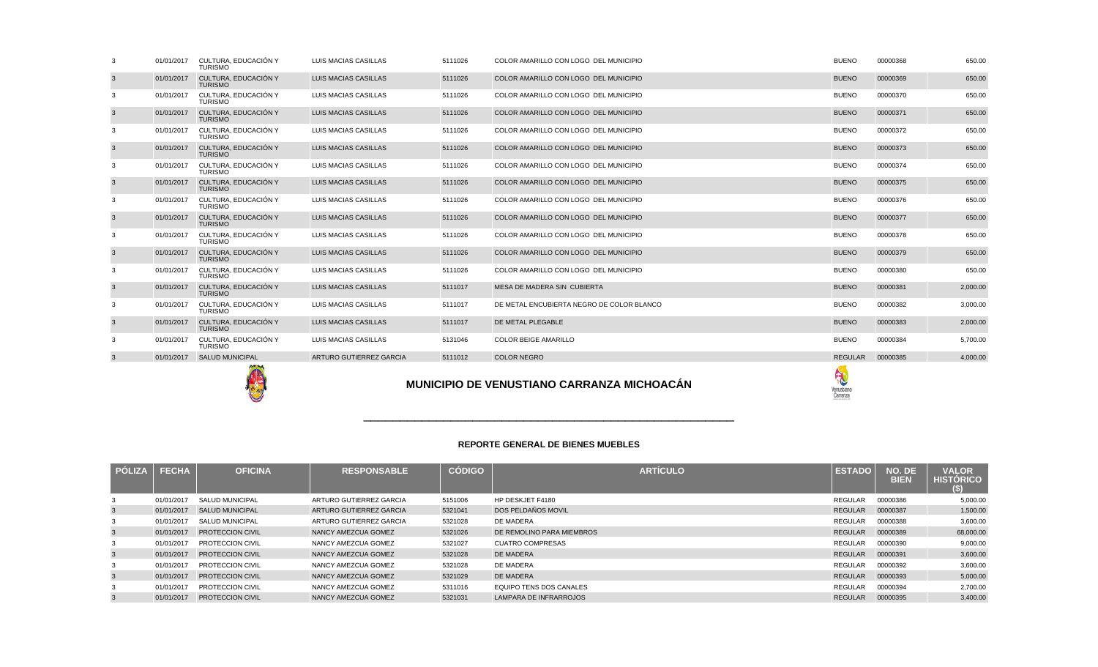|              |              | TURISMO                 |                         |               |                                            |                             |                       |                                         |
|--------------|--------------|-------------------------|-------------------------|---------------|--------------------------------------------|-----------------------------|-----------------------|-----------------------------------------|
| $\mathbf{3}$ | 01/01/2017   | <b>SALUD MUNICIPAL</b>  | ARTURO GUTIERREZ GARCIA | 5111012       | <b>COLOR NEGRO</b>                         | <b>REGULAR</b>              | 00000385              | 4,000.00                                |
|              |              |                         |                         |               | MUNICIPIO DE VENUSTIANO CARRANZA MICHOACÁN | R<br>Venustiano<br>Carranza |                       |                                         |
|              |              |                         |                         |               | <b>REPORTE GENERAL DE BIENES MUEBLES</b>   |                             |                       |                                         |
| PÓLIZA       | <b>FECHA</b> | <b>OFICINA</b>          | <b>RESPONSABLE</b>      | <b>CÓDIGO</b> | <b>ARTÍCULO</b>                            | <b>ESTADO</b>               | NO. DE<br><b>BIEN</b> | <b>VALOR</b><br><b>HISTÓRICO</b><br>(S) |
| 3            | 01/01/2017   | <b>SALUD MUNICIPAL</b>  | ARTURO GUTIERREZ GARCIA | 5151006       | HP DESKJET F4180                           | <b>REGULAR</b>              | 00000386              | 5,000.00                                |
| $\mathbf{3}$ | 01/01/2017   | <b>SALUD MUNICIPAL</b>  | ARTURO GUTIERREZ GARCIA | 5321041       | DOS PELDAÑOS MOVIL                         | <b>REGULAR</b>              | 00000387              | 1.500.00                                |
| 3            | 01/01/2017   | <b>SALUD MUNICIPAL</b>  | ARTURO GUTIERREZ GARCIA | 5321028       | DE MADERA                                  | <b>REGULAR</b>              | 00000388              | 3,600.00                                |
| $\mathbf{3}$ | 01/01/2017   | PROTECCION CIVIL        | NANCY AMEZCUA GOMEZ     | 5321026       | DE REMOLINO PARA MIEMBROS                  | <b>REGULAR</b>              | 00000389              | 68,000.00                               |
| 3            | 01/01/2017   | <b>PROTECCION CIVIL</b> | NANCY AMEZCUA GOMEZ     | 5321027       | <b>CUATRO COMPRESAS</b>                    | <b>REGULAR</b>              | 00000390              | 9,000.00                                |
| $\mathbf{3}$ | 01/01/2017   | PROTECCION CIVIL        | NANCY AMEZCUA GOMEZ     | 5321028       | <b>DE MADERA</b>                           | <b>REGULAR</b>              | 00000391              | 3,600.00                                |
| 3            | 01/01/2017   | PROTECCION CIVIL        | NANCY AMEZCUA GOMEZ     | 5321028       | DE MADERA                                  | <b>REGULAR</b>              | 00000392              | 3,600.00                                |
| 3            | 01/01/2017   | <b>PROTECCION CIVIL</b> | NANCY AMEZCUA GOMEZ     | 5321029       | DE MADERA                                  | REGULAR                     | 00000393              | 5,000.00                                |

A A SAN DISPONSIBILITY OF THE CONTRACT OF THE CONTRACT OF THE CONTRACT OF THE CONTRACT OF THE CONTRACT OF THE CONTRACT OF THE CONTRACT OF THE CONTRACT OF THE CONTRACT OF THE CONTRACT OF THE CONTRACT OF THE CONTRACT OF THE

S And the contract of the contract of the contract of the contract of the contract of the contract of the contract of the contract of the contract of the contract of the contract of the contract of the contract of the cont

S And the contract of the contract of the contract of the contract of the contract of the contract of the contract of the contract of the contract of the contract of the contract of the contract of the contract of the cont

<sup>00000393</sup> 5,000.00

<sup>00000394</sup> 2,700.00

<sup>00000395</sup> 3,400.00

5321029 DE MADERA<br>5311016 EQUIPO TENS

5311016 EQUIPO TENS DOS CANALES<br>5321031 LAMPARA DE INFRARROJOS

LAMPARA DE INFRARROJOS

3

3

01/01/2017 PROTECCION CIVIL NANCY AMEZCUA GOMEZ<br>01/01/2017 PROTECCION CIVIL NANCY AMEZCUA GOMEZ

01/01/2017 PROTECCION CIVIL NANCY AMEZCUA GOMEZ<br>01/01/2017 PROTECCION CIVIL NANCY AMEZCUA GOMEZ

01/01/2017 PROTECCION CIVIL NANCY AMEZCUA GOMEZ

|   |            |                                        | MUNICIPIO DE VENUSTIANO CARRANZA MICHOACÁN |         |                                           |                |          |          |
|---|------------|----------------------------------------|--------------------------------------------|---------|-------------------------------------------|----------------|----------|----------|
| 3 | 01/01/2017 | <b>SALUD MUNICIPAL</b>                 | ARTURO GUTIERREZ GARCIA                    | 5111012 | <b>COLOR NEGRO</b>                        | <b>REGULAR</b> | 00000385 | 4,000.00 |
| 3 | 01/01/2017 | CULTURA. EDUCACIÓN Y<br>TURISMO        | LUIS MACIAS CASILLAS                       | 5131046 | COLOR BEIGE AMARILLO                      | <b>BUENO</b>   | 00000384 | 5,700.00 |
| 3 | 01/01/2017 | CULTURA, EDUCACIÓN Y<br><b>TURISMO</b> | LUIS MACIAS CASILLAS                       | 5111017 | DE METAL PLEGABLE                         | <b>BUENO</b>   | 00000383 | 2,000.00 |
| 3 | 01/01/2017 | CULTURA. EDUCACIÓN Y<br>TURISMO        | LUIS MACIAS CASILLAS                       | 5111017 | DE METAL ENCUBIERTA NEGRO DE COLOR BLANCO | <b>BUENO</b>   | 00000382 | 3,000.00 |
| 3 | 01/01/2017 | CULTURA, EDUCACIÓN Y<br><b>TURISMO</b> | LUIS MACIAS CASILLAS                       | 5111017 | MESA DE MADERA SIN CUBIERTA               | <b>BUENO</b>   | 00000381 | 2,000.00 |
| 3 | 01/01/2017 | CULTURA. EDUCACIÓN Y<br>TURISMO        | LUIS MACIAS CASILLAS                       | 5111026 | COLOR AMARILLO CON LOGO DEL MUNICIPIO     | <b>BUENO</b>   | 00000380 | 650.00   |
| 3 | 01/01/2017 | CULTURA, EDUCACIÓN Y<br><b>TURISMO</b> | LUIS MACIAS CASILLAS                       | 5111026 | COLOR AMARILLO CON LOGO DEL MUNICIPIO     | <b>BUENO</b>   | 00000379 | 650.00   |
| 3 | 01/01/2017 | CULTURA. EDUCACIÓN Y<br>TURISMO        | LUIS MACIAS CASILLAS                       | 5111026 | COLOR AMARILLO CON LOGO DEL MUNICIPIO     | <b>BUENO</b>   | 00000378 | 650.00   |
| 3 | 01/01/2017 | CULTURA, EDUCACIÓN Y<br><b>TURISMO</b> | LUIS MACIAS CASILLAS                       | 5111026 | COLOR AMARILLO CON LOGO DEL MUNICIPIO     | <b>BUENO</b>   | 00000377 | 650.00   |

| 3      | 01/01/2017 | CULTURA. EDUCACIÓN Y<br><b>TURISMO</b> | LUIS MACIAS CASILLAS        | 5111026 | COLOR AMARILLO CON LOGO DEL MUNICIPIO | <b>BUENO</b> | 00000368 | 650.00 |
|--------|------------|----------------------------------------|-----------------------------|---------|---------------------------------------|--------------|----------|--------|
| 3      | 01/01/2017 | CULTURA, EDUCACIÓN Y<br><b>TURISMO</b> | <b>LUIS MACIAS CASILLAS</b> | 5111026 | COLOR AMARILLO CON LOGO DEL MUNICIPIO | <b>BUENO</b> | 00000369 | 650.00 |
| 3      | 01/01/2017 | CULTURA, EDUCACIÓN Y<br><b>TURISMO</b> | LUIS MACIAS CASILLAS        | 5111026 | COLOR AMARILLO CON LOGO DEL MUNICIPIO | <b>BUENO</b> | 00000370 | 650.00 |
| 3      | 01/01/2017 | CULTURA, EDUCACIÓN Y<br><b>TURISMO</b> | LUIS MACIAS CASILLAS        | 5111026 | COLOR AMARILLO CON LOGO DEL MUNICIPIO | <b>BUENO</b> | 00000371 | 650.00 |
| 3      | 01/01/2017 | CULTURA, EDUCACIÓN Y<br><b>TURISMO</b> | LUIS MACIAS CASILLAS        | 5111026 | COLOR AMARILLO CON LOGO DEL MUNICIPIO | <b>BUENO</b> | 00000372 | 650.00 |
| 3      | 01/01/2017 | CULTURA, EDUCACIÓN Y<br><b>TURISMO</b> | LUIS MACIAS CASILLAS        | 5111026 | COLOR AMARILLO CON LOGO DEL MUNICIPIO | <b>BUENO</b> | 00000373 | 650.00 |
| 3      | 01/01/2017 | CULTURA, EDUCACIÓN Y<br><b>TURISMO</b> | LUIS MACIAS CASILLAS        | 5111026 | COLOR AMARILLO CON LOGO DEL MUNICIPIO | <b>BUENO</b> | 00000374 | 650.00 |
| 3      | 01/01/2017 | CULTURA, EDUCACIÓN Y<br><b>TURISMO</b> | <b>LUIS MACIAS CASILLAS</b> | 5111026 | COLOR AMARILLO CON LOGO DEL MUNICIPIO | <b>BUENO</b> | 00000375 | 650.00 |
| 3      | 01/01/2017 | CULTURA, EDUCACIÓN Y<br><b>TURISMO</b> | LUIS MACIAS CASILLAS        | 5111026 | COLOR AMARILLO CON LOGO DEL MUNICIPIO | <b>BUENO</b> | 00000376 | 650.00 |
| 3      | 01/01/2017 | CULTURA, EDUCACIÓN Y<br><b>TURISMO</b> | LUIS MACIAS CASILLAS        | 5111026 | COLOR AMARILLO CON LOGO DEL MUNICIPIO | <b>BUENO</b> | 00000377 | 650.00 |
| 3      | 01/01/2017 | CULTURA, EDUCACIÓN Y<br><b>TURISMO</b> | LUIS MACIAS CASILLAS        | 5111026 | COLOR AMARILLO CON LOGO DEL MUNICIPIO | <b>BUENO</b> | 00000378 | 650.00 |
| 3      | 01/01/2017 | CULTURA, EDUCACIÓN Y<br><b>TURISMO</b> | <b>LUIS MACIAS CASILLAS</b> | 5111026 | COLOR AMARILLO CON LOGO DEL MUNICIPIO | <b>BUENO</b> | 00000379 | 650.00 |
| 3      | 01/01/2017 | CULTURA, EDUCACIÓN Y<br><b>TURISMO</b> | LUIS MACIAS CASILLAS        | 5111026 | COLOR AMARILLO CON LOGO DEL MUNICIPIO | <b>BUENO</b> | 00000380 | 650.00 |
| $\sim$ |            | $04/04/0047$ CULTUDA EDUCACIÓNIV       | 11110 MADIADE               | FAAAOA7 | MECA BE MAREDA CINI CUBIERTA          | <b>DUENO</b> | 00000004 | 20000  |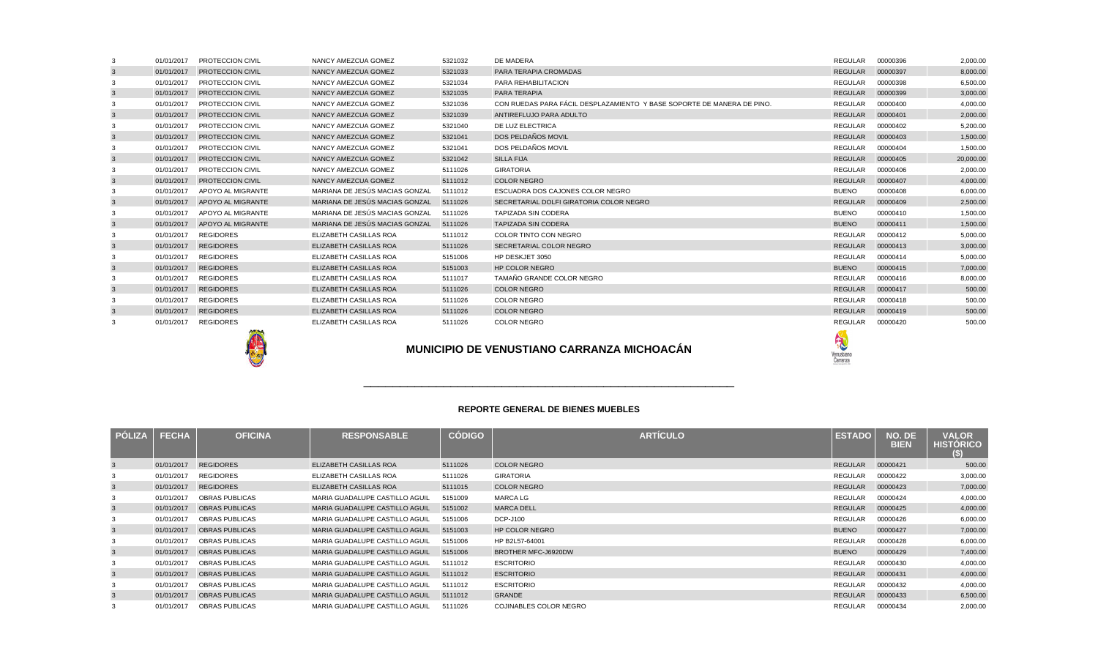|   | 01/01/2017 | <b>PROTECCION CIVIL</b>      | NANCY AMEZCUA GOMEZ            | 5321032 | DE MADERA                                                              | <b>REGULAR</b>       | 00000396 | 2,000.00  |
|---|------------|------------------------------|--------------------------------|---------|------------------------------------------------------------------------|----------------------|----------|-----------|
|   | 01/01/2017 | <b>PROTECCION CIVIL</b>      | NANCY AMEZCUA GOMEZ            | 5321033 | PARA TERAPIA CROMADAS                                                  | <b>REGULAR</b>       | 00000397 | 8,000.00  |
|   | 01/01/2017 | <b>PROTECCION CIVIL</b>      | NANCY AMEZCUA GOMEZ            | 5321034 | PARA REHABILITACION                                                    | REGULAR              | 00000398 | 6,500.00  |
|   | 01/01/2017 | <b>PROTECCION CIVIL</b>      | NANCY AMEZCUA GOMEZ            | 5321035 | PARA TERAPIA                                                           | <b>REGULAR</b>       | 00000399 | 3,000.00  |
|   | 01/01/2017 | <b>PROTECCION CIVIL</b>      | NANCY AMEZCUA GOMEZ            | 5321036 | CON RUEDAS PARA FÁCIL DESPLAZAMIENTO Y BASE SOPORTE DE MANERA DE PINO. | <b>REGULAR</b>       | 00000400 | 4,000.00  |
|   | 01/01/2017 | <b>PROTECCION CIVIL</b>      | NANCY AMEZCUA GOMEZ            | 5321039 | ANTIREFLUJO PARA ADULTO                                                | <b>REGULAR</b>       | 00000401 | 2,000.00  |
|   | 01/01/2017 | <b>PROTECCION CIVIL</b>      | NANCY AMEZCUA GOMEZ            | 5321040 | DE LUZ ELECTRICA                                                       | REGULAR              | 00000402 | 5,200.00  |
|   | 01/01/2017 | <b>PROTECCION CIVIL</b>      | <b>NANCY AMEZCUA GOMEZ</b>     | 5321041 | DOS PELDAÑOS MOVIL                                                     | <b>REGULAR</b>       | 00000403 | 1,500.00  |
|   | 01/01/2017 | <b>PROTECCION CIVIL</b>      | NANCY AMEZCUA GOMEZ            | 5321041 | DOS PELDAÑOS MOVIL                                                     | REGULAR              | 00000404 | 1,500.00  |
|   | 01/01/2017 | <b>PROTECCION CIVIL</b>      | NANCY AMEZCUA GOMEZ            | 5321042 | <b>SILLA FIJA</b>                                                      | <b>REGULAR</b>       | 00000405 | 20,000.00 |
|   | 01/01/2017 | PROTECCION CIVIL             | NANCY AMEZCUA GOMEZ            | 5111026 | <b>GIRATORIA</b>                                                       | REGULAR              | 00000406 | 2,000.00  |
| 3 |            | 01/01/2017 PROTECCION CIVIL  | NANCY AMEZCUA GOMEZ            | 5111012 | <b>COLOR NEGRO</b>                                                     | <b>REGULAR</b>       | 00000407 | 4,000.00  |
|   | 01/01/2017 | APOYO AL MIGRANTE            | MARIANA DE JESÚS MACIAS GONZAL | 5111012 | ESCUADRA DOS CAJONES COLOR NEGRO                                       | <b>BUENO</b>         | 00000408 | 6,000.00  |
| 3 |            | 01/01/2017 APOYO AL MIGRANTE | MARIANA DE JESÚS MACIAS GONZAL | 5111026 | SECRETARIAL DOLFI GIRATORIA COLOR NEGRO                                | <b>REGULAR</b>       | 00000409 | 2,500.00  |
|   | 01/01/2017 | APOYO AL MIGRANTE            | MARIANA DE JESÚS MACIAS GONZAL | 5111026 | <b>TAPIZADA SIN CODERA</b>                                             | <b>BUENO</b>         | 00000410 | 1,500.00  |
| 3 |            | 01/01/2017 APOYO AL MIGRANTE | MARIANA DE JESÚS MACIAS GONZAL | 5111026 | <b>TAPIZADA SIN CODERA</b>                                             | <b>BUENO</b>         | 00000411 | 1,500.00  |
|   | 01/01/2017 | <b>REGIDORES</b>             | ELIZABETH CASILLAS ROA         | 5111012 | COLOR TINTO CON NEGRO                                                  | <b>REGULAR</b>       | 00000412 | 5,000.00  |
|   |            | 01/01/2017 REGIDORES         | <b>ELIZABETH CASILLAS ROA</b>  | 5111026 | SECRETARIAL COLOR NEGRO                                                | <b>REGULAR</b>       | 00000413 | 3,000.00  |
|   | 01/01/2017 | <b>REGIDORES</b>             | ELIZABETH CASILLAS ROA         | 5151006 | HP DESKJET 3050                                                        | <b>REGULAR</b>       | 00000414 | 5,000.00  |
|   |            | 01/01/2017 REGIDORES         | ELIZABETH CASILLAS ROA         | 5151003 | <b>HP COLOR NEGRO</b>                                                  | <b>BUENO</b>         | 00000415 | 7,000.00  |
|   | 01/01/2017 | <b>REGIDORES</b>             | ELIZABETH CASILLAS ROA         | 5111017 | TAMAÑO GRANDE COLOR NEGRO                                              | <b>REGULAR</b>       | 00000416 | 8,000.00  |
|   |            | 01/01/2017 REGIDORES         | ELIZABETH CASILLAS ROA         | 5111026 | <b>COLOR NEGRO</b>                                                     | <b>REGULAR</b>       | 00000417 | 500.00    |
|   | 01/01/2017 | REGIDORES                    | ELIZABETH CASILLAS ROA         | 5111026 | <b>COLOR NEGRO</b>                                                     | REGULAR              | 00000418 | 500.00    |
|   |            | 01/01/2017 REGIDORES         | ELIZABETH CASILLAS ROA         | 5111026 | <b>COLOR NEGRO</b>                                                     | <b>REGULAR</b>       | 00000419 | 500.00    |
|   | 01/01/2017 | <b>REGIDORES</b>             | ELIZABETH CASILLAS ROA         | 5111026 | COLOR NEGRO                                                            | REGULAR              | 00000420 | 500.00    |
|   |            | <b>AND PLAT</b>              |                                |         |                                                                        | <b>START COMPANY</b> |          |           |

# **MUNICIPIO DE VENUSTIANO CARRANZA MICHOACÁN**

A

### **REPORTE GENERAL DE BIENES MUEBLES**

\_\_\_\_\_\_\_\_\_\_\_\_\_\_\_\_\_\_\_\_\_\_\_\_\_\_\_\_\_\_\_\_\_\_\_\_\_\_\_\_\_\_\_\_\_\_\_\_\_\_\_

| <b>PÓLIZA</b> | <b>FECHA</b> | <b>OFICINA</b>        | <b>RESPONSABLE</b>             | <b>CÓDIGO</b> | <b>ARTÍCULO</b>        | <b>ESTADO</b>  | NO. DE<br><b>BIEN</b> | <b>VALOR</b><br><b>HISTORICO</b><br>$\left(5\right)$ |
|---------------|--------------|-----------------------|--------------------------------|---------------|------------------------|----------------|-----------------------|------------------------------------------------------|
| 3             | 01/01/2017   | <b>REGIDORES</b>      | ELIZABETH CASILLAS ROA         | 5111026       | <b>COLOR NEGRO</b>     | <b>REGULAR</b> | 00000421              | 500.00                                               |
|               | 01/01/2017   | <b>REGIDORES</b>      | ELIZABETH CASILLAS ROA         | 5111026       | <b>GIRATORIA</b>       | REGULAR        | 00000422              | 3,000.00                                             |
| $\mathbf{3}$  | 01/01/2017   | <b>REGIDORES</b>      | ELIZABETH CASILLAS ROA         | 5111015       | <b>COLOR NEGRO</b>     | REGULAR        | 00000423              | 7,000.00                                             |
|               | 01/01/2017   | <b>OBRAS PUBLICAS</b> | MARIA GUADALUPE CASTILLO AGUIL | 5151009       | <b>MARCA LG</b>        | REGULAR        | 00000424              | 4,000.00                                             |
| $\mathbf{3}$  | 01/01/2017   | <b>OBRAS PUBLICAS</b> | MARIA GUADALUPE CASTILLO AGUIL | 5151002       | <b>MARCA DELL</b>      | <b>REGULAR</b> | 00000425              | 4,000.00                                             |
| 3             | 01/01/2017   | <b>OBRAS PUBLICAS</b> | MARIA GUADALUPE CASTILLO AGUIL | 5151006       | <b>DCP-J100</b>        | REGULAR        | 00000426              | 6,000.00                                             |
| $\mathbf{3}$  | 01/01/2017   | <b>OBRAS PUBLICAS</b> | MARIA GUADALUPE CASTILLO AGUIL | 5151003       | <b>HP COLOR NEGRO</b>  | <b>BUENO</b>   | 00000427              | 7,000.00                                             |
| 3             | 01/01/2017   | <b>OBRAS PUBLICAS</b> | MARIA GUADALUPE CASTILLO AGUIL | 5151006       | HP B2L57-64001         | REGULAR        | 00000428              | 6,000.00                                             |
| $\mathbf{3}$  | 01/01/2017   | <b>OBRAS PUBLICAS</b> | MARIA GUADALUPE CASTILLO AGUIL | 5151006       | BROTHER MFC-J6920DW    | <b>BUENO</b>   | 00000429              | 7,400.00                                             |
| 3             | 01/01/2017   | OBRAS PUBLICAS        | MARIA GUADALUPE CASTILLO AGUIL | 5111012       | <b>ESCRITORIO</b>      | REGULAR        | 00000430              | 4,000.00                                             |
| $\mathbf{3}$  | 01/01/2017   | <b>OBRAS PUBLICAS</b> | MARIA GUADALUPE CASTILLO AGUIL | 5111012       | <b>ESCRITORIO</b>      | <b>REGULAR</b> | 00000431              | 4,000.00                                             |
| 3             | 01/01/2017   | <b>OBRAS PUBLICAS</b> | MARIA GUADALUPE CASTILLO AGUIL | 5111012       | <b>ESCRITORIO</b>      | REGULAR        | 00000432              | 4,000.00                                             |
| $\mathbf{3}$  | 01/01/2017   | <b>OBRAS PUBLICAS</b> | MARIA GUADALUPE CASTILLO AGUIL | 5111012       | <b>GRANDE</b>          | REGULAR        | 00000433              | 6,500.00                                             |
| 3             | 01/01/2017   | <b>OBRAS PUBLICAS</b> | MARIA GUADALUPE CASTILLO AGUIL | 5111026       | COJINABLES COLOR NEGRO | REGULAR        | 00000434              | 2,000.00                                             |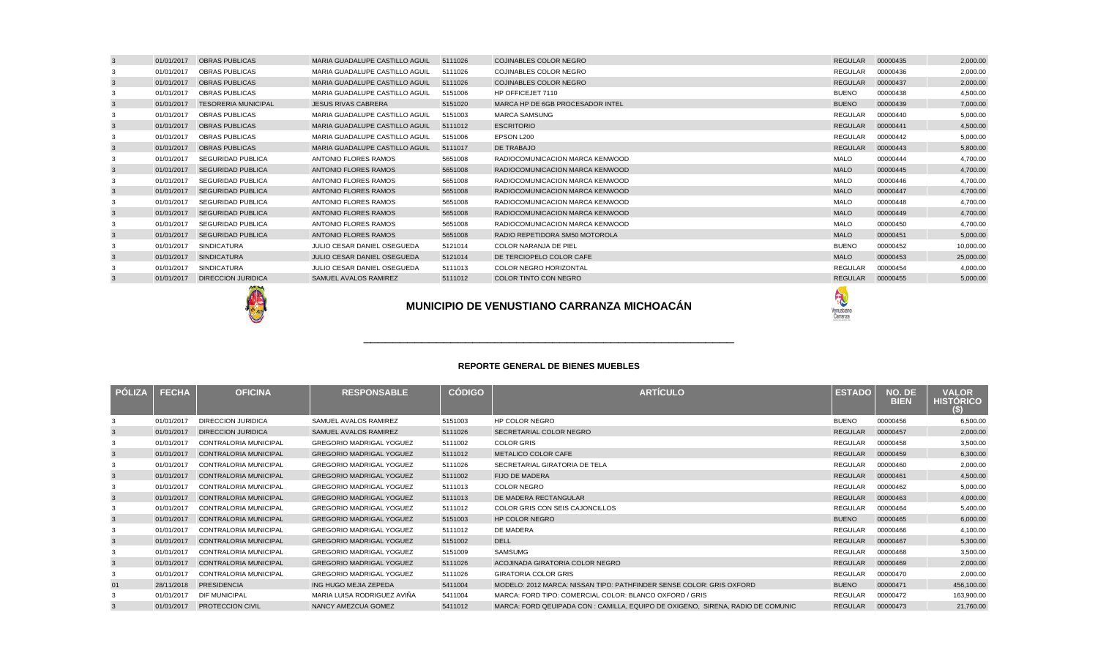| <b>PÓLIZA</b> | <b>FECHA</b> | <b>OFICINA</b>               | <b>RESPONSABLE</b>              | <b>CÓDIGO</b> | ARTÍCULO                                                                        | <b>ESTADO</b>  | NO. DE<br><b>BIEN</b> | <b>VALOR</b><br><b>HISTÓRICO</b><br>(\$) |
|---------------|--------------|------------------------------|---------------------------------|---------------|---------------------------------------------------------------------------------|----------------|-----------------------|------------------------------------------|
|               | 01/01/2017   | <b>DIRECCION JURIDICA</b>    | SAMUEL AVALOS RAMIREZ           | 5151003       | <b>HP COLOR NEGRO</b>                                                           | <b>BUENO</b>   | 00000456              | 6,500.00                                 |
| 3             | 01/01/2017   | <b>DIRECCION JURIDICA</b>    | <b>SAMUEL AVALOS RAMIREZ</b>    | 5111026       | SECRETARIAL COLOR NEGRO                                                         | <b>REGULAR</b> | 00000457              | 2,000.00                                 |
|               | 01/01/2017   | <b>CONTRALORIA MUNICIPAL</b> | <b>GREGORIO MADRIGAL YOGUEZ</b> | 5111002       | <b>COLOR GRIS</b>                                                               | <b>REGULAR</b> | 00000458              | 3,500.00                                 |
| 3             | 01/01/2017   | <b>CONTRALORIA MUNICIPAL</b> | <b>GREGORIO MADRIGAL YOGUEZ</b> | 5111012       | METALICO COLOR CAFE                                                             | <b>REGULAR</b> | 00000459              | 6,300.00                                 |
| 3             | 01/01/2017   | <b>CONTRALORIA MUNICIPAL</b> | <b>GREGORIO MADRIGAL YOGUEZ</b> | 5111026       | SECRETARIAL GIRATORIA DE TELA                                                   | REGULAR        | 00000460              | 2,000.00                                 |
| 3             | 01/01/2017   | CONTRALORIA MUNICIPAL        | <b>GREGORIO MADRIGAL YOGUEZ</b> | 5111002       | <b>FIJO DE MADERA</b>                                                           | <b>REGULAR</b> | 00000461              | 4,500.00                                 |
| 3             | 01/01/2017   | CONTRALORIA MUNICIPAL        | <b>GREGORIO MADRIGAL YOGUEZ</b> | 5111013       | <b>COLOR NEGRO</b>                                                              | REGULAR        | 00000462              | 5,000.00                                 |
| 3             | 01/01/2017   | <b>CONTRALORIA MUNICIPAL</b> | <b>GREGORIO MADRIGAL YOGUEZ</b> | 5111013       | DE MADERA RECTANGULAR                                                           | <b>REGULAR</b> | 00000463              | 4,000.00                                 |
|               | 01/01/2017   | <b>CONTRALORIA MUNICIPAL</b> | <b>GREGORIO MADRIGAL YOGUEZ</b> | 5111012       | COLOR GRIS CON SEIS CAJONCILLOS                                                 | <b>REGULAR</b> | 00000464              | 5,400.00                                 |
| 3             | 01/01/2017   | CONTRALORIA MUNICIPAL        | <b>GREGORIO MADRIGAL YOGUEZ</b> | 5151003       | <b>HP COLOR NEGRO</b>                                                           | <b>BUENO</b>   | 00000465              | 6,000.00                                 |
|               | 01/01/2017   | <b>CONTRALORIA MUNICIPAL</b> | <b>GREGORIO MADRIGAL YOGUEZ</b> | 5111012       | DE MADERA                                                                       | <b>REGULAR</b> | 00000466              | 4,100.00                                 |
| 3             | 01/01/2017   | <b>CONTRALORIA MUNICIPAL</b> | <b>GREGORIO MADRIGAL YOGUEZ</b> | 5151002       | <b>DELL</b>                                                                     | <b>REGULAR</b> | 00000467              | 5,300.00                                 |
|               | 01/01/2017   | <b>CONTRALORIA MUNICIPAL</b> | <b>GREGORIO MADRIGAL YOGUEZ</b> | 5151009       | SAMSUMG                                                                         | <b>REGULAR</b> | 00000468              | 3,500.00                                 |
| 3             | 01/01/2017   | <b>CONTRALORIA MUNICIPAL</b> | <b>GREGORIO MADRIGAL YOGUEZ</b> | 5111026       | ACOJINADA GIRATORIA COLOR NEGRO                                                 | <b>REGULAR</b> | 00000469              | 2,000.00                                 |
|               | 01/01/2017   | CONTRALORIA MUNICIPAL        | <b>GREGORIO MADRIGAL YOGUEZ</b> | 5111026       | <b>GIRATORIA COLOR GRIS</b>                                                     | <b>REGULAR</b> | 00000470              | 2,000.00                                 |
| 01            | 28/11/2018   | <b>PRESIDENCIA</b>           | ING HUGO MEJIA ZEPEDA           | 5411004       | MODELO: 2012 MARCA: NISSAN TIPO: PATHFINDER SENSE COLOR: GRIS OXFORD            | <b>BUENO</b>   | 00000471              | 456,100.00                               |
|               | 01/01/2017   | <b>DIF MUNICIPAL</b>         | MARIA LUISA RODRIGUEZ AVIÑA     | 5411004       | MARCA: FORD TIPO: COMERCIAL COLOR: BLANCO OXFORD / GRIS                         | <b>REGULAR</b> | 00000472              | 163,900.00                               |
|               | 01/01/2017   | <b>PROTECCION CIVIL</b>      | NANCY AMEZCUA GOMEZ             | 5411012       | MARCA: FORD QEUIPADA CON : CAMILLA, EQUIPO DE OXIGENO. SIRENA, RADIO DE COMUNIC | <b>REGULAR</b> | 00000473              | 21,760.00                                |





| 01/01/2017 | <b>OBRAS PUBLICAS</b>      | MARIA GUADALUPE CASTILLO AGUIL | 5111026 | <b>COJINABLES COLOR NEGRO</b>    | <b>REGULAR</b> | 00000435 | 2,000.00  |
|------------|----------------------------|--------------------------------|---------|----------------------------------|----------------|----------|-----------|
| 01/01/2017 | <b>OBRAS PUBLICAS</b>      | MARIA GUADALUPE CASTILLO AGUIL | 5111026 | <b>COJINABLES COLOR NEGRO</b>    | REGULAR        | 00000436 | 2,000.00  |
| 01/01/2017 | <b>OBRAS PUBLICAS</b>      | MARIA GUADALUPE CASTILLO AGUIL | 5111026 | <b>COJINABLES COLOR NEGRO</b>    | <b>REGULAR</b> | 00000437 | 2,000.00  |
| 01/01/2017 | <b>OBRAS PUBLICAS</b>      | MARIA GUADALUPE CASTILLO AGUIL | 5151006 | HP OFFICEJET 7110                | <b>BUENO</b>   | 00000438 | 4,500.00  |
| 01/01/2017 | <b>TESORERIA MUNICIPAL</b> | <b>JESUS RIVAS CABRERA</b>     | 5151020 | MARCA HP DE 6GB PROCESADOR INTEL | <b>BUENO</b>   | 00000439 | 7,000.00  |
| 01/01/2017 | <b>OBRAS PUBLICAS</b>      | MARIA GUADALUPE CASTILLO AGUIL | 5151003 | <b>MARCA SAMSUNG</b>             | <b>REGULAR</b> | 00000440 | 5,000.00  |
| 01/01/2017 | <b>OBRAS PUBLICAS</b>      | MARIA GUADALUPE CASTILLO AGUIL | 5111012 | <b>ESCRITORIO</b>                | <b>REGULAR</b> | 00000441 | 4,500.00  |
| 01/01/2017 | <b>OBRAS PUBLICAS</b>      | MARIA GUADALUPE CASTILLO AGUIL | 5151006 | EPSON L200                       | <b>REGULAR</b> | 00000442 | 5,000.00  |
| 01/01/2017 | <b>OBRAS PUBLICAS</b>      | MARIA GUADALUPE CASTILLO AGUIL | 5111017 | <b>DE TRABAJO</b>                | <b>REGULAR</b> | 00000443 | 5,800.00  |
| 01/01/2017 | <b>SEGURIDAD PUBLICA</b>   | <b>ANTONIO FLORES RAMOS</b>    | 5651008 | RADIOCOMUNICACION MARCA KENWOOD  | <b>MALO</b>    | 00000444 | 4,700.00  |
| 01/01/2017 | <b>SEGURIDAD PUBLICA</b>   | ANTONIO FLORES RAMOS           | 5651008 | RADIOCOMUNICACION MARCA KENWOOD  | <b>MALO</b>    | 00000445 | 4,700.00  |
| 01/01/2017 | <b>SEGURIDAD PUBLICA</b>   | ANTONIO FLORES RAMOS           | 5651008 | RADIOCOMUNICACION MARCA KENWOOD  | <b>MALO</b>    | 00000446 | 4,700.00  |
| 01/01/2017 | <b>SEGURIDAD PUBLICA</b>   | <b>ANTONIO FLORES RAMOS</b>    | 5651008 | RADIOCOMUNICACION MARCA KENWOOD  | <b>MALO</b>    | 00000447 | 4,700.00  |
| 01/01/2017 | <b>SEGURIDAD PUBLICA</b>   | <b>ANTONIO FLORES RAMOS</b>    | 5651008 | RADIOCOMUNICACION MARCA KENWOOD  | MALO           | 00000448 | 4,700.00  |
| 01/01/2017 | <b>SEGURIDAD PUBLICA</b>   | ANTONIO FLORES RAMOS           | 5651008 | RADIOCOMUNICACION MARCA KENWOOD  | <b>MALO</b>    | 00000449 | 4,700.00  |
| 01/01/2017 | <b>SEGURIDAD PUBLICA</b>   | ANTONIO FLORES RAMOS           | 5651008 | RADIOCOMUNICACION MARCA KENWOOD  | MALO           | 00000450 | 4,700.00  |
| 01/01/2017 | <b>SEGURIDAD PUBLICA</b>   | <b>ANTONIO FLORES RAMOS</b>    | 5651008 | RADIO REPETIDORA SM50 MOTOROLA   | <b>MALO</b>    | 00000451 | 5,000.00  |
| 01/01/2017 | <b>SINDICATURA</b>         | JULIO CESAR DANIEL OSEGUEDA    | 5121014 | <b>COLOR NARANJA DE PIEL</b>     | <b>BUENO</b>   | 00000452 | 10,000.00 |
| 01/01/2017 | <b>SINDICATURA</b>         | JULIO CESAR DANIEL OSEGUEDA    | 5121014 | DE TERCIOPELO COLOR CAFE         | <b>MALO</b>    | 00000453 | 25,000.00 |
| 01/01/2017 | <b>SINDICATURA</b>         | JULIO CESAR DANIEL OSEGUEDA    | 5111013 | <b>COLOR NEGRO HORIZONTAL</b>    | <b>REGULAR</b> | 00000454 | 4,000.00  |
| 01/01/2017 | <b>DIRECCION JURIDICA</b>  | SAMUEL AVALOS RAMIREZ          | 5111012 | <b>COLOR TINTO CON NEGRO</b>     | <b>REGULAR</b> | 00000455 | 5,000.00  |
|            |                            |                                |         |                                  |                |          |           |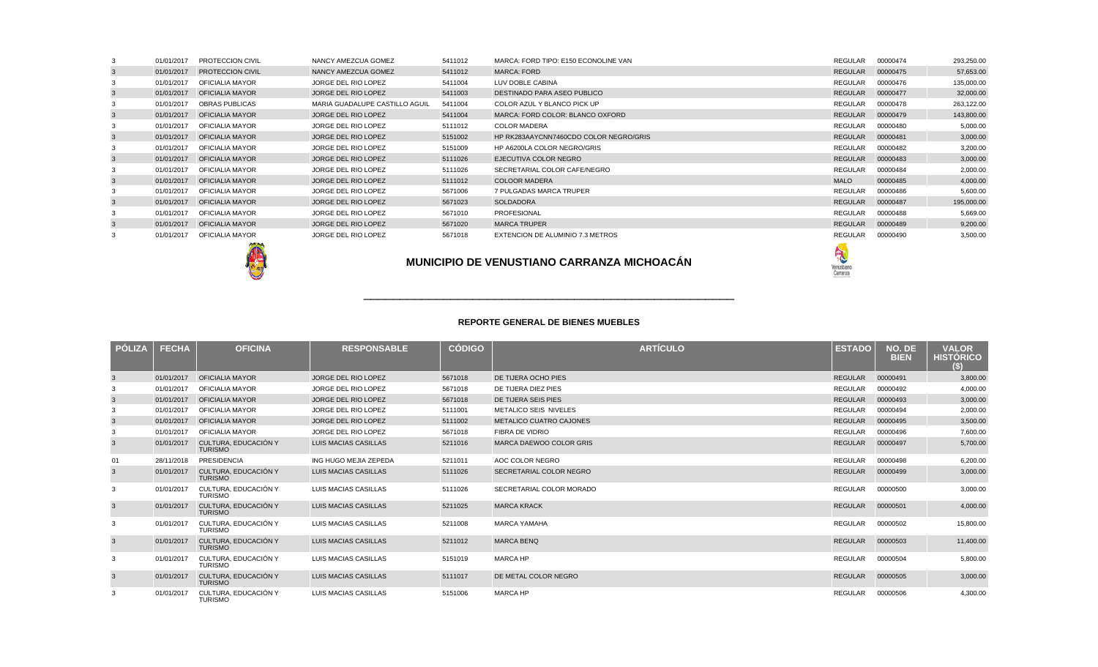| PÓLIZA | <b>FECHA</b> | <b>OFICINA</b>                         | <b>RESPONSABLE</b>          | <b>CÓDIGO</b> | ARTÍCULO                       | <b>ESTADO</b>  | NO. DE<br><b>BIEN</b> | <b>VALOR</b><br><u>HISTÓRICO </u><br>SI |
|--------|--------------|----------------------------------------|-----------------------------|---------------|--------------------------------|----------------|-----------------------|-----------------------------------------|
| 3      | 01/01/2017   | <b>OFICIALIA MAYOR</b>                 | JORGE DEL RIO LOPEZ         | 5671018       | DE TIJERA OCHO PIES            | <b>REGULAR</b> | 00000491              | 3,800.00                                |
|        | 01/01/2017   | <b>OFICIALIA MAYOR</b>                 | JORGE DEL RIO LOPEZ         | 5671018       | DE TIJERA DIEZ PIES            | REGULAR        | 00000492              | 4,000.00                                |
| 3      | 01/01/2017   | <b>OFICIALIA MAYOR</b>                 | JORGE DEL RIO LOPEZ         | 5671018       | DE TIJERA SEIS PIES            | <b>REGULAR</b> | 00000493              | 3,000.00                                |
|        | 01/01/2017   | <b>OFICIALIA MAYOR</b>                 | JORGE DEL RIO LOPEZ         | 5111001       | <b>METALICO SEIS NIVELES</b>   | REGULAR        | 00000494              | 2,000.00                                |
| 3      | 01/01/2017   | <b>OFICIALIA MAYOR</b>                 | JORGE DEL RIO LOPEZ         | 5111002       | <b>METALICO CUATRO CAJONES</b> | <b>REGULAR</b> | 00000495              | 3,500.00                                |
|        | 01/01/2017   | <b>OFICIALIA MAYOR</b>                 | JORGE DEL RIO LOPEZ         | 5671018       | FIBRA DE VIDRIO                | <b>REGULAR</b> | 00000496              | 7,600.00                                |
| 3      | 01/01/2017   | CULTURA. EDUCACIÓN Y<br><b>TURISMO</b> | <b>LUIS MACIAS CASILLAS</b> | 5211016       | MARCA DAEWOO COLOR GRIS        | <b>REGULAR</b> | 00000497              | 5,700.00                                |
| 01     | 28/11/2018   | <b>PRESIDENCIA</b>                     | ING HUGO MEJIA ZEPEDA       | 5211011       | AOC COLOR NEGRO                | REGULAR        | 00000498              | 6,200.00                                |
| 3      | 01/01/2017   | CULTURA. EDUCACIÓN Y<br><b>TURISMO</b> | <b>LUIS MACIAS CASILLAS</b> | 5111026       | SECRETARIAL COLOR NEGRO        | <b>REGULAR</b> | 00000499              | 3,000.00                                |
| 3      | 01/01/2017   | CULTURA. EDUCACIÓN Y<br><b>TURISMO</b> | LUIS MACIAS CASILLAS        | 5111026       | SECRETARIAL COLOR MORADO       | REGULAR        | 00000500              | 3,000.00                                |
| 3      | 01/01/2017   | CULTURA. EDUCACIÓN Y<br><b>TURISMO</b> | <b>LUIS MACIAS CASILLAS</b> | 5211025       | <b>MARCA KRACK</b>             | <b>REGULAR</b> | 00000501              | 4,000.00                                |
| 3      | 01/01/2017   | CULTURA, EDUCACIÓN Y<br><b>TURISMO</b> | LUIS MACIAS CASILLAS        | 5211008       | <b>MARCA YAMAHA</b>            | REGULAR        | 00000502              | 15,800.00                               |
| 3      | 01/01/2017   | CULTURA, EDUCACIÓN Y<br><b>TURISMO</b> | <b>LUIS MACIAS CASILLAS</b> | 5211012       | <b>MARCA BENQ</b>              | <b>REGULAR</b> | 00000503              | 11,400.00                               |
| 3      | 01/01/2017   | CULTURA, EDUCACIÓN Y<br><b>TURISMO</b> | LUIS MACIAS CASILLAS        | 5151019       | <b>MARCA HP</b>                | REGULAR        | 00000504              | 5,800.00                                |
| 3      | 01/01/2017   | CULTURA, EDUCACIÓN Y<br><b>TURISMO</b> | <b>LUIS MACIAS CASILLAS</b> | 5111017       | DE METAL COLOR NEGRO           | REGULAR        | 00000505              | 3,000.00                                |
|        | 01/01/2017   | CULTURA, EDUCACIÓN Y<br><b>TURISMO</b> | LUIS MACIAS CASILLAS        | 5151006       | <b>MARCA HP</b>                | <b>REGULAR</b> | 00000506              | 4,300.00                                |



|   | 01/01/2017 | <b>PROTECCION CIVIL</b>       | NANCY AMEZCUA GOMEZ            | 5411012 | MARCA: FORD TIPO: E150 ECONOLINE VAN   | REGULAR        | 00000474 | 293,250.00 |
|---|------------|-------------------------------|--------------------------------|---------|----------------------------------------|----------------|----------|------------|
|   |            | 01/01/2017 PROTECCION CIVIL   | NANCY AMEZCUA GOMEZ            | 5411012 | MARCA: FORD                            | REGULAR        | 00000475 | 57,653.00  |
|   | 01/01/2017 | OFICIALIA MAYOR               | JORGE DEL RIO LOPEZ            | 5411004 | LUV DOBLE CABINA                       | REGULAR        | 00000476 | 135,000.00 |
|   |            | 01/01/2017 OFICIALIA MAYOR    | JORGE DEL RIO LOPEZ            | 5411003 | <b>DESTINADO PARA ASEO PUBLICO</b>     | REGULAR        | 00000477 | 32,000.00  |
|   | 01/01/2017 | OBRAS PUBLICAS                | MARIA GUADALUPE CASTILLO AGUIL | 5411004 | COLOR AZUL Y BLANCO PICK UP            | REGULAR        | 00000478 | 263,122.00 |
| 3 |            | 01/01/2017    QFICIALIA MAYOR | JORGE DEL RIO LOPEZ            | 5411004 | MARCA: FORD COLOR: BLANCO OXFORD       | <b>REGULAR</b> | 00000479 | 143,800.00 |
|   | 01/01/2017 | OFICIALIA MAYOR               | JORGE DEL RIO LOPEZ            | 5111012 | <b>COLOR MADERA</b>                    | REGULAR        | 00000480 | 5,000.00   |
|   |            | 01/01/2017    QFICIALIA MAYOR | JORGE DEL RIO LOPEZ            | 5151002 | HP RK283AAYCNN7460CDO COLOR NEGRO/GRIS | <b>REGULAR</b> | 00000481 | 3,000.00   |
|   | 01/01/2017 | OFICIALIA MAYOR               | JORGE DEL RIO LOPEZ            | 5151009 | HP A6200LA COLOR NEGRO/GRIS            | REGULAR        | 00000482 | 3,200.00   |
|   |            | 01/01/2017    QFICIALIA MAYOR | JORGE DEL RIO LOPEZ            | 5111026 | EJECUTIVA COLOR NEGRO                  | <b>REGULAR</b> | 00000483 | 3,000.00   |
|   | 01/01/2017 | OFICIALIA MAYOR               | JORGE DEL RIO LOPEZ            | 5111026 | SECRETARIAL COLOR CAFE/NEGRO           | REGULAR        | 00000484 | 2,000.00   |
|   | 01/01/2017 | <b>OFICIALIA MAYOR</b>        | JORGE DEL RIO LOPEZ            | 5111012 | <b>COLOOR MADERA</b>                   | <b>MALO</b>    | 00000485 | 4,000.00   |
|   | 01/01/2017 | OFICIALIA MAYOR               | JORGE DEL RIO LOPEZ            | 5671006 | 7 PULGADAS MARCA TRUPER                | REGULAR        | 00000486 | 5,600.00   |
|   |            | 01/01/2017 OFICIALIA MAYOR    | JORGE DEL RIO LOPEZ            | 5671023 | SOLDADORA                              | REGULAR        | 00000487 | 195,000.00 |
|   | 01/01/2017 | OFICIALIA MAYOR               | JORGE DEL RIO LOPEZ            | 5671010 | PROFESIONAL                            | REGULAR        | 00000488 | 5,669.00   |
|   |            | 01/01/2017  OFICIALIA MAYOR   | JORGE DEL RIO LOPEZ            | 5671020 | <b>MARCA TRUPER</b>                    | REGULAR        | 00000489 | 9,200.00   |
|   | 01/01/2017 | OFICIALIA MAYOR               | JORGE DEL RIO LOPEZ            | 5671018 | EXTENCION DE ALUMINIO 7.3 METROS       | REGULAR        | 00000490 | 3,500.00   |
|   |            |                               |                                |         |                                        |                |          |            |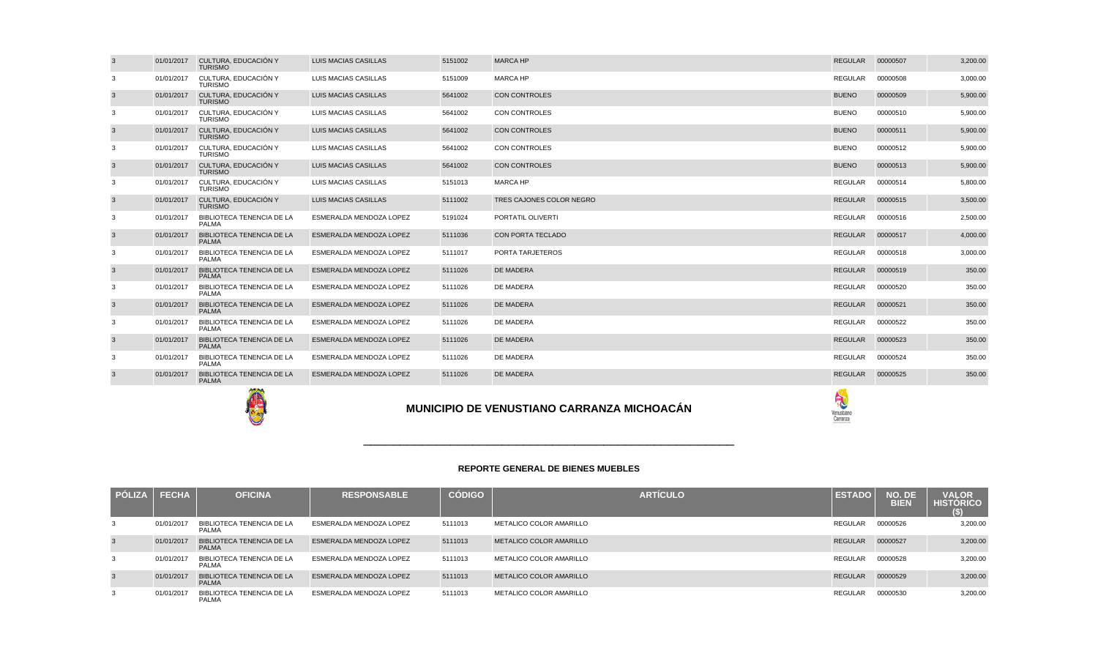| <b>PÓLIZA</b> | <b>FECHA</b> | <b>OFICINA</b>                            | <b>RESPONSABLE</b>             | <b>CÓDIGO</b> | <b>ARTICULO</b>         | <b>ESTADO</b>  | NO. DE<br><b>BIEN</b> | <b>VALOR</b><br><b>HISTORICO</b><br>(S) |
|---------------|--------------|-------------------------------------------|--------------------------------|---------------|-------------------------|----------------|-----------------------|-----------------------------------------|
| -3            | 01/01/2017   | BIBLIOTECA TENENCIA DE LA<br><b>PALMA</b> | ESMERALDA MENDOZA LOPEZ        | 5111013       | METALICO COLOR AMARILLO | <b>REGULAR</b> | 00000526              | 3,200.00                                |
| 3             | 01/01/2017   | BIBLIOTECA TENENCIA DE LA<br><b>PALMA</b> | ESMERALDA MENDOZA LOPEZ        | 5111013       | METALICO COLOR AMARILLO | <b>REGULAR</b> | 00000527              | 3,200.00                                |
| 3             | 01/01/2017   | BIBLIOTECA TENENCIA DE LA<br><b>PALMA</b> | ESMERALDA MENDOZA LOPEZ        | 5111013       | METALICO COLOR AMARILLO | REGULAR        | 00000528              | 3,200.00                                |
| 3             | 01/01/2017   | BIBLIOTECA TENENCIA DE LA<br><b>PALMA</b> | <b>ESMERALDA MENDOZA LOPEZ</b> | 5111013       | METALICO COLOR AMARILLO | <b>REGULAR</b> | 00000529              | 3,200.00                                |
| 3             | 01/01/2017   | BIBLIOTECA TENENCIA DE LA<br><b>PALMA</b> | ESMERALDA MENDOZA LOPEZ        | 5111013       | METALICO COLOR AMARILLO | <b>REGULAR</b> | 00000530              | 3,200.00                                |

# \_\_\_\_\_\_\_\_\_\_\_\_\_\_\_\_\_\_\_\_\_\_\_\_\_\_\_\_\_\_\_\_\_\_\_\_\_\_\_\_\_\_\_\_\_\_\_\_\_\_\_

| 3              | 01/01/2017 | CULTURA, EDUCACIÓN Y<br><b>TURISMO</b>           | <b>LUIS MACIAS CASILLAS</b>                       | 5151002 | <b>MARCA HP</b>          | <b>REGULAR</b> | 00000507 | 3,200.00 |
|----------------|------------|--------------------------------------------------|---------------------------------------------------|---------|--------------------------|----------------|----------|----------|
| 3              | 01/01/2017 | CULTURA. EDUCACIÓN Y<br><b>TURISMO</b>           | LUIS MACIAS CASILLAS                              | 5151009 | <b>MARCA HP</b>          | <b>REGULAR</b> | 00000508 | 3,000.00 |
| 3              | 01/01/2017 | CULTURA, EDUCACIÓN Y<br><b>TURISMO</b>           | LUIS MACIAS CASILLAS                              | 5641002 | <b>CON CONTROLES</b>     | <b>BUENO</b>   | 00000509 | 5,900.00 |
| 3              | 01/01/2017 | CULTURA, EDUCACIÓN Y<br><b>TURISMO</b>           | LUIS MACIAS CASILLAS                              | 5641002 | <b>CON CONTROLES</b>     | <b>BUENO</b>   | 00000510 | 5,900.00 |
| 3              | 01/01/2017 | CULTURA, EDUCACIÓN Y<br><b>TURISMO</b>           | LUIS MACIAS CASILLAS                              | 5641002 | <b>CON CONTROLES</b>     | <b>BUENO</b>   | 00000511 | 5,900.00 |
| 3              | 01/01/2017 | CULTURA. EDUCACIÓN Y<br><b>TURISMO</b>           | LUIS MACIAS CASILLAS                              | 5641002 | <b>CON CONTROLES</b>     | <b>BUENO</b>   | 00000512 | 5.900.00 |
| $\overline{3}$ | 01/01/2017 | CULTURA, EDUCACIÓN Y<br><b>TURISMO</b>           | LUIS MACIAS CASILLAS                              | 5641002 | <b>CON CONTROLES</b>     | <b>BUENO</b>   | 00000513 | 5,900.00 |
| 3              | 01/01/2017 | CULTURA, EDUCACIÓN Y<br><b>TURISMO</b>           | LUIS MACIAS CASILLAS                              | 5151013 | <b>MARCA HP</b>          | <b>REGULAR</b> | 00000514 | 5,800.00 |
| 3              | 01/01/2017 | CULTURA, EDUCACIÓN Y<br><b>TURISMO</b>           | <b>LUIS MACIAS CASILLAS</b>                       | 5111002 | TRES CAJONES COLOR NEGRO | <b>REGULAR</b> | 00000515 | 3,500.00 |
| 3              | 01/01/2017 | <b>BIBLIOTECA TENENCIA DE LA</b><br><b>PALMA</b> | ESMERALDA MENDOZA LOPEZ                           | 5191024 | PORTATIL OLIVERTI        | <b>REGULAR</b> | 00000516 | 2,500.00 |
| 3              | 01/01/2017 | <b>BIBLIOTECA TENENCIA DE LA</b><br><b>PALMA</b> | ESMERALDA MENDOZA LOPEZ                           | 5111036 | <b>CON PORTA TECLADO</b> | <b>REGULAR</b> | 00000517 | 4,000.00 |
| 3              | 01/01/2017 | <b>BIBLIOTECA TENENCIA DE LA</b><br><b>PALMA</b> | ESMERALDA MENDOZA LOPEZ                           | 5111017 | PORTA TARJETEROS         | <b>REGULAR</b> | 00000518 | 3,000.00 |
| 3              | 01/01/2017 | <b>BIBLIOTECA TENENCIA DE LA</b><br><b>PALMA</b> | ESMERALDA MENDOZA LOPEZ                           | 5111026 | <b>DE MADERA</b>         | <b>REGULAR</b> | 00000519 | 350.00   |
| 3              | 01/01/2017 | BIBLIOTECA TENENCIA DE LA<br><b>PALMA</b>        | ESMERALDA MENDOZA LOPEZ                           | 5111026 | DE MADERA                | <b>REGULAR</b> | 00000520 | 350.00   |
| 3              | 01/01/2017 | <b>BIBLIOTECA TENENCIA DE LA</b><br><b>PALMA</b> | <b>ESMERALDA MENDOZA LOPEZ</b>                    | 5111026 | <b>DE MADERA</b>         | <b>REGULAR</b> | 00000521 | 350.00   |
| 3              | 01/01/2017 | <b>BIBLIOTECA TENENCIA DE LA</b><br><b>PALMA</b> | ESMERALDA MENDOZA LOPEZ                           | 5111026 | DE MADERA                | <b>REGULAR</b> | 00000522 | 350.00   |
| 3              | 01/01/2017 | <b>BIBLIOTECA TENENCIA DE LA</b><br><b>PALMA</b> | <b>ESMERALDA MENDOZA LOPEZ</b>                    | 5111026 | <b>DE MADERA</b>         | <b>REGULAR</b> | 00000523 | 350.00   |
| 3              | 01/01/2017 | BIBLIOTECA TENENCIA DE LA<br><b>PALMA</b>        | ESMERALDA MENDOZA LOPEZ                           | 5111026 | DE MADERA                | <b>REGULAR</b> | 00000524 | 350.00   |
| 3              | 01/01/2017 | <b>BIBLIOTECA TENENCIA DE LA</b><br><b>PALMA</b> | ESMERALDA MENDOZA LOPEZ                           | 5111026 | <b>DE MADERA</b>         | REGULAR        | 00000525 | 350.00   |
|                |            |                                                  | <b>MUNICIPIO DE VENUSTIANO CARRANZA MICHOACÁN</b> |         |                          |                |          |          |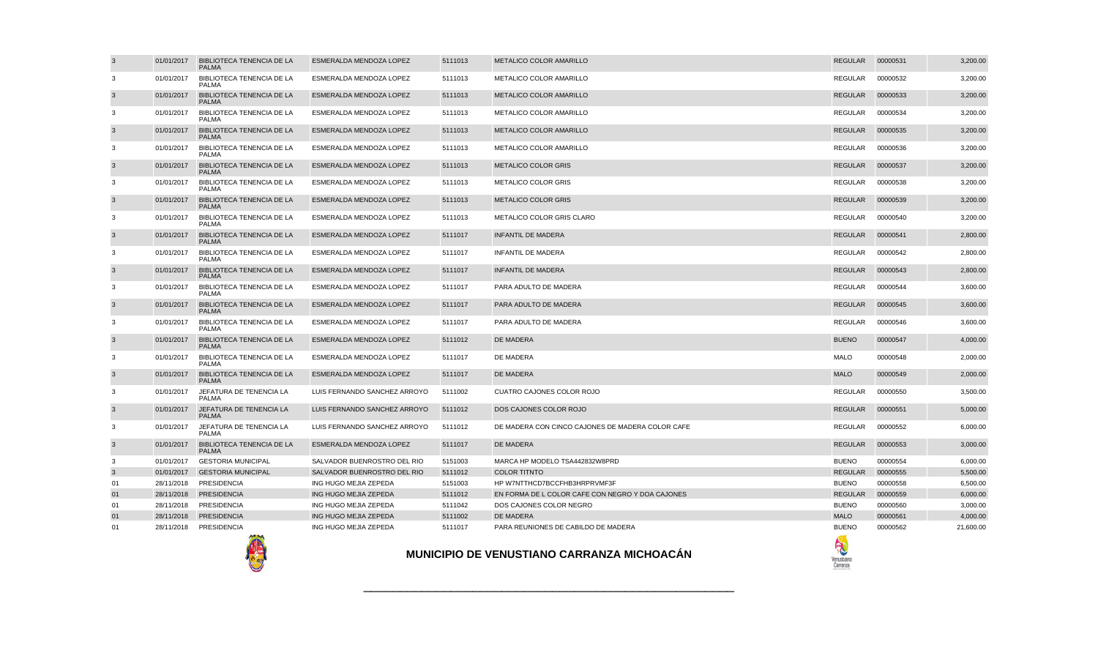

| $\overline{3}$ | 01/01/2017 | <b>BIBLIOTECA TENENCIA DE LA</b><br><b>PALMA</b> | ESMERALDA MENDOZA LOPEZ      | 5111013 | <b>METALICO COLOR AMARILLO</b>                   | <b>REGULAR</b> | 00000531 | 3,200.00  |
|----------------|------------|--------------------------------------------------|------------------------------|---------|--------------------------------------------------|----------------|----------|-----------|
| 3              | 01/01/2017 | BIBLIOTECA TENENCIA DE LA<br><b>PALMA</b>        | ESMERALDA MENDOZA LOPEZ      | 5111013 | METALICO COLOR AMARILLO                          | <b>REGULAR</b> | 00000532 | 3,200.00  |
| $\mathbf{3}$   | 01/01/2017 | <b>BIBLIOTECA TENENCIA DE LA</b><br><b>PALMA</b> | ESMERALDA MENDOZA LOPEZ      | 5111013 | METALICO COLOR AMARILLO                          | <b>REGULAR</b> | 00000533 | 3,200.00  |
| 3              | 01/01/2017 | BIBLIOTECA TENENCIA DE LA<br><b>PALMA</b>        | ESMERALDA MENDOZA LOPEZ      | 5111013 | METALICO COLOR AMARILLO                          | <b>REGULAR</b> | 00000534 | 3,200.00  |
| $\mathbf{3}$   | 01/01/2017 | <b>BIBLIOTECA TENENCIA DE LA</b><br><b>PALMA</b> | ESMERALDA MENDOZA LOPEZ      | 5111013 | METALICO COLOR AMARILLO                          | <b>REGULAR</b> | 00000535 | 3,200.00  |
| $\mathbf{3}$   | 01/01/2017 | BIBLIOTECA TENENCIA DE LA<br><b>PALMA</b>        | ESMERALDA MENDOZA LOPEZ      | 5111013 | METALICO COLOR AMARILLO                          | <b>REGULAR</b> | 00000536 | 3,200.00  |
| $\overline{3}$ | 01/01/2017 | <b>BIBLIOTECA TENENCIA DE LA</b><br><b>PALMA</b> | ESMERALDA MENDOZA LOPEZ      | 5111013 | <b>METALICO COLOR GRIS</b>                       | <b>REGULAR</b> | 00000537 | 3,200.00  |
| 3              | 01/01/2017 | BIBLIOTECA TENENCIA DE LA<br><b>PALMA</b>        | ESMERALDA MENDOZA LOPEZ      | 5111013 | METALICO COLOR GRIS                              | <b>REGULAR</b> | 00000538 | 3,200.00  |
| $\mathbf{3}$   | 01/01/2017 | <b>BIBLIOTECA TENENCIA DE LA</b><br><b>PALMA</b> | ESMERALDA MENDOZA LOPEZ      | 5111013 | <b>METALICO COLOR GRIS</b>                       | <b>REGULAR</b> | 00000539 | 3,200.00  |
| 3              | 01/01/2017 | BIBLIOTECA TENENCIA DE LA<br><b>PALMA</b>        | ESMERALDA MENDOZA LOPEZ      | 5111013 | METALICO COLOR GRIS CLARO                        | REGULAR        | 00000540 | 3,200.00  |
| $\mathbf{3}$   | 01/01/2017 | <b>BIBLIOTECA TENENCIA DE LA</b><br><b>PALMA</b> | ESMERALDA MENDOZA LOPEZ      | 5111017 | <b>INFANTIL DE MADERA</b>                        | <b>REGULAR</b> | 00000541 | 2,800.00  |
| 3              | 01/01/2017 | BIBLIOTECA TENENCIA DE LA<br><b>PALMA</b>        | ESMERALDA MENDOZA LOPEZ      | 5111017 | INFANTIL DE MADERA                               | <b>REGULAR</b> | 00000542 | 2,800.00  |
| $\mathbf{3}$   | 01/01/2017 | <b>BIBLIOTECA TENENCIA DE LA</b><br><b>PALMA</b> | ESMERALDA MENDOZA LOPEZ      | 5111017 | <b>INFANTIL DE MADERA</b>                        | <b>REGULAR</b> | 00000543 | 2,800.00  |
| 3              | 01/01/2017 | BIBLIOTECA TENENCIA DE LA<br><b>PALMA</b>        | ESMERALDA MENDOZA LOPEZ      | 5111017 | PARA ADULTO DE MADERA                            | <b>REGULAR</b> | 00000544 | 3,600.00  |
| $\mathbf{3}$   | 01/01/2017 | <b>BIBLIOTECA TENENCIA DE LA</b><br><b>PALMA</b> | ESMERALDA MENDOZA LOPEZ      | 5111017 | PARA ADULTO DE MADERA                            | <b>REGULAR</b> | 00000545 | 3,600.00  |
| 3              | 01/01/2017 | BIBLIOTECA TENENCIA DE LA<br><b>PALMA</b>        | ESMERALDA MENDOZA LOPEZ      | 5111017 | PARA ADULTO DE MADERA                            | <b>REGULAR</b> | 00000546 | 3,600.00  |
| $\mathbf{3}$   | 01/01/2017 | <b>BIBLIOTECA TENENCIA DE LA</b><br><b>PALMA</b> | ESMERALDA MENDOZA LOPEZ      | 5111012 | <b>DE MADERA</b>                                 | <b>BUENO</b>   | 00000547 | 4,000.00  |
| 3              | 01/01/2017 | BIBLIOTECA TENENCIA DE LA<br><b>PALMA</b>        | ESMERALDA MENDOZA LOPEZ      | 5111017 | DE MADERA                                        | <b>MALO</b>    | 00000548 | 2,000.00  |
| $\mathbf{3}$   | 01/01/2017 | <b>BIBLIOTECA TENENCIA DE LA</b><br><b>PALMA</b> | ESMERALDA MENDOZA LOPEZ      | 5111017 | DE MADERA                                        | <b>MALO</b>    | 00000549 | 2,000.00  |
| 3              | 01/01/2017 | JEFATURA DE TENENCIA LA<br><b>PALMA</b>          | LUIS FERNANDO SANCHEZ ARROYO | 5111002 | CUATRO CAJONES COLOR ROJO                        | <b>REGULAR</b> | 00000550 | 3,500.00  |
| $\mathbf{3}$   | 01/01/2017 | JEFATURA DE TENENCIA LA<br><b>PALMA</b>          | LUIS FERNANDO SANCHEZ ARROYO | 5111012 | DOS CAJONES COLOR ROJO                           | <b>REGULAR</b> | 00000551 | 5,000.00  |
| 3              | 01/01/2017 | JEFATURA DE TENENCIA LA<br><b>PALMA</b>          | LUIS FERNANDO SANCHEZ ARROYO | 5111012 | DE MADERA CON CINCO CAJONES DE MADERA COLOR CAFE | <b>REGULAR</b> | 00000552 | 6,000.00  |
| $\overline{3}$ | 01/01/2017 | <b>BIBLIOTECA TENENCIA DE LA</b><br><b>PALMA</b> | ESMERALDA MENDOZA LOPEZ      | 5111017 | DE MADERA                                        | <b>REGULAR</b> | 00000553 | 3,000.00  |
| 3              | 01/01/2017 | <b>GESTORIA MUNICIPAL</b>                        | SALVADOR BUENROSTRO DEL RIO  | 5151003 | MARCA HP MODELO TSA442832W8PRD                   | <b>BUENO</b>   | 00000554 | 6,000.00  |
| 3              | 01/01/2017 | <b>GESTORIA MUNICIPAL</b>                        | SALVADOR BUENROSTRO DEL RIO  | 5111012 | <b>COLOR TITNTO</b>                              | <b>REGULAR</b> | 00000555 | 5,500.00  |
| 01             | 28/11/2018 | PRESIDENCIA                                      | ING HUGO MEJIA ZEPEDA        | 5151003 | HP W7NTTHCD7BCCFHB3HRPRVMF3F                     | <b>BUENO</b>   | 00000558 | 6,500.00  |
| 01             | 28/11/2018 | <b>PRESIDENCIA</b>                               | ING HUGO MEJIA ZEPEDA        | 5111012 | EN FORMA DE L COLOR CAFE CON NEGRO Y DOA CAJONES | <b>REGULAR</b> | 00000559 | 6,000.00  |
| 01             | 28/11/2018 | <b>PRESIDENCIA</b>                               | ING HUGO MEJIA ZEPEDA        | 5111042 | DOS CAJONES COLOR NEGRO                          | <b>BUENO</b>   | 00000560 | 3,000.00  |
| 01             | 28/11/2018 | <b>PRESIDENCIA</b>                               | ING HUGO MEJIA ZEPEDA        | 5111002 | <b>DE MADERA</b>                                 | <b>MALO</b>    | 00000561 | 4,000.00  |
| 01             | 28/11/2018 | PRESIDENCIA                                      | ING HUGO MEJIA ZEPEDA        | 5111017 | PARA REUNIONES DE CABILDO DE MADERA              | <b>BUENO</b>   | 00000562 | 21,600.00 |
|                |            |                                                  |                              |         |                                                  |                |          |           |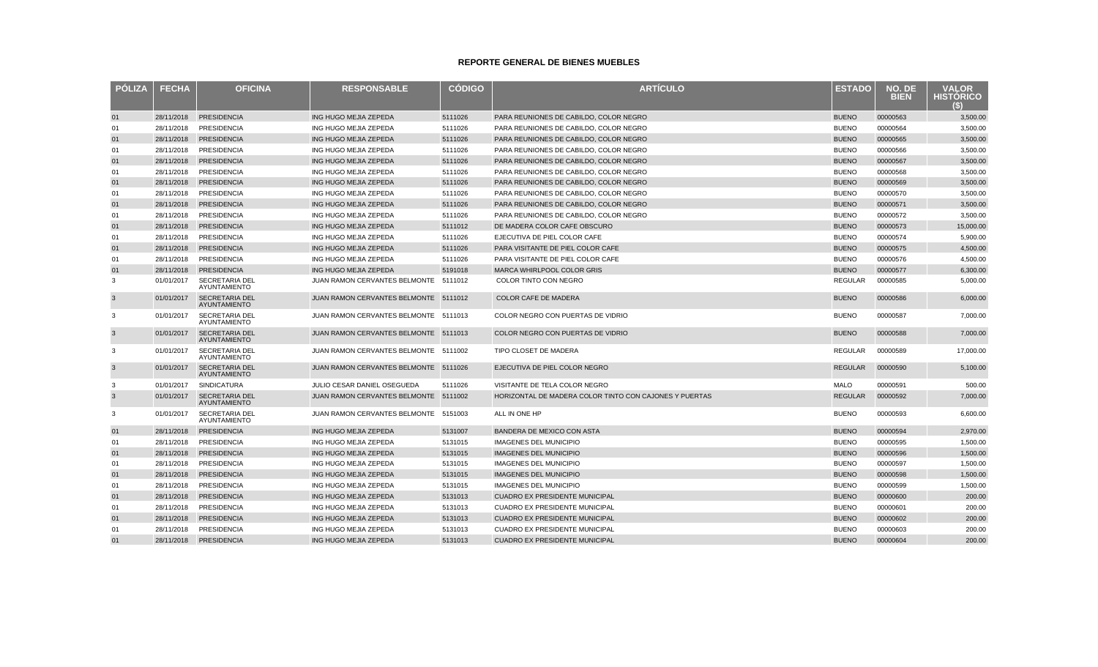| <b>POLIZA</b>  | <b>FECHA</b> | <b>OFICINA</b>                               | <b>RESPONSABLE</b>                    | <b>CODIGO</b> | <b>ARTÍCULO</b>                                        | <b>ESTADO</b>  | NO. DE<br><b>BIEN</b> | <b>VALOR</b><br><b>HISTORICO</b><br>(S)) |
|----------------|--------------|----------------------------------------------|---------------------------------------|---------------|--------------------------------------------------------|----------------|-----------------------|------------------------------------------|
| 01             | 28/11/2018   | <b>PRESIDENCIA</b>                           | ING HUGO MEJIA ZEPEDA                 | 5111026       | PARA REUNIONES DE CABILDO, COLOR NEGRO                 | <b>BUENO</b>   | 00000563              | 3,500.00                                 |
| 01             | 28/11/2018   | PRESIDENCIA                                  | ING HUGO MEJIA ZEPEDA                 | 5111026       | PARA REUNIONES DE CABILDO, COLOR NEGRO                 | <b>BUENO</b>   | 00000564              | 3.500.00                                 |
| 01             | 28/11/2018   | <b>PRESIDENCIA</b>                           | ING HUGO MEJIA ZEPEDA                 | 5111026       | PARA REUNIONES DE CABILDO, COLOR NEGRO                 | <b>BUENO</b>   | 00000565              | 3,500.00                                 |
| 01             | 28/11/2018   | <b>PRESIDENCIA</b>                           | ING HUGO MEJIA ZEPEDA                 | 5111026       | PARA REUNIONES DE CABILDO, COLOR NEGRO                 | <b>BUENO</b>   | 00000566              | 3,500.00                                 |
| 01             | 28/11/2018   | <b>PRESIDENCIA</b>                           | ING HUGO MEJIA ZEPEDA                 | 5111026       | PARA REUNIONES DE CABILDO, COLOR NEGRO                 | <b>BUENO</b>   | 00000567              | 3,500.00                                 |
| 01             | 28/11/2018   | <b>PRESIDENCIA</b>                           | ING HUGO MEJIA ZEPEDA                 | 5111026       | PARA REUNIONES DE CABILDO, COLOR NEGRO                 | <b>BUENO</b>   | 00000568              | 3,500.00                                 |
| 01             | 28/11/2018   | <b>PRESIDENCIA</b>                           | ING HUGO MEJIA ZEPEDA                 | 5111026       | PARA REUNIONES DE CABILDO, COLOR NEGRO                 | <b>BUENO</b>   | 00000569              | 3,500.00                                 |
| 01             | 28/11/2018   | <b>PRESIDENCIA</b>                           | ING HUGO MEJIA ZEPEDA                 | 5111026       | PARA REUNIONES DE CABILDO, COLOR NEGRO                 | <b>BUENO</b>   | 00000570              | 3,500.00                                 |
| 01             | 28/11/2018   | <b>PRESIDENCIA</b>                           | ING HUGO MEJIA ZEPEDA                 | 5111026       | PARA REUNIONES DE CABILDO, COLOR NEGRO                 | <b>BUENO</b>   | 00000571              | 3,500.00                                 |
| 01             | 28/11/2018   | <b>PRESIDENCIA</b>                           | ING HUGO MEJIA ZEPEDA                 | 5111026       | PARA REUNIONES DE CABILDO, COLOR NEGRO                 | <b>BUENO</b>   | 00000572              | 3,500.00                                 |
| 01             | 28/11/2018   | <b>PRESIDENCIA</b>                           | ING HUGO MEJIA ZEPEDA                 | 5111012       | DE MADERA COLOR CAFE OBSCURO                           | <b>BUENO</b>   | 00000573              | 15,000.00                                |
| 01             | 28/11/2018   | <b>PRESIDENCIA</b>                           | ING HUGO MEJIA ZEPEDA                 | 5111026       | EJECUTIVA DE PIEL COLOR CAFE                           | <b>BUENO</b>   | 00000574              | 5,900.00                                 |
| 01             | 28/11/2018   | <b>PRESIDENCIA</b>                           | ING HUGO MEJIA ZEPEDA                 | 5111026       | <b>PARA VISITANTE DE PIEL COLOR CAFE</b>               | <b>BUENO</b>   | 00000575              | 4,500.00                                 |
| 01             | 28/11/2018   | PRESIDENCIA                                  | ING HUGO MEJIA ZEPEDA                 | 5111026       | PARA VISITANTE DE PIEL COLOR CAFE                      | <b>BUENO</b>   | 00000576              | 4,500.00                                 |
| 01             | 28/11/2018   | <b>PRESIDENCIA</b>                           | ING HUGO MEJIA ZEPEDA                 | 5191018       | <b>MARCA WHIRLPOOL COLOR GRIS</b>                      | <b>BUENO</b>   | 00000577              | 6,300.00                                 |
| 3              | 01/01/2017   | <b>SECRETARIA DEL</b><br>AYUNTAMIENTO        | <b>JUAN RAMON CERVANTES BELMONTE</b>  | 5111012       | <b>COLOR TINTO CON NEGRO</b>                           | <b>REGULAR</b> | 00000585              | 5.000.00                                 |
| $\overline{3}$ | 01/01/2017   | <b>SECRETARIA DEL</b><br>AYUNTAMIENTO        | JUAN RAMON CERVANTES BELMONTE 5111012 |               | <b>COLOR CAFE DE MADERA</b>                            | <b>BUENO</b>   | 00000586              | 6,000.00                                 |
| 3              | 01/01/2017   | <b>SECRETARIA DEL</b><br>AYUNTAMIENTO        | JUAN RAMON CERVANTES BELMONTE 5111013 |               | COLOR NEGRO CON PUERTAS DE VIDRIO                      | <b>BUENO</b>   | 00000587              | 7,000.00                                 |
| 3              | 01/01/2017   | <b>SECRETARIA DEL</b><br>AYUNTAMIENTO        | JUAN RAMON CERVANTES BELMONTE 5111013 |               | COLOR NEGRO CON PUERTAS DE VIDRIO                      | <b>BUENO</b>   | 00000588              | 7,000.00                                 |
| 3              | 01/01/2017   | <b>SECRETARIA DEL</b><br><b>AYUNTAMIENTO</b> | JUAN RAMON CERVANTES BELMONTE 5111002 |               | TIPO CLOSET DE MADERA                                  | <b>REGULAR</b> | 00000589              | 17,000.00                                |
| $\mathbf{3}$   | 01/01/2017   | <b>SECRETARIA DEL</b><br>AYUNTAMIENTO        | JUAN RAMON CERVANTES BELMONTE 5111026 |               | EJECUTIVA DE PIEL COLOR NEGRO                          | <b>REGULAR</b> | 00000590              | 5,100.00                                 |
| 3              | 01/01/2017   | <b>SINDICATURA</b>                           | JULIO CESAR DANIEL OSEGUEDA           | 5111026       | VISITANTE DE TELA COLOR NEGRO                          | <b>MALO</b>    | 00000591              | 500.00                                   |
| 3              | 01/01/2017   | <b>SECRETARIA DEL</b><br><b>AYUNTAMIENTO</b> | JUAN RAMON CERVANTES BELMONTE 5111002 |               | HORIZONTAL DE MADERA COLOR TINTO CON CAJONES Y PUERTAS | <b>REGULAR</b> | 00000592              | 7,000.00                                 |
| 3              | 01/01/2017   | <b>SECRETARIA DEL</b><br>AYUNTAMIENTO        | JUAN RAMON CERVANTES BELMONTE 5151003 |               | ALL IN ONE HP                                          | <b>BUENO</b>   | 00000593              | 6,600.00                                 |
| 01             | 28/11/2018   | <b>PRESIDENCIA</b>                           | ING HUGO MEJIA ZEPEDA                 | 5131007       | BANDERA DE MEXICO CON ASTA                             | <b>BUENO</b>   | 00000594              | 2,970.00                                 |
| 01             | 28/11/2018   | PRESIDENCIA                                  | ING HUGO MEJIA ZEPEDA                 | 5131015       | <b>IMAGENES DEL MUNICIPIO</b>                          | <b>BUENO</b>   | 00000595              | 1,500.00                                 |
| 01             | 28/11/2018   | <b>PRESIDENCIA</b>                           | ING HUGO MEJIA ZEPEDA                 | 5131015       | <b>IMAGENES DEL MUNICIPIO</b>                          | <b>BUENO</b>   | 00000596              | 1,500.00                                 |
| 01             | 28/11/2018   | <b>PRESIDENCIA</b>                           | ING HUGO MEJIA ZEPEDA                 | 5131015       | <b>IMAGENES DEL MUNICIPIO</b>                          | <b>BUENO</b>   | 00000597              | 1,500.00                                 |
| 01             | 28/11/2018   | <b>PRESIDENCIA</b>                           | ING HUGO MEJIA ZEPEDA                 | 5131015       | <b>IMAGENES DEL MUNICIPIO</b>                          | <b>BUENO</b>   | 00000598              | 1,500.00                                 |
| 01             | 28/11/2018   | <b>PRESIDENCIA</b>                           | ING HUGO MEJIA ZEPEDA                 | 5131015       | <b>IMAGENES DEL MUNICIPIO</b>                          | <b>BUENO</b>   | 00000599              | 1,500.00                                 |
| 01             | 28/11/2018   | <b>PRESIDENCIA</b>                           | ING HUGO MEJIA ZEPEDA                 | 5131013       | <b>CUADRO EX PRESIDENTE MUNICIPAL</b>                  | <b>BUENO</b>   | 00000600              | 200.00                                   |
| 01             | 28/11/2018   | <b>PRESIDENCIA</b>                           | ING HUGO MEJIA ZEPEDA                 | 5131013       | <b>CUADRO EX PRESIDENTE MUNICIPAL</b>                  | <b>BUENO</b>   | 00000601              | 200.00                                   |
| 01             | 28/11/2018   | <b>PRESIDENCIA</b>                           | ING HUGO MEJIA ZEPEDA                 | 5131013       | <b>CUADRO EX PRESIDENTE MUNICIPAL</b>                  | <b>BUENO</b>   | 00000602              | 200.00                                   |
| 01             | 28/11/2018   | <b>PRESIDENCIA</b>                           | ING HUGO MEJIA ZEPEDA                 | 5131013       | <b>CUADRO EX PRESIDENTE MUNICIPAL</b>                  | <b>BUENO</b>   | 00000603              | 200.00                                   |
| 01             | 28/11/2018   | <b>PRESIDENCIA</b>                           | ING HUGO MEJIA ZEPEDA                 | 5131013       | <b>CUADRO EX PRESIDENTE MUNICIPAL</b>                  | <b>BUENO</b>   | 00000604              | 200.00                                   |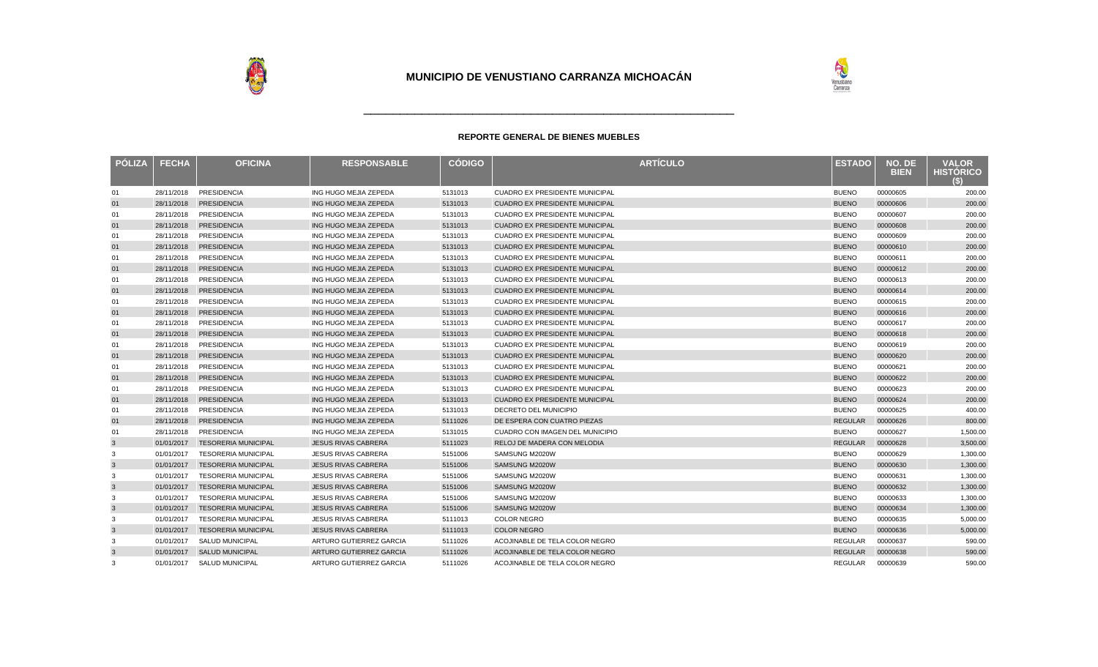

| <b>PÓLIZA</b> | <b>FECHA</b> | <b>OFICINA</b>             | <b>RESPONSABLE</b>         | <b>CÓDIGO</b> | <b>ARTÍCULO</b>                       | <b>ESTADO</b>  | NO. DE<br><b>BIEN</b> | <b>VALOR</b><br><b>HISTORICO</b><br>(S) |
|---------------|--------------|----------------------------|----------------------------|---------------|---------------------------------------|----------------|-----------------------|-----------------------------------------|
| 01            | 28/11/2018   | PRESIDENCIA                | ING HUGO MEJIA ZEPEDA      | 5131013       | <b>CUADRO EX PRESIDENTE MUNICIPAL</b> | <b>BUENO</b>   | 00000605              | 200.00                                  |
| 01            | 28/11/2018   | <b>PRESIDENCIA</b>         | ING HUGO MEJIA ZEPEDA      | 5131013       | <b>CUADRO EX PRESIDENTE MUNICIPAL</b> | <b>BUENO</b>   | 00000606              | 200.00                                  |
| 01            | 28/11/2018   | <b>PRESIDENCIA</b>         | ING HUGO MEJIA ZEPEDA      | 5131013       | <b>CUADRO EX PRESIDENTE MUNICIPAL</b> | <b>BUENO</b>   | 00000607              | 200.00                                  |
| 01            | 28/11/2018   | <b>PRESIDENCIA</b>         | ING HUGO MEJIA ZEPEDA      | 5131013       | <b>CUADRO EX PRESIDENTE MUNICIPAL</b> | <b>BUENO</b>   | 00000608              | 200.00                                  |
| 01            | 28/11/2018   | PRESIDENCIA                | ING HUGO MEJIA ZEPEDA      | 5131013       | <b>CUADRO EX PRESIDENTE MUNICIPAL</b> | <b>BUENO</b>   | 00000609              | 200.00                                  |
| 01            | 28/11/2018   | <b>PRESIDENCIA</b>         | ING HUGO MEJIA ZEPEDA      | 5131013       | <b>CUADRO EX PRESIDENTE MUNICIPAL</b> | <b>BUENO</b>   | 00000610              | 200.00                                  |
| 01            | 28/11/2018   | <b>PRESIDENCIA</b>         | ING HUGO MEJIA ZEPEDA      | 5131013       | CUADRO EX PRESIDENTE MUNICIPAL        | <b>BUENO</b>   | 00000611              | 200.00                                  |
| 01            | 28/11/2018   | <b>PRESIDENCIA</b>         | ING HUGO MEJIA ZEPEDA      | 5131013       | <b>CUADRO EX PRESIDENTE MUNICIPAL</b> | <b>BUENO</b>   | 00000612              | 200.00                                  |
| 01            | 28/11/2018   | <b>PRESIDENCIA</b>         | ING HUGO MEJIA ZEPEDA      | 5131013       | <b>CUADRO EX PRESIDENTE MUNICIPAL</b> | <b>BUENO</b>   | 00000613              | 200.00                                  |
| 01            | 28/11/2018   | <b>PRESIDENCIA</b>         | ING HUGO MEJIA ZEPEDA      | 5131013       | <b>CUADRO EX PRESIDENTE MUNICIPAL</b> | <b>BUENO</b>   | 00000614              | 200.00                                  |
| 01            | 28/11/2018   | <b>PRESIDENCIA</b>         | ING HUGO MEJIA ZEPEDA      | 5131013       | <b>CUADRO EX PRESIDENTE MUNICIPAL</b> | <b>BUENO</b>   | 00000615              | 200.00                                  |
| 01            | 28/11/2018   | <b>PRESIDENCIA</b>         | ING HUGO MEJIA ZEPEDA      | 5131013       | <b>CUADRO EX PRESIDENTE MUNICIPAL</b> | <b>BUENO</b>   | 00000616              | 200.00                                  |
| 01            | 28/11/2018   | PRESIDENCIA                | ING HUGO MEJIA ZEPEDA      | 5131013       | <b>CUADRO EX PRESIDENTE MUNICIPAL</b> | <b>BUENO</b>   | 00000617              | 200.00                                  |
| 01            | 28/11/2018   | <b>PRESIDENCIA</b>         | ING HUGO MEJIA ZEPEDA      | 5131013       | <b>CUADRO EX PRESIDENTE MUNICIPAL</b> | <b>BUENO</b>   | 00000618              | 200.00                                  |
| 01            | 28/11/2018   | PRESIDENCIA                | ING HUGO MEJIA ZEPEDA      | 5131013       | <b>CUADRO EX PRESIDENTE MUNICIPAL</b> | <b>BUENO</b>   | 00000619              | 200.00                                  |
| 01            | 28/11/2018   | <b>PRESIDENCIA</b>         | ING HUGO MEJIA ZEPEDA      | 5131013       | <b>CUADRO EX PRESIDENTE MUNICIPAL</b> | <b>BUENO</b>   | 00000620              | 200.00                                  |
| 01            | 28/11/2018   | PRESIDENCIA                | ING HUGO MEJIA ZEPEDA      | 5131013       | <b>CUADRO EX PRESIDENTE MUNICIPAL</b> | <b>BUENO</b>   | 00000621              | 200.00                                  |
| 01            | 28/11/2018   | <b>PRESIDENCIA</b>         | ING HUGO MEJIA ZEPEDA      | 5131013       | <b>CUADRO EX PRESIDENTE MUNICIPAL</b> | <b>BUENO</b>   | 00000622              | 200.00                                  |
| 01            | 28/11/2018   | <b>PRESIDENCIA</b>         | ING HUGO MEJIA ZEPEDA      | 5131013       | <b>CUADRO EX PRESIDENTE MUNICIPAL</b> | <b>BUENO</b>   | 00000623              | 200.00                                  |
| 01            | 28/11/2018   | <b>PRESIDENCIA</b>         | ING HUGO MEJIA ZEPEDA      | 5131013       | <b>CUADRO EX PRESIDENTE MUNICIPAL</b> | <b>BUENO</b>   | 00000624              | 200.00                                  |
| 01            | 28/11/2018   | PRESIDENCIA                | ING HUGO MEJIA ZEPEDA      | 5131013       | <b>DECRETO DEL MUNICIPIO</b>          | <b>BUENO</b>   | 00000625              | 400.00                                  |
| 01            | 28/11/2018   | <b>PRESIDENCIA</b>         | ING HUGO MEJIA ZEPEDA      | 5111026       | DE ESPERA CON CUATRO PIEZAS           | <b>REGULAR</b> | 00000626              | 800.00                                  |
| 01            | 28/11/2018   | <b>PRESIDENCIA</b>         | ING HUGO MEJIA ZEPEDA      | 5131015       | CUADRO CON IMAGEN DEL MUNICIPIO       | <b>BUENO</b>   | 00000627              | 1,500.00                                |
| 3             | 01/01/2017   | <b>TESORERIA MUNICIPAL</b> | <b>JESUS RIVAS CABRERA</b> | 5111023       | RELOJ DE MADERA CON MELODIA           | <b>REGULAR</b> | 00000628              | 3,500.00                                |
| 3             | 01/01/2017   | <b>TESORERIA MUNICIPAL</b> | <b>JESUS RIVAS CABRERA</b> | 5151006       | SAMSUNG M2020W                        | <b>BUENO</b>   | 00000629              | 1,300.00                                |
| 3             | 01/01/2017   | <b>TESORERIA MUNICIPAL</b> | <b>JESUS RIVAS CABRERA</b> | 5151006       | SAMSUNG M2020W                        | <b>BUENO</b>   | 00000630              | 1,300.00                                |
| 3             | 01/01/2017   | <b>TESORERIA MUNICIPAL</b> | <b>JESUS RIVAS CABRERA</b> | 5151006       | SAMSUNG M2020W                        | <b>BUENO</b>   | 00000631              | 1,300.00                                |
| 3             | 01/01/2017   | <b>TESORERIA MUNICIPAL</b> | <b>JESUS RIVAS CABRERA</b> | 5151006       | SAMSUNG M2020W                        | <b>BUENO</b>   | 00000632              | 1,300.00                                |
| 3             | 01/01/2017   | <b>TESORERIA MUNICIPAL</b> | <b>JESUS RIVAS CABRERA</b> | 5151006       | SAMSUNG M2020W                        | <b>BUENO</b>   | 00000633              | 1,300.00                                |
| 3             | 01/01/2017   | <b>TESORERIA MUNICIPAL</b> | <b>JESUS RIVAS CABRERA</b> | 5151006       | SAMSUNG M2020W                        | <b>BUENO</b>   | 00000634              | 1,300.00                                |
| 3             | 01/01/2017   | <b>TESORERIA MUNICIPAL</b> | <b>JESUS RIVAS CABRERA</b> | 5111013       | <b>COLOR NEGRO</b>                    | <b>BUENO</b>   | 00000635              | 5,000.00                                |
| 3             | 01/01/2017   | <b>TESORERIA MUNICIPAL</b> | <b>JESUS RIVAS CABRERA</b> | 5111013       | <b>COLOR NEGRO</b>                    | <b>BUENO</b>   | 00000636              | 5,000.00                                |
| 3             | 01/01/2017   | <b>SALUD MUNICIPAL</b>     | ARTURO GUTIERREZ GARCIA    | 5111026       | ACOJINABLE DE TELA COLOR NEGRO        | <b>REGULAR</b> | 00000637              | 590.00                                  |
| 3             | 01/01/2017   | <b>SALUD MUNICIPAL</b>     | ARTURO GUTIERREZ GARCIA    | 5111026       | ACOJINABLE DE TELA COLOR NEGRO        | <b>REGULAR</b> | 00000638              | 590.00                                  |
| 3             | 01/01/2017   | <b>SALUD MUNICIPAL</b>     | ARTURO GUTIERREZ GARCIA    | 5111026       | ACOJINABLE DE TELA COLOR NEGRO        | <b>REGULAR</b> | 00000639              | 590.00                                  |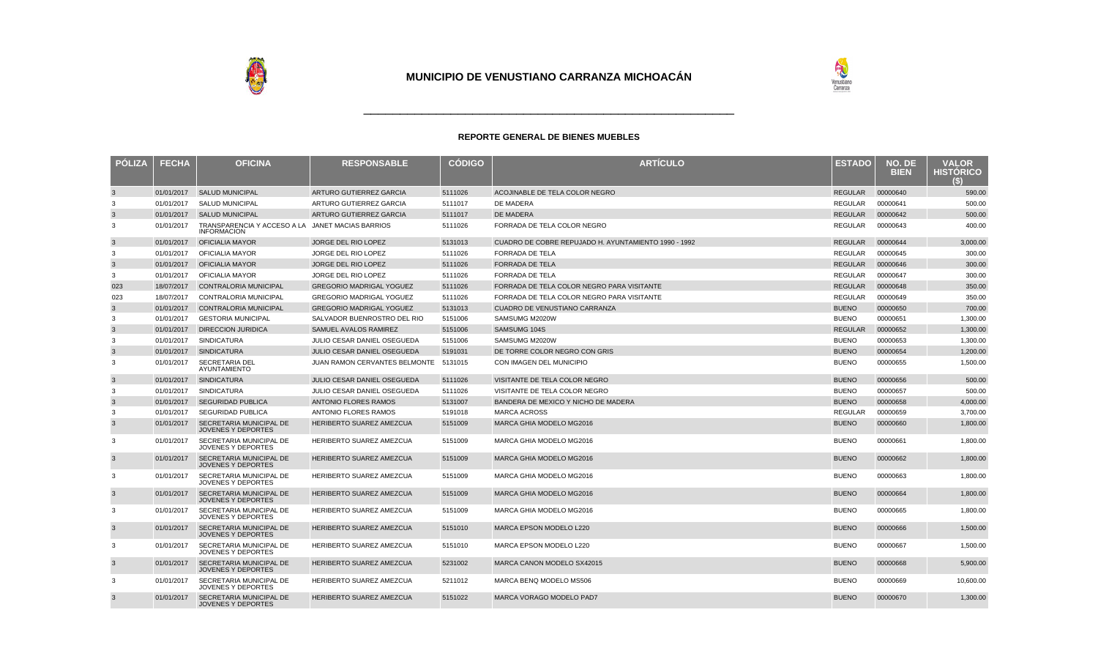

| <b>PÓLIZA</b> | <b>FECHA</b> | <b>OFICINA</b>                                                         | <b>RESPONSABLE</b>                    | <b>CODIGO</b> | <b>ARTÍCULO</b>                                      | <b>ESTADO</b>  | NO. DE<br><b>BIEN</b> | <b>VALOR</b><br><b>HISTORICO</b> |
|---------------|--------------|------------------------------------------------------------------------|---------------------------------------|---------------|------------------------------------------------------|----------------|-----------------------|----------------------------------|
| $\mathbf{3}$  | 01/01/2017   | <b>SALUD MUNICIPAL</b>                                                 | ARTURO GUTIERREZ GARCIA               | 5111026       | ACOJINABLE DE TELA COLOR NEGRO                       | <b>REGULAR</b> | 00000640              | 590.00                           |
| 3             | 01/01/2017   | <b>SALUD MUNICIPAL</b>                                                 | ARTURO GUTIERREZ GARCIA               | 5111017       | DE MADERA                                            | REGULAR        | 00000641              | 500.00                           |
| $\mathbf{3}$  | 01/01/2017   | <b>SALUD MUNICIPAL</b>                                                 | ARTURO GUTIERREZ GARCIA               | 5111017       | DE MADERA                                            | <b>REGULAR</b> | 00000642              | 500.00                           |
| 3             | 01/01/2017   | TRANSPARENCIA Y ACCESO A LA JANET MACIAS BARRIOS<br><b>INFORMACION</b> |                                       | 5111026       | FORRADA DE TELA COLOR NEGRO                          | REGULAR        | 00000643              | 400.00                           |
| 3             | 01/01/2017   | <b>OFICIALIA MAYOR</b>                                                 | <b>JORGE DEL RIO LOPEZ</b>            | 5131013       | CUADRO DE COBRE REPUJADO H. AYUNTAMIENTO 1990 - 1992 | <b>REGULAR</b> | 00000644              | 3,000.00                         |
| 3             | 01/01/2017   | <b>OFICIALIA MAYOR</b>                                                 | JORGE DEL RIO LOPEZ                   | 5111026       | <b>FORRADA DE TELA</b>                               | <b>REGULAR</b> | 00000645              | 300.00                           |
| $\mathbf{3}$  | 01/01/2017   | <b>OFICIALIA MAYOR</b>                                                 | <b>JORGE DEL RIO LOPEZ</b>            | 5111026       | <b>FORRADA DE TELA</b>                               | <b>REGULAR</b> | 00000646              | 300.00                           |
| 3             | 01/01/2017   | OFICIALIA MAYOR                                                        | JORGE DEL RIO LOPEZ                   | 5111026       | <b>FORRADA DE TELA</b>                               | <b>REGULAR</b> | 00000647              | 300.00                           |
| 023           | 18/07/2017   | <b>CONTRALORIA MUNICIPAL</b>                                           | <b>GREGORIO MADRIGAL YOGUEZ</b>       | 5111026       | FORRADA DE TELA COLOR NEGRO PARA VISITANTE           | <b>REGULAR</b> | 00000648              | 350.00                           |
| 023           | 18/07/2017   | <b>CONTRALORIA MUNICIPAL</b>                                           | <b>GREGORIO MADRIGAL YOGUEZ</b>       | 5111026       | FORRADA DE TELA COLOR NEGRO PARA VISITANTE           | <b>REGULAR</b> | 00000649              | 350.00                           |
| $\mathbf{3}$  | 01/01/2017   | <b>CONTRALORIA MUNICIPAL</b>                                           | <b>GREGORIO MADRIGAL YOGUEZ</b>       | 5131013       | CUADRO DE VENUSTIANO CARRANZA                        | <b>BUENO</b>   | 00000650              | 700.00                           |
| 3             | 01/01/2017   | <b>GESTORIA MUNICIPAL</b>                                              | SALVADOR BUENROSTRO DEL RIO           | 5151006       | SAMSUMG M2020W                                       | <b>BUENO</b>   | 00000651              | 1,300.00                         |
| $\mathbf{3}$  | 01/01/2017   | <b>DIRECCION JURIDICA</b>                                              | SAMUEL AVALOS RAMIREZ                 | 5151006       | SAMSUMG 104S                                         | <b>REGULAR</b> | 00000652              | 1,300.00                         |
| 3             | 01/01/2017   | <b>SINDICATURA</b>                                                     | JULIO CESAR DANIEL OSEGUEDA           | 5151006       | SAMSUMG M2020W                                       | <b>BUENO</b>   | 00000653              | 1,300.00                         |
| 3             | 01/01/2017   | <b>SINDICATURA</b>                                                     | JULIO CESAR DANIEL OSEGUEDA           | 5191031       | DE TORRE COLOR NEGRO CON GRIS                        | <b>BUENO</b>   | 00000654              | 1,200.00                         |
| 3             | 01/01/2017   | <b>SECRETARIA DEL</b><br>AYUNTAMIENTO                                  | JUAN RAMON CERVANTES BELMONTE 5131015 |               | CON IMAGEN DEL MUNICIPIO                             | <b>BUENO</b>   | 00000655              | 1,500.00                         |
| $\mathbf{3}$  | 01/01/2017   | <b>SINDICATURA</b>                                                     | <b>JULIO CESAR DANIEL OSEGUEDA</b>    | 5111026       | VISITANTE DE TELA COLOR NEGRO                        | <b>BUENO</b>   | 00000656              | 500.00                           |
| 3             | 01/01/2017   | <b>SINDICATURA</b>                                                     | JULIO CESAR DANIEL OSEGUEDA           | 5111026       | VISITANTE DE TELA COLOR NEGRO                        | <b>BUENO</b>   | 00000657              | 500.00                           |
| $\mathbf{3}$  | 01/01/2017   | <b>SEGURIDAD PUBLICA</b>                                               | <b>ANTONIO FLORES RAMOS</b>           | 5131007       | BANDERA DE MEXICO Y NICHO DE MADERA                  | <b>BUENO</b>   | 00000658              | 4.000.00                         |
| 3             | 01/01/2017   | <b>SEGURIDAD PUBLICA</b>                                               | <b>ANTONIO FLORES RAMOS</b>           | 5191018       | <b>MARCA ACROSS</b>                                  | <b>REGULAR</b> | 00000659              | 3,700.00                         |
| $\mathbf{3}$  | 01/01/2017   | SECRETARIA MUNICIPAL DE<br><b>JOVENES Y DEPORTES</b>                   | HERIBERTO SUAREZ AMEZCUA              | 5151009       | MARCA GHIA MODELO MG2016                             | <b>BUENO</b>   | 00000660              | 1,800.00                         |
| 3             | 01/01/2017   | SECRETARIA MUNICIPAL DE<br><b>JOVENES Y DEPORTES</b>                   | <b>HERIBERTO SUAREZ AMEZCUA</b>       | 5151009       | MARCA GHIA MODELO MG2016                             | <b>BUENO</b>   | 00000661              | 1,800.00                         |
| $\mathbf{3}$  | 01/01/2017   | <b>SECRETARIA MUNICIPAL DE</b><br><b>JOVENES Y DEPORTES</b>            | HERIBERTO SUAREZ AMEZCUA              | 5151009       | MARCA GHIA MODELO MG2016                             | <b>BUENO</b>   | 00000662              | 1,800.00                         |
| 3             | 01/01/2017   | SECRETARIA MUNICIPAL DE<br>JOVENES Y DEPORTES                          | <b>HERIBERTO SUAREZ AMEZCUA</b>       | 5151009       | <b>MARCA GHIA MODELO MG2016</b>                      | <b>BUENO</b>   | 00000663              | 1,800.00                         |
| $\mathbf{3}$  | 01/01/2017   | SECRETARIA MUNICIPAL DE<br><b>JOVENES Y DEPORTES</b>                   | HERIBERTO SUAREZ AMEZCUA              | 5151009       | MARCA GHIA MODELO MG2016                             | <b>BUENO</b>   | 00000664              | 1,800.00                         |
| 3             | 01/01/2017   | SECRETARIA MUNICIPAL DE<br>JOVENES Y DEPORTES                          | HERIBERTO SUAREZ AMEZCUA              | 5151009       | MARCA GHIA MODELO MG2016                             | <b>BUENO</b>   | 00000665              | 1,800.00                         |
| 3             | 01/01/2017   | <b>SECRETARIA MUNICIPAL DE</b><br><b>JOVENES Y DEPORTES</b>            | <b>HERIBERTO SUAREZ AMEZCUA</b>       | 5151010       | <b>MARCA EPSON MODELO L220</b>                       | <b>BUENO</b>   | 00000666              | 1,500.00                         |
| 3             | 01/01/2017   | SECRETARIA MUNICIPAL DE<br>JOVENES Y DEPORTES                          | <b>HERIBERTO SUAREZ AMEZCUA</b>       | 5151010       | MARCA EPSON MODELO L220                              | <b>BUENO</b>   | 00000667              | 1,500.00                         |
| $\mathbf{3}$  | 01/01/2017   | SECRETARIA MUNICIPAL DE<br><b>JOVENES Y DEPORTES</b>                   | HERIBERTO SUAREZ AMEZCUA              | 5231002       | MARCA CANON MODELO SX42015                           | <b>BUENO</b>   | 00000668              | 5,900.00                         |
| 3             | 01/01/2017   | SECRETARIA MUNICIPAL DE<br>JOVENES Y DEPORTES                          | HERIBERTO SUAREZ AMEZCUA              | 5211012       | MARCA BENQ MODELO MS506                              | <b>BUENO</b>   | 00000669              | 10.600.00                        |
| $\mathbf{3}$  | 01/01/2017   | <b>SECRETARIA MUNICIPAL DE</b><br><b>JOVENES Y DEPORTES</b>            | HERIBERTO SUAREZ AMEZCUA              | 5151022       | <b>MARCA VORAGO MODELO PAD7</b>                      | <b>BUENO</b>   | 00000670              | 1,300.00                         |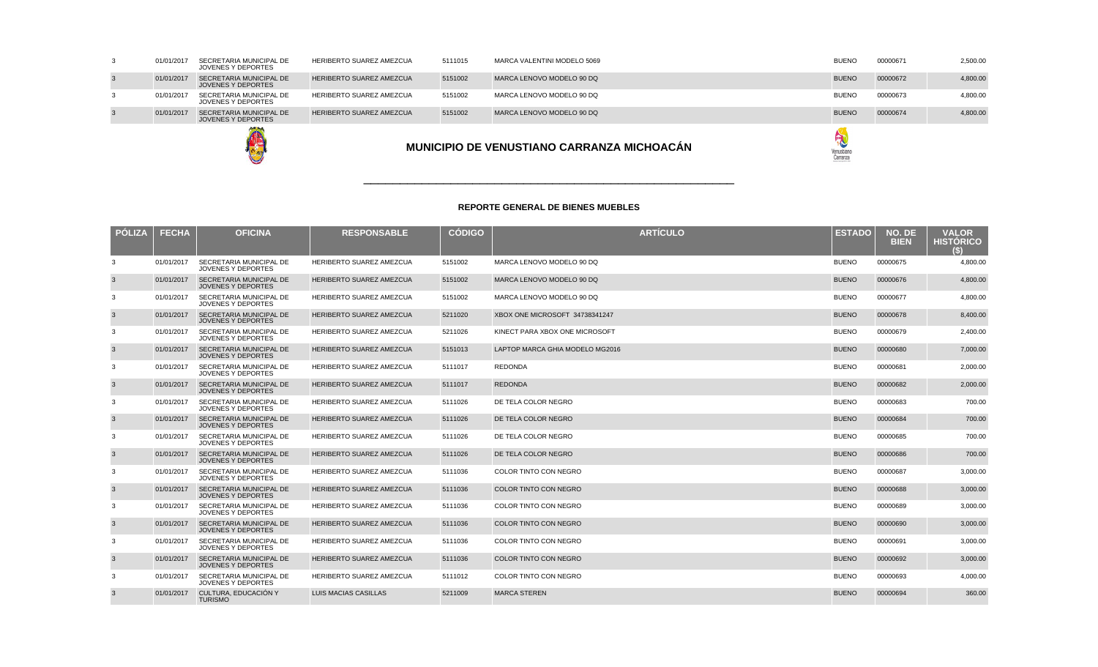| <b>PÓLIZA</b>  | <b>FECHA</b> | <b>OFICINA</b>                                              | <b>RESPONSABLE</b>              | <b>CÓDIGO</b> | <b>ARTÍCULO</b>                 | <b>ESTADO</b> | NO. DE<br><b>BIEN</b> | <b>VALOR</b><br><b>HISTÓRICO</b><br>$\left(5\right)$ |
|----------------|--------------|-------------------------------------------------------------|---------------------------------|---------------|---------------------------------|---------------|-----------------------|------------------------------------------------------|
| 3              | 01/01/2017   | SECRETARIA MUNICIPAL DE<br>JOVENES Y DEPORTES               | <b>HERIBERTO SUAREZ AMEZCUA</b> | 5151002       | MARCA LENOVO MODELO 90 DQ       | <b>BUENO</b>  | 00000675              | 4,800.00                                             |
| 3              | 01/01/2017   | SECRETARIA MUNICIPAL DE<br><b>JOVENES Y DEPORTES</b>        | HERIBERTO SUAREZ AMEZCUA        | 5151002       | MARCA LENOVO MODELO 90 DQ       | <b>BUENO</b>  | 00000676              | 4,800.00                                             |
| -3             | 01/01/2017   | SECRETARIA MUNICIPAL DE<br><b>JOVENES Y DEPORTES</b>        | <b>HERIBERTO SUAREZ AMEZCUA</b> | 5151002       | MARCA LENOVO MODELO 90 DQ       | <b>BUENO</b>  | 00000677              | 4,800.00                                             |
| 3              | 01/01/2017   | SECRETARIA MUNICIPAL DE<br><b>JOVENES Y DEPORTES</b>        | HERIBERTO SUAREZ AMEZCUA        | 5211020       | XBOX ONE MICROSOFT 34738341247  | <b>BUENO</b>  | 00000678              | 8,400.00                                             |
| -3             | 01/01/2017   | SECRETARIA MUNICIPAL DE<br><b>JOVENES Y DEPORTES</b>        | <b>HERIBERTO SUAREZ AMEZCUA</b> | 5211026       | KINECT PARA XBOX ONE MICROSOFT  | <b>BUENO</b>  | 00000679              | 2,400.00                                             |
| $\mathbf{3}$   | 01/01/2017   | <b>SECRETARIA MUNICIPAL DE</b><br><b>JOVENES Y DEPORTES</b> | <b>HERIBERTO SUAREZ AMEZCUA</b> | 5151013       | LAPTOP MARCA GHIA MODELO MG2016 | <b>BUENO</b>  | 00000680              | 7,000.00                                             |
| 3              | 01/01/2017   | SECRETARIA MUNICIPAL DE<br><b>JOVENES Y DEPORTES</b>        | HERIBERTO SUAREZ AMEZCUA        | 5111017       | <b>REDONDA</b>                  | <b>BUENO</b>  | 00000681              | 2.000.00                                             |
| $\mathbf{3}$   | 01/01/2017   | <b>SECRETARIA MUNICIPAL DE</b><br><b>JOVENES Y DEPORTES</b> | HERIBERTO SUAREZ AMEZCUA        | 5111017       | <b>REDONDA</b>                  | <b>BUENO</b>  | 00000682              | 2,000.00                                             |
| 3              | 01/01/2017   | SECRETARIA MUNICIPAL DE<br><b>JOVENES Y DEPORTES</b>        | <b>HERIBERTO SUAREZ AMEZCUA</b> | 5111026       | DE TELA COLOR NEGRO             | <b>BUENO</b>  | 00000683              | 700.00                                               |
| $\mathbf{3}$   | 01/01/2017   | <b>SECRETARIA MUNICIPAL DE</b><br><b>JOVENES Y DEPORTES</b> | <b>HERIBERTO SUAREZ AMEZCUA</b> | 5111026       | DE TELA COLOR NEGRO             | <b>BUENO</b>  | 00000684              | 700.00                                               |
| 3              | 01/01/2017   | SECRETARIA MUNICIPAL DE<br><b>JOVENES Y DEPORTES</b>        | HERIBERTO SUAREZ AMEZCUA        | 5111026       | DE TELA COLOR NEGRO             | <b>BUENO</b>  | 00000685              | 700.00                                               |
| 3              | 01/01/2017   | <b>SECRETARIA MUNICIPAL DE</b><br><b>JOVENES Y DEPORTES</b> | <b>HERIBERTO SUAREZ AMEZCUA</b> | 5111026       | DE TELA COLOR NEGRO             | <b>BUENO</b>  | 00000686              | 700.00                                               |
| -3             | 01/01/2017   | SECRETARIA MUNICIPAL DE<br><b>JOVENES Y DEPORTES</b>        | <b>HERIBERTO SUAREZ AMEZCUA</b> | 5111036       | COLOR TINTO CON NEGRO           | <b>BUENO</b>  | 00000687              | 3,000.00                                             |
| 3              | 01/01/2017   | SECRETARIA MUNICIPAL DE<br><b>JOVENES Y DEPORTES</b>        | HERIBERTO SUAREZ AMEZCUA        | 5111036       | COLOR TINTO CON NEGRO           | <b>BUENO</b>  | 00000688              | 3,000.00                                             |
| 3              | 01/01/2017   | SECRETARIA MUNICIPAL DE<br><b>JOVENES Y DEPORTES</b>        | <b>HERIBERTO SUAREZ AMEZCUA</b> | 5111036       | COLOR TINTO CON NEGRO           | <b>BUENO</b>  | 00000689              | 3,000.00                                             |
| $\mathbf{3}$   | 01/01/2017   | <b>SECRETARIA MUNICIPAL DE</b><br><b>JOVENES Y DEPORTES</b> | <b>HERIBERTO SUAREZ AMEZCUA</b> | 5111036       | <b>COLOR TINTO CON NEGRO</b>    | <b>BUENO</b>  | 00000690              | 3,000.00                                             |
| 3              | 01/01/2017   | SECRETARIA MUNICIPAL DE<br><b>JOVENES Y DEPORTES</b>        | HERIBERTO SUAREZ AMEZCUA        | 5111036       | COLOR TINTO CON NEGRO           | <b>BUENO</b>  | 00000691              | 3,000.00                                             |
| $\overline{3}$ | 01/01/2017   | <b>SECRETARIA MUNICIPAL DE</b><br><b>JOVENES Y DEPORTES</b> | <b>HERIBERTO SUAREZ AMEZCUA</b> | 5111036       | COLOR TINTO CON NEGRO           | <b>BUENO</b>  | 00000692              | 3,000.00                                             |
| 3              | 01/01/2017   | SECRETARIA MUNICIPAL DE<br><b>JOVENES Y DEPORTES</b>        | <b>HERIBERTO SUAREZ AMEZCUA</b> | 5111012       | COLOR TINTO CON NEGRO           | <b>BUENO</b>  | 00000693              | 4,000.00                                             |
| 3              | 01/01/2017   | CULTURA. EDUCACIÓN Y<br><b>TURISMO</b>                      | LUIS MACIAS CASILLAS            | 5211009       | <b>MARCA STEREN</b>             | <b>BUENO</b>  | 00000694              | 360.00                                               |

\_\_\_\_\_\_\_\_\_\_\_\_\_\_\_\_\_\_\_\_\_\_\_\_\_\_\_\_\_\_\_\_\_\_\_\_\_\_\_\_\_\_\_\_\_\_\_\_\_\_\_



|    |  |            |                                               |                                 |         | MUNICIPIO DE VENUSTIANO CARRANZA MICHOACÁN | Venustian<br>Carranza |          |          |
|----|--|------------|-----------------------------------------------|---------------------------------|---------|--------------------------------------------|-----------------------|----------|----------|
|    |  | 01/01/2017 | SECRETARIA MUNICIPAL DE<br>JOVENES Y DEPORTES | <b>HERIBERTO SUAREZ AMEZCUA</b> | 5151002 | MARCA LENOVO MODELO 90 DQ                  | <b>BUENO</b>          | 00000674 | 4,800.00 |
| 3  |  | 01/01/2017 | SECRETARIA MUNICIPAL DE<br>JOVENES Y DEPORTES | HERIBERTO SUAREZ AMEZCUA        | 5151002 | MARCA LENOVO MODELO 90 DQ                  | <b>BUENO</b>          | 00000673 | 4,800.00 |
|    |  | 01/01/2017 | SECRETARIA MUNICIPAL DE<br>JOVENES Y DEPORTES | <b>HERIBERTO SUAREZ AMEZCUA</b> | 5151002 | MARCA LENOVO MODELO 90 DQ                  | <b>BUENO</b>          | 00000672 | 4,800.00 |
| -3 |  | 01/01/2017 | SECRETARIA MUNICIPAL DE<br>JOVENES Y DEPORTES | HERIBERTO SUAREZ AMEZCUA        | 5111015 | MARCA VALENTINI MODELO 5069                | <b>BUENO</b>          | 00000671 | 2,500.00 |
|    |  |            |                                               |                                 |         |                                            |                       |          |          |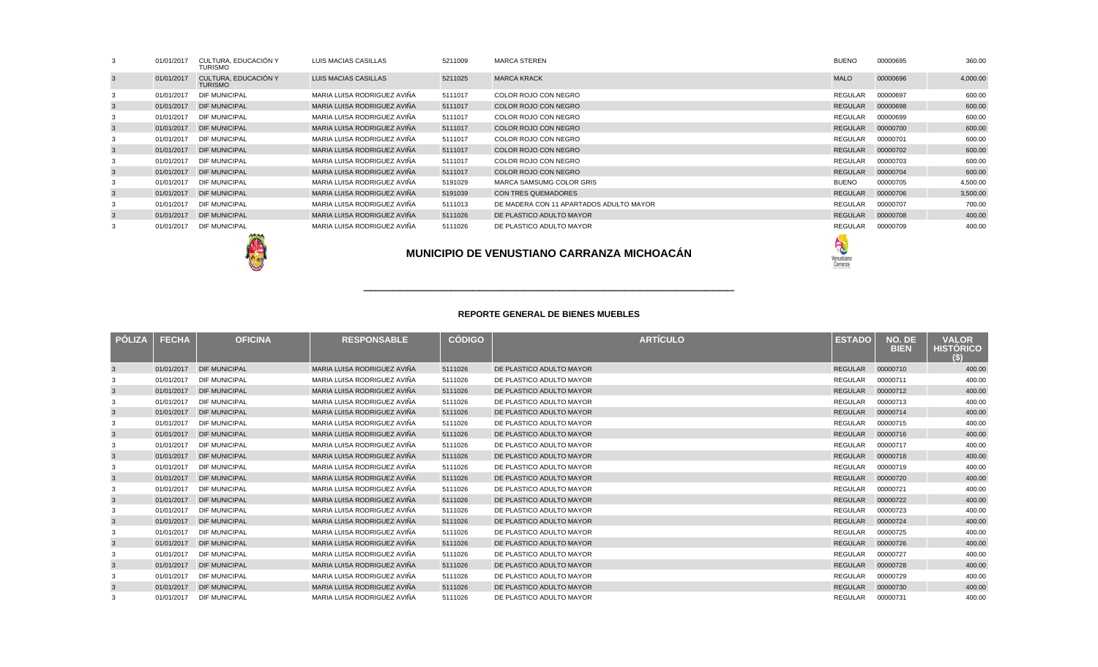|   | 01/01/2017                                        | CULTURA, EDUCACIÓN Y<br><b>TURISMO</b> | LUIS MACIAS CASILLAS        | 5211009 | <b>MARCA STEREN</b>                     | <b>BUENO</b> | 00000695 | 360.00   |
|---|---------------------------------------------------|----------------------------------------|-----------------------------|---------|-----------------------------------------|--------------|----------|----------|
|   | 01/01/2017                                        | CULTURA, EDUCACIÓN Y<br><b>TURISMO</b> | LUIS MACIAS CASILLAS        | 5211025 | <b>MARCA KRACK</b>                      | <b>MALO</b>  | 00000696 | 4,000.00 |
|   | 01/01/2017                                        | <b>DIF MUNICIPAL</b>                   | MARIA LUISA RODRIGUEZ AVIÑA | 5111017 | COLOR ROJO CON NEGRO                    | REGULAR      | 00000697 | 600.00   |
|   |                                                   | 01/01/2017 DIF MUNICIPAL               | MARIA LUISA RODRIGUEZ AVIÑA | 5111017 | COLOR ROJO CON NEGRO                    | REGULAR      | 00000698 | 600.00   |
|   | 01/01/2017                                        | <b>DIF MUNICIPAL</b>                   | MARIA LUISA RODRIGUEZ AVIÑA | 5111017 | COLOR ROJO CON NEGRO                    | REGULAR      | 00000699 | 600.00   |
|   |                                                   | 01/01/2017 DIF MUNICIPAL               | MARIA LUISA RODRIGUEZ AVIÑA | 5111017 | COLOR ROJO CON NEGRO                    | REGULAR      | 00000700 | 600.00   |
|   | 01/01/2017                                        | <b>DIF MUNICIPAL</b>                   | MARIA LUISA RODRIGUEZ AVIÑA | 5111017 | COLOR ROJO CON NEGRO                    | REGULAR      | 00000701 | 600.00   |
|   |                                                   | 01/01/2017 DIF MUNICIPAL               | MARIA LUISA RODRIGUEZ AVIÑA | 5111017 | COLOR ROJO CON NEGRO                    | REGULAR      | 00000702 | 600.00   |
|   | 01/01/2017                                        | <b>DIF MUNICIPAL</b>                   | MARIA LUISA RODRIGUEZ AVIÑA | 5111017 | COLOR ROJO CON NEGRO                    | REGULAR      | 00000703 | 600.00   |
|   |                                                   | 01/01/2017 DIF MUNICIPAL               | MARIA LUISA RODRIGUEZ AVIÑA | 5111017 | COLOR ROJO CON NEGRO                    | REGULAR      | 00000704 | 600.00   |
|   | 01/01/2017                                        | <b>DIF MUNICIPAL</b>                   | MARIA LUISA RODRIGUEZ AVIÑA | 5191029 | MARCA SAMSUMG COLOR GRIS                | <b>BUENO</b> | 00000705 | 4,500.00 |
| 3 |                                                   | 01/01/2017 DIF MUNICIPAL               | MARIA LUISA RODRIGUEZ AVIÑA | 5191039 | CON TRES QUEMADORES                     | REGULAR      | 00000706 | 3,500.00 |
|   | 01/01/2017                                        | <b>DIF MUNICIPAL</b>                   | MARIA LUISA RODRIGUEZ AVIÑA | 5111013 | DE MADERA CON 11 APARTADOS ADULTO MAYOR | REGULAR      | 00000707 | 700.00   |
| 3 |                                                   | 01/01/2017 DIF MUNICIPAL               | MARIA LUISA RODRIGUEZ AVIÑA | 5111026 | DE PLASTICO ADULTO MAYOR                | REGULAR      | 00000708 | 400.00   |
|   | 01/01/2017                                        | <b>DIF MUNICIPAL</b>                   | MARIA LUISA RODRIGUEZ AVIÑA | 5111026 | DE PLASTICO ADULTO MAYOR                | REGULAR      | 00000709 | 400.00   |
|   | <b>MUNICIPIO DE VENUSTIANO CARRANZA MICHOACÁN</b> |                                        |                             |         |                                         |              |          |          |

| <b>POLIZA</b> | <b>FECHA</b> | <b>OFICINA</b>       | <b>RESPONSABLE</b>          | <b>CÓDIGO</b> | <b>ARTÍCULO</b>          | <b>ESTADO</b>  | NO. DE<br><b>BIEN</b> | <b>VALOR</b><br><b>HISTORICO</b><br>(S) |
|---------------|--------------|----------------------|-----------------------------|---------------|--------------------------|----------------|-----------------------|-----------------------------------------|
|               | 01/01/2017   | <b>DIF MUNICIPAL</b> | MARIA LUISA RODRIGUEZ AVIÑA | 5111026       | DE PLASTICO ADULTO MAYOR | REGULAR        | 00000710              | 400.00                                  |
|               | 01/01/2017   | <b>DIF MUNICIPAL</b> | MARIA LUISA RODRIGUEZ AVIÑA | 5111026       | DE PLASTICO ADULTO MAYOR | REGULAR        | 00000711              | 400.00                                  |
| 3             | 01/01/2017   | <b>DIF MUNICIPAL</b> | MARIA LUISA RODRIGUEZ AVIÑA | 5111026       | DE PLASTICO ADULTO MAYOR | <b>REGULAR</b> | 00000712              | 400.00                                  |
|               | 01/01/2017   | <b>DIF MUNICIPAL</b> | MARIA LUISA RODRIGUEZ AVIÑA | 5111026       | DE PLASTICO ADULTO MAYOR | <b>REGULAR</b> | 00000713              | 400.00                                  |
| 3             | 01/01/2017   | <b>DIF MUNICIPAL</b> | MARIA LUISA RODRIGUEZ AVIÑA | 5111026       | DE PLASTICO ADULTO MAYOR | <b>REGULAR</b> | 00000714              | 400.00                                  |
|               | 01/01/2017   | <b>DIF MUNICIPAL</b> | MARIA LUISA RODRIGUEZ AVIÑA | 5111026       | DE PLASTICO ADULTO MAYOR | REGULAR        | 00000715              | 400.00                                  |
|               | 01/01/2017   | <b>DIF MUNICIPAL</b> | MARIA LUISA RODRIGUEZ AVIÑA | 5111026       | DE PLASTICO ADULTO MAYOR | <b>REGULAR</b> | 00000716              | 400.00                                  |
|               | 01/01/2017   | <b>DIF MUNICIPAL</b> | MARIA LUISA RODRIGUEZ AVIÑA | 5111026       | DE PLASTICO ADULTO MAYOR | REGULAR        | 00000717              | 400.00                                  |
| -3            | 01/01/2017   | <b>DIF MUNICIPAL</b> | MARIA LUISA RODRIGUEZ AVIÑA | 5111026       | DE PLASTICO ADULTO MAYOR | <b>REGULAR</b> | 00000718              | 400.00                                  |
|               | 01/01/2017   | <b>DIF MUNICIPAL</b> | MARIA LUISA RODRIGUEZ AVIÑA | 5111026       | DE PLASTICO ADULTO MAYOR | <b>REGULAR</b> | 00000719              | 400.00                                  |
| 3             | 01/01/2017   | <b>DIF MUNICIPAL</b> | MARIA LUISA RODRIGUEZ AVIÑA | 5111026       | DE PLASTICO ADULTO MAYOR | <b>REGULAR</b> | 00000720              | 400.00                                  |
|               | 01/01/2017   | <b>DIF MUNICIPAL</b> | MARIA LUISA RODRIGUEZ AVIÑA | 5111026       | DE PLASTICO ADULTO MAYOR | <b>REGULAR</b> | 00000721              | 400.00                                  |
|               | 01/01/2017   | <b>DIF MUNICIPAL</b> | MARIA LUISA RODRIGUEZ AVIÑA | 5111026       | DE PLASTICO ADULTO MAYOR | <b>REGULAR</b> | 00000722              | 400.00                                  |
|               | 01/01/2017   | <b>DIF MUNICIPAL</b> | MARIA LUISA RODRIGUEZ AVIÑA | 5111026       | DE PLASTICO ADULTO MAYOR | <b>REGULAR</b> | 00000723              | 400.00                                  |
| -3            | 01/01/2017   | <b>DIF MUNICIPAL</b> | MARIA LUISA RODRIGUEZ AVIÑA | 5111026       | DE PLASTICO ADULTO MAYOR | <b>REGULAR</b> | 00000724              | 400.00                                  |
|               | 01/01/2017   | <b>DIF MUNICIPAL</b> | MARIA LUISA RODRIGUEZ AVIÑA | 5111026       | DE PLASTICO ADULTO MAYOR | <b>REGULAR</b> | 00000725              | 400.00                                  |
|               | 01/01/2017   | <b>DIF MUNICIPAL</b> | MARIA LUISA RODRIGUEZ AVIÑA | 5111026       | DE PLASTICO ADULTO MAYOR | <b>REGULAR</b> | 00000726              | 400.00                                  |
|               | 01/01/2017   | <b>DIF MUNICIPAL</b> | MARIA LUISA RODRIGUEZ AVIÑA | 5111026       | DE PLASTICO ADULTO MAYOR | <b>REGULAR</b> | 00000727              | 400.00                                  |
|               | 01/01/2017   | <b>DIF MUNICIPAL</b> | MARIA LUISA RODRIGUEZ AVIÑA | 5111026       | DE PLASTICO ADULTO MAYOR | <b>REGULAR</b> | 00000728              | 400.00                                  |
|               | 01/01/2017   | <b>DIF MUNICIPAL</b> | MARIA LUISA RODRIGUEZ AVIÑA | 5111026       | DE PLASTICO ADULTO MAYOR | <b>REGULAR</b> | 00000729              | 400.00                                  |
|               | 01/01/2017   | <b>DIF MUNICIPAL</b> | MARIA LUISA RODRIGUEZ AVIÑA | 5111026       | DE PLASTICO ADULTO MAYOR | <b>REGULAR</b> | 00000730              | 400.00                                  |
|               | 01/01/2017   | <b>DIF MUNICIPAL</b> | MARIA LUISA RODRIGUEZ AVIÑA | 5111026       | DE PLASTICO ADULTO MAYOR | REGULAR        | 00000731              | 400.00                                  |